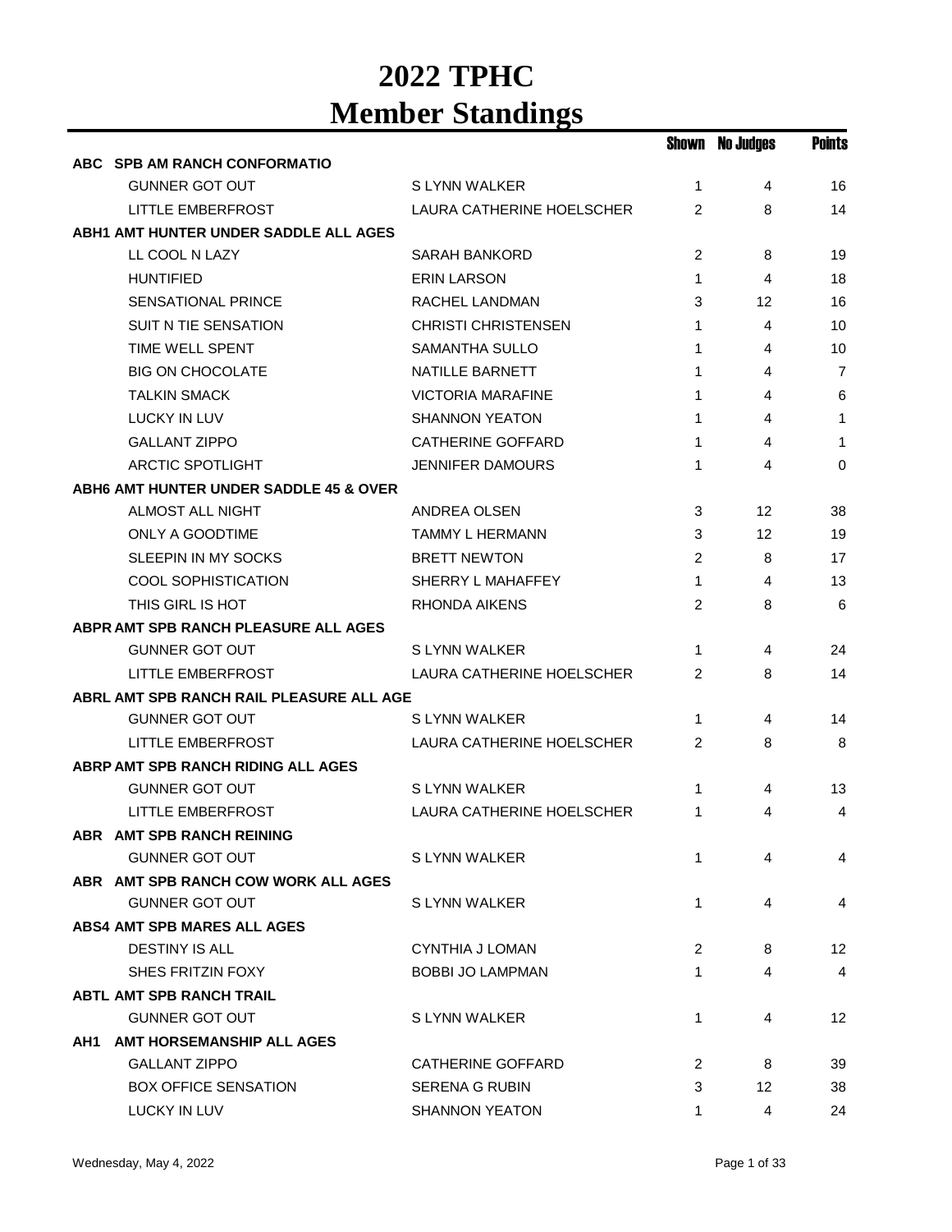|                                          |                            |                | <b>Shown No Judges</b> | <b>Points</b>  |
|------------------------------------------|----------------------------|----------------|------------------------|----------------|
| ABC SPB AM RANCH CONFORMATIO             |                            |                |                        |                |
| <b>GUNNER GOT OUT</b>                    | S LYNN WALKER              | $\mathbf{1}$   | 4                      | 16             |
| <b>LITTLE EMBERFROST</b>                 | LAURA CATHERINE HOELSCHER  | $\overline{2}$ | 8                      | 14             |
| ABH1 AMT HUNTER UNDER SADDLE ALL AGES    |                            |                |                        |                |
| LL COOL N LAZY                           | SARAH BANKORD              | 2              | 8                      | 19             |
| <b>HUNTIFIED</b>                         | <b>ERIN LARSON</b>         | $\mathbf{1}$   | 4                      | 18             |
| SENSATIONAL PRINCE                       | RACHEL LANDMAN             | 3              | 12                     | 16             |
| <b>SUIT N TIE SENSATION</b>              | <b>CHRISTI CHRISTENSEN</b> | $\mathbf{1}$   | 4                      | 10             |
| TIME WELL SPENT                          | <b>SAMANTHA SULLO</b>      | 1              | 4                      | 10             |
| <b>BIG ON CHOCOLATE</b>                  | NATILLE BARNETT            | 1              | 4                      | 7              |
| <b>TALKIN SMACK</b>                      | <b>VICTORIA MARAFINE</b>   | 1              | 4                      | 6              |
| <b>LUCKY IN LUV</b>                      | <b>SHANNON YEATON</b>      | 1              | 4                      | 1              |
| <b>GALLANT ZIPPO</b>                     | <b>CATHERINE GOFFARD</b>   | 1              | 4                      | 1              |
| <b>ARCTIC SPOTLIGHT</b>                  | <b>JENNIFER DAMOURS</b>    | 1              | 4                      | 0              |
| ABH6 AMT HUNTER UNDER SADDLE 45 & OVER   |                            |                |                        |                |
| <b>ALMOST ALL NIGHT</b>                  | ANDREA OLSEN               | 3              | 12                     | 38             |
| <b>ONLY A GOODTIME</b>                   | TAMMY L HERMANN            | 3              | 12                     | 19             |
| SLEEPIN IN MY SOCKS                      | <b>BRETT NEWTON</b>        | 2              | 8                      | 17             |
| COOL SOPHISTICATION                      | SHERRY L MAHAFFEY          | $\mathbf{1}$   | 4                      | 13             |
| THIS GIRL IS HOT                         | <b>RHONDA AIKENS</b>       | 2              | 8                      | 6              |
| ABPR AMT SPB RANCH PLEASURE ALL AGES     |                            |                |                        |                |
| <b>GUNNER GOT OUT</b>                    | S LYNN WALKER              | 1              | 4                      | 24             |
| LITTLE EMBERFROST                        | LAURA CATHERINE HOELSCHER  | 2              | 8                      | 14             |
| ABRL AMT SPB RANCH RAIL PLEASURE ALL AGE |                            |                |                        |                |
| <b>GUNNER GOT OUT</b>                    | S LYNN WALKER              | 1              | 4                      | 14             |
| LITTLE EMBERFROST                        | LAURA CATHERINE HOELSCHER  | $\overline{2}$ | 8                      | 8              |
| ABRP AMT SPB RANCH RIDING ALL AGES       |                            |                |                        |                |
| <b>GUNNER GOT OUT</b>                    | S LYNN WALKER              | 1              | 4                      | 13             |
| <b>LITTLE EMBERFROST</b>                 | LAURA CATHERINE HOELSCHER  | 1              | 4                      | 4              |
| ABR AMT SPB RANCH REINING                |                            |                |                        |                |
| <b>GUNNER GOT OUT</b>                    | S LYNN WALKER              | 1              | 4                      | 4              |
| ABR AMT SPB RANCH COW WORK ALL AGES      |                            |                |                        |                |
| <b>GUNNER GOT OUT</b>                    | S LYNN WALKER              | 1              | 4                      | 4              |
| <b>ABS4 AMT SPB MARES ALL AGES</b>       |                            |                |                        |                |
| <b>DESTINY IS ALL</b>                    | <b>CYNTHIA J LOMAN</b>     | 2              | 8                      | 12             |
| SHES FRITZIN FOXY                        | <b>BOBBI JO LAMPMAN</b>    | 1              | 4                      | $\overline{4}$ |
| <b>ABTL AMT SPB RANCH TRAIL</b>          |                            |                |                        |                |
| <b>GUNNER GOT OUT</b>                    | S LYNN WALKER              | 1              | 4                      | 12             |
| AH1 AMT HORSEMANSHIP ALL AGES            |                            |                |                        |                |
| <b>GALLANT ZIPPO</b>                     | <b>CATHERINE GOFFARD</b>   | 2              | 8                      | 39             |
| <b>BOX OFFICE SENSATION</b>              | <b>SERENA G RUBIN</b>      | 3              | 12                     | 38             |
| LUCKY IN LUV                             | <b>SHANNON YEATON</b>      | 1              | 4                      | 24             |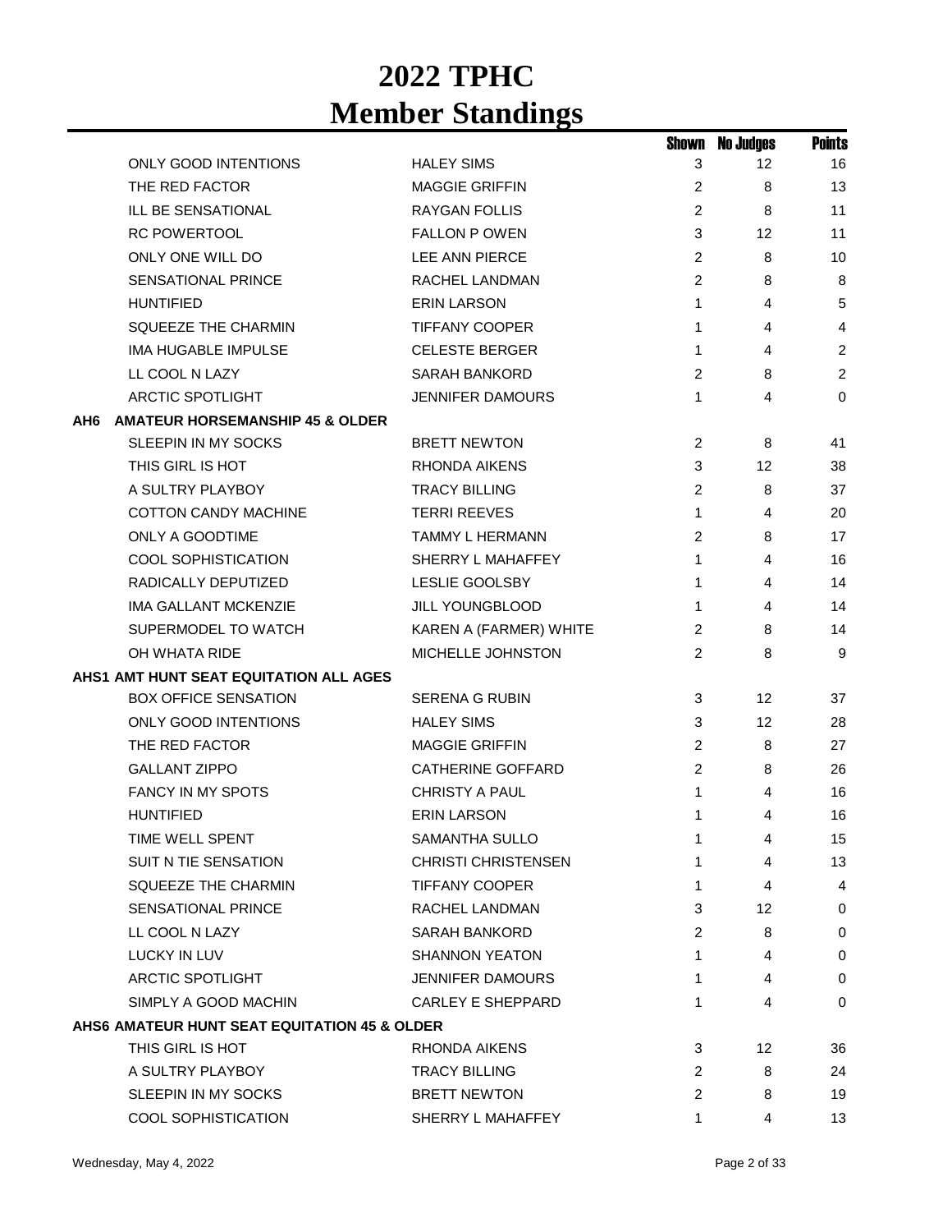|     |                                              |                            | Shown          | <b>No Judges</b> | <b>Points</b>  |
|-----|----------------------------------------------|----------------------------|----------------|------------------|----------------|
|     | <b>ONLY GOOD INTENTIONS</b>                  | <b>HALEY SIMS</b>          | 3              | 12               | 16             |
|     | THE RED FACTOR                               | <b>MAGGIE GRIFFIN</b>      | 2              | 8                | 13             |
|     | ILL BE SENSATIONAL                           | <b>RAYGAN FOLLIS</b>       | $\overline{2}$ | 8                | 11             |
|     | <b>RC POWERTOOL</b>                          | <b>FALLON P OWEN</b>       | 3              | 12               | 11             |
|     | ONLY ONE WILL DO                             | LEE ANN PIERCE             | 2              | 8                | 10             |
|     | SENSATIONAL PRINCE                           | <b>RACHEL LANDMAN</b>      | 2              | 8                | 8              |
|     | <b>HUNTIFIED</b>                             | <b>ERIN LARSON</b>         | 1              | 4                | 5              |
|     | <b>SQUEEZE THE CHARMIN</b>                   | <b>TIFFANY COOPER</b>      | 1              | 4                | 4              |
|     | <b>IMA HUGABLE IMPULSE</b>                   | <b>CELESTE BERGER</b>      | 1              | 4                | $\overline{2}$ |
|     | LL COOL N LAZY                               | <b>SARAH BANKORD</b>       | 2              | 8                | $\overline{2}$ |
|     | <b>ARCTIC SPOTLIGHT</b>                      | <b>JENNIFER DAMOURS</b>    | 1              | 4                | $\mathbf 0$    |
| AH6 | <b>AMATEUR HORSEMANSHIP 45 &amp; OLDER</b>   |                            |                |                  |                |
|     | SLEEPIN IN MY SOCKS                          | <b>BRETT NEWTON</b>        | $\overline{c}$ | 8                | 41             |
|     | THIS GIRL IS HOT                             | <b>RHONDA AIKENS</b>       | 3              | 12               | 38             |
|     | A SULTRY PLAYBOY                             | <b>TRACY BILLING</b>       | 2              | 8                | 37             |
|     | <b>COTTON CANDY MACHINE</b>                  | <b>TERRI REEVES</b>        | 1              | 4                | 20             |
|     | ONLY A GOODTIME                              | <b>TAMMY L HERMANN</b>     | 2              | 8                | 17             |
|     | <b>COOL SOPHISTICATION</b>                   | SHERRY L MAHAFFEY          | 1              | 4                | 16             |
|     | RADICALLY DEPUTIZED                          | <b>LESLIE GOOLSBY</b>      | 1              | 4                | 14             |
|     | <b>IMA GALLANT MCKENZIE</b>                  | JILL YOUNGBLOOD            | 1              | 4                | 14             |
|     | SUPERMODEL TO WATCH                          | KAREN A (FARMER) WHITE     | 2              | 8                | 14             |
|     | OH WHATA RIDE                                | MICHELLE JOHNSTON          | 2              | 8                | 9              |
|     | AHS1 AMT HUNT SEAT EQUITATION ALL AGES       |                            |                |                  |                |
|     | <b>BOX OFFICE SENSATION</b>                  | <b>SERENA G RUBIN</b>      | 3              | 12               | 37             |
|     | <b>ONLY GOOD INTENTIONS</b>                  | <b>HALEY SIMS</b>          | 3              | 12               | 28             |
|     | THE RED FACTOR                               | <b>MAGGIE GRIFFIN</b>      | 2              | 8                | 27             |
|     | <b>GALLANT ZIPPO</b>                         | <b>CATHERINE GOFFARD</b>   | $\overline{c}$ | 8                | 26             |
|     | <b>FANCY IN MY SPOTS</b>                     | <b>CHRISTY A PAUL</b>      | 1              | 4                | 16             |
|     | <b>HUNTIFIED</b>                             | <b>ERIN LARSON</b>         | 1              | 4                | 16             |
|     | TIME WELL SPENT                              | SAMANTHA SULLO             | 1              | 4                | 15             |
|     | <b>SUIT N TIE SENSATION</b>                  | <b>CHRISTI CHRISTENSEN</b> | 1              | 4                | 13             |
|     | SQUEEZE THE CHARMIN                          | TIFFANY COOPER             | 1              | 4                | 4              |
|     | SENSATIONAL PRINCE                           | RACHEL LANDMAN             | 3              | 12               | 0              |
|     | LL COOL N LAZY                               | <b>SARAH BANKORD</b>       | $\overline{c}$ | 8                | 0              |
|     | LUCKY IN LUV                                 | <b>SHANNON YEATON</b>      | 1              | 4                | 0              |
|     | ARCTIC SPOTLIGHT                             | <b>JENNIFER DAMOURS</b>    | 1              | 4                | 0              |
|     | SIMPLY A GOOD MACHIN                         | <b>CARLEY E SHEPPARD</b>   | 1              | 4                | 0              |
|     | AHS6 AMATEUR HUNT SEAT EQUITATION 45 & OLDER |                            |                |                  |                |
|     | THIS GIRL IS HOT                             | RHONDA AIKENS              | 3              | 12 <sup>°</sup>  | 36             |
|     | A SULTRY PLAYBOY                             | <b>TRACY BILLING</b>       | 2              | 8                | 24             |
|     | SLEEPIN IN MY SOCKS                          | <b>BRETT NEWTON</b>        | 2              | 8                | 19             |
|     | <b>COOL SOPHISTICATION</b>                   | SHERRY L MAHAFFEY          | 1              | 4                | 13             |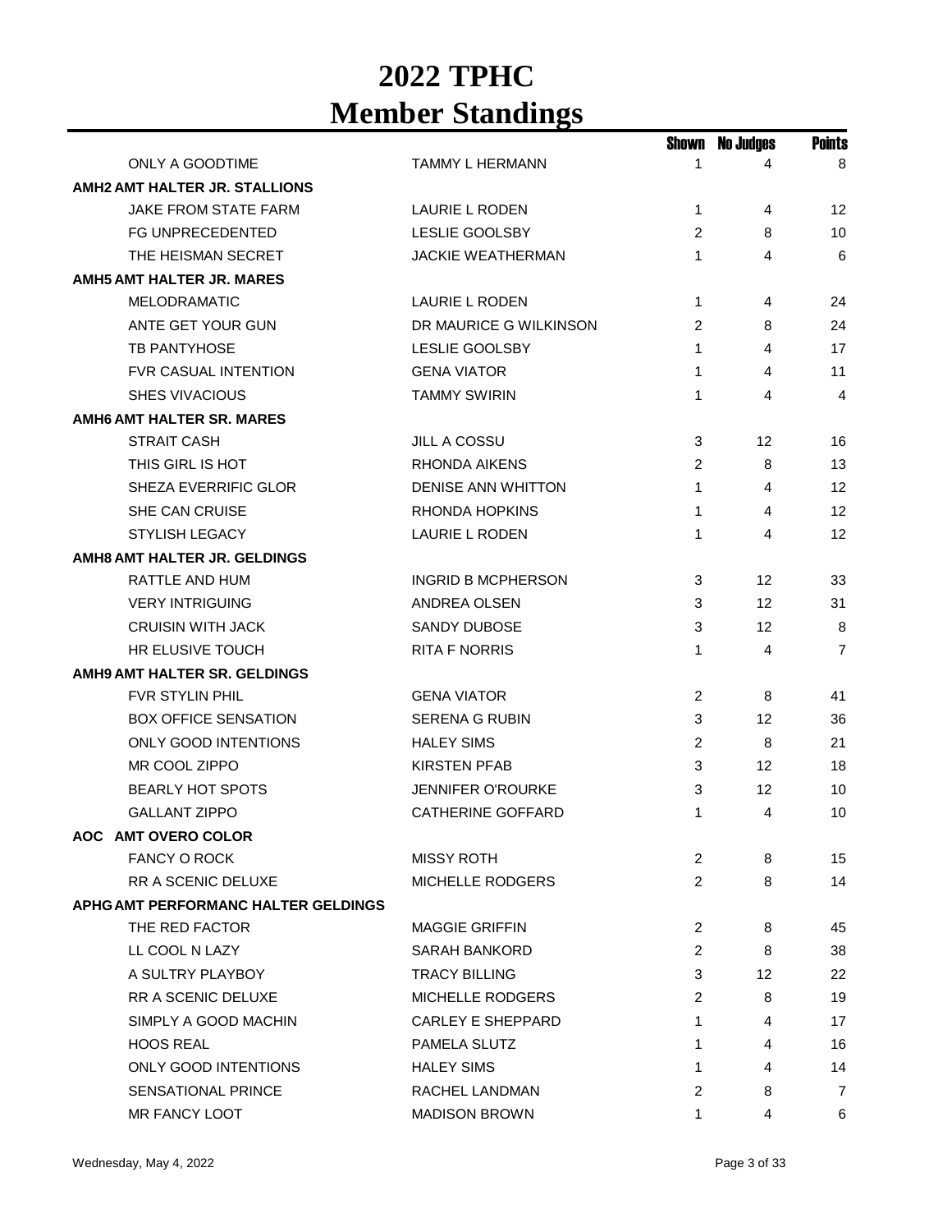|                                      |                           | Shown          | No Judges | <b>Points</b>  |
|--------------------------------------|---------------------------|----------------|-----------|----------------|
| ONLY A GOODTIME                      | <b>TAMMY L HERMANN</b>    | 1              | 4         | 8              |
| <b>AMH2 AMT HALTER JR. STALLIONS</b> |                           |                |           |                |
| JAKE FROM STATE FARM                 | LAURIE L RODEN            | 1              | 4         | 12             |
| <b>FG UNPRECEDENTED</b>              | <b>LESLIE GOOLSBY</b>     | 2              | 8         | 10             |
| THE HEISMAN SECRET                   | <b>JACKIE WEATHERMAN</b>  | 1              | 4         | 6              |
| <b>AMH5 AMT HALTER JR. MARES</b>     |                           |                |           |                |
| <b>MELODRAMATIC</b>                  | LAURIE L RODEN            | 1              | 4         | 24             |
| ANTE GET YOUR GUN                    | DR MAURICE G WILKINSON    | 2              | 8         | 24             |
| <b>TB PANTYHOSE</b>                  | <b>LESLIE GOOLSBY</b>     | 1              | 4         | 17             |
| <b>FVR CASUAL INTENTION</b>          | <b>GENA VIATOR</b>        | 1              | 4         | 11             |
| <b>SHES VIVACIOUS</b>                | <b>TAMMY SWIRIN</b>       | 1              | 4         | 4              |
| <b>AMH6 AMT HALTER SR. MARES</b>     |                           |                |           |                |
| <b>STRAIT CASH</b>                   | <b>JILL A COSSU</b>       | 3              | 12        | 16             |
| THIS GIRL IS HOT                     | RHONDA AIKENS             | $\overline{2}$ | 8         | 13             |
| SHEZA EVERRIFIC GLOR                 | <b>DENISE ANN WHITTON</b> | 1              | 4         | 12             |
| <b>SHE CAN CRUISE</b>                | <b>RHONDA HOPKINS</b>     | 1              | 4         | 12             |
| <b>STYLISH LEGACY</b>                | <b>LAURIE L RODEN</b>     | 1              | 4         | 12             |
| <b>AMH8 AMT HALTER JR. GELDINGS</b>  |                           |                |           |                |
| RATTLE AND HUM                       | <b>INGRID B MCPHERSON</b> | 3              | 12        | 33             |
| <b>VERY INTRIGUING</b>               | <b>ANDREA OLSEN</b>       | 3              | 12        | 31             |
| <b>CRUISIN WITH JACK</b>             | <b>SANDY DUBOSE</b>       | 3              | 12        | 8              |
| <b>HR ELUSIVE TOUCH</b>              | <b>RITA F NORRIS</b>      | 1              | 4         | $\overline{7}$ |
| AMH9 AMT HALTER SR. GELDINGS         |                           |                |           |                |
| <b>FVR STYLIN PHIL</b>               | <b>GENA VIATOR</b>        | $\overline{c}$ | 8         | 41             |
| <b>BOX OFFICE SENSATION</b>          | SERENA G RUBIN            | 3              | 12        | 36             |
| <b>ONLY GOOD INTENTIONS</b>          | <b>HALEY SIMS</b>         | $\overline{c}$ | 8         | 21             |
| MR COOL ZIPPO                        | <b>KIRSTEN PFAB</b>       | 3              | 12        | 18             |
| <b>BEARLY HOT SPOTS</b>              | <b>JENNIFER O'ROURKE</b>  | 3              | 12        | 10             |
| <b>GALLANT ZIPPO</b>                 | <b>CATHERINE GOFFARD</b>  | 1              | 4         | 10             |
| AOC AMT OVERO COLOR                  |                           |                |           |                |
| <b>FANCY O ROCK</b>                  | <b>MISSY ROTH</b>         | 2              | 8         | 15             |
| RR A SCENIC DELUXE                   | <b>MICHELLE RODGERS</b>   | $\overline{2}$ | 8         | 14             |
| APHG AMT PERFORMANC HALTER GELDINGS  |                           |                |           |                |
| THE RED FACTOR                       | <b>MAGGIE GRIFFIN</b>     | $\overline{2}$ | 8         | 45             |
| LL COOL N LAZY                       | SARAH BANKORD             | $\overline{2}$ | 8         | 38             |
| A SULTRY PLAYBOY                     | <b>TRACY BILLING</b>      | 3              | 12        | 22             |
| <b>RR A SCENIC DELUXE</b>            | MICHELLE RODGERS          | 2              | 8         | 19             |
| SIMPLY A GOOD MACHIN                 | CARLEY E SHEPPARD         | 1              | 4         | 17             |
| <b>HOOS REAL</b>                     | PAMELA SLUTZ              | 1              | 4         | 16             |
| ONLY GOOD INTENTIONS                 | <b>HALEY SIMS</b>         | 1              | 4         | 14             |
| <b>SENSATIONAL PRINCE</b>            | RACHEL LANDMAN            | 2              | 8         | 7              |
| MR FANCY LOOT                        | <b>MADISON BROWN</b>      | 1              | 4         | 6              |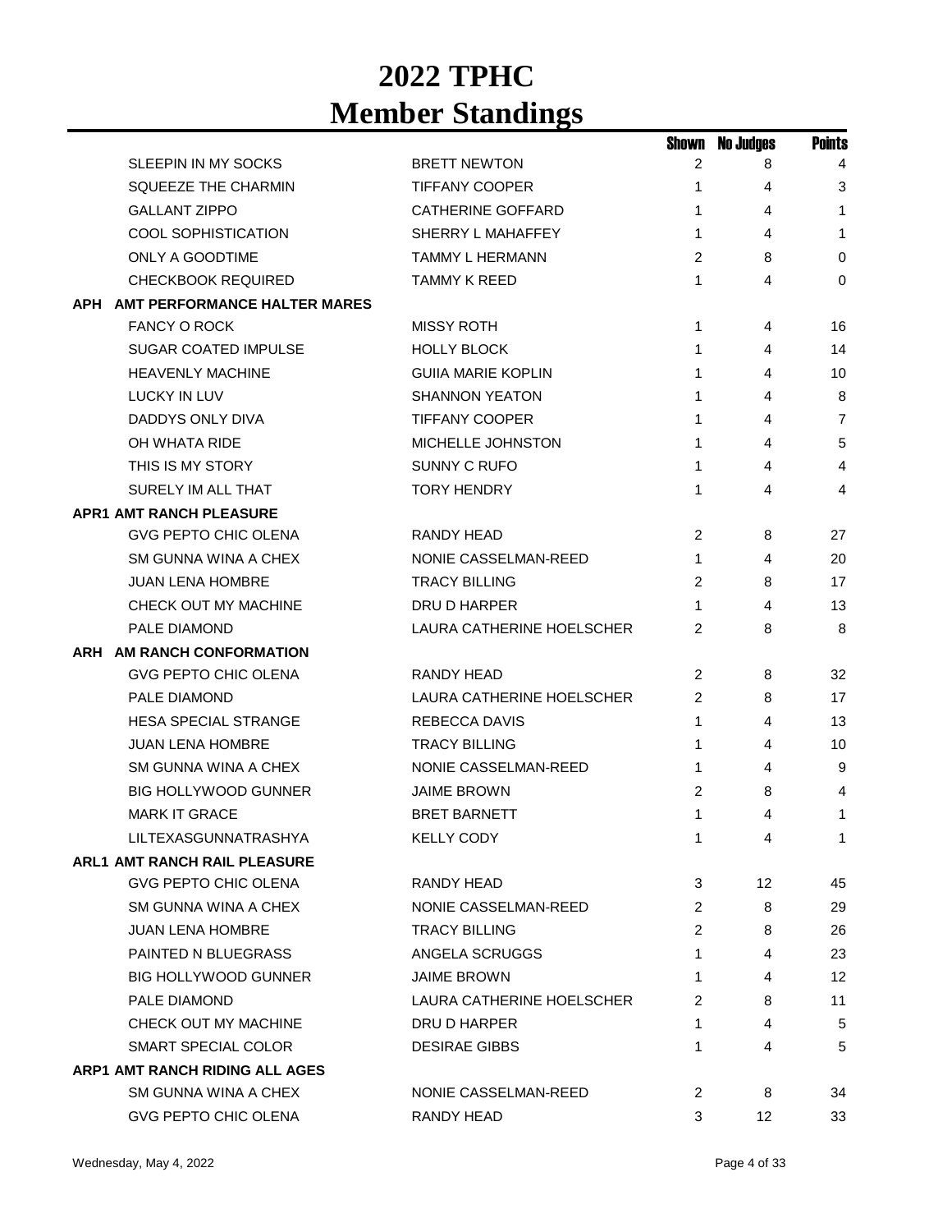|                                     |                           | Shown          | <b>No Judges</b> | <b>Points</b>  |
|-------------------------------------|---------------------------|----------------|------------------|----------------|
| SLEEPIN IN MY SOCKS                 | <b>BRETT NEWTON</b>       | 2              | 8                | $\overline{4}$ |
| <b>SQUEEZE THE CHARMIN</b>          | <b>TIFFANY COOPER</b>     | 1              | 4                | 3              |
| <b>GALLANT ZIPPO</b>                | <b>CATHERINE GOFFARD</b>  | 1              | 4                | 1              |
| <b>COOL SOPHISTICATION</b>          | SHERRY L MAHAFFEY         | 1              | 4                | $\mathbf{1}$   |
| ONLY A GOODTIME                     | TAMMY L HERMANN           | 2              | 8                | 0              |
| <b>CHECKBOOK REQUIRED</b>           | <b>TAMMY K REED</b>       | 1              | 4                | 0              |
| APH AMT PERFORMANCE HALTER MARES    |                           |                |                  |                |
| <b>FANCY O ROCK</b>                 | <b>MISSY ROTH</b>         | 1              | 4                | 16             |
| <b>SUGAR COATED IMPULSE</b>         | <b>HOLLY BLOCK</b>        | 1              | 4                | 14             |
| <b>HEAVENLY MACHINE</b>             | <b>GUIIA MARIE KOPLIN</b> | 1              | 4                | 10             |
| LUCKY IN LUV                        | <b>SHANNON YEATON</b>     | 1              | 4                | 8              |
| DADDYS ONLY DIVA                    | <b>TIFFANY COOPER</b>     | 1              | 4                | 7              |
| OH WHATA RIDE                       | MICHELLE JOHNSTON         | 1              | 4                | 5              |
| THIS IS MY STORY                    | SUNNY C RUFO              | 1              | 4                | $\overline{4}$ |
| SURELY IM ALL THAT                  | <b>TORY HENDRY</b>        | 1              | 4                | 4              |
| <b>APR1 AMT RANCH PLEASURE</b>      |                           |                |                  |                |
| <b>GVG PEPTO CHIC OLENA</b>         | RANDY HEAD                | 2              | 8                | 27             |
| SM GUNNA WINA A CHEX                | NONIE CASSELMAN-REED      | 1              | 4                | 20             |
| <b>JUAN LENA HOMBRE</b>             | <b>TRACY BILLING</b>      | 2              | 8                | 17             |
| CHECK OUT MY MACHINE                | DRU D HARPER              | 1              | 4                | 13             |
| PALE DIAMOND                        | LAURA CATHERINE HOELSCHER | $\overline{2}$ | 8                | 8              |
| ARH AM RANCH CONFORMATION           |                           |                |                  |                |
| <b>GVG PEPTO CHIC OLENA</b>         | <b>RANDY HEAD</b>         | 2              | 8                | 32             |
| PALE DIAMOND                        | LAURA CATHERINE HOELSCHER | 2              | 8                | 17             |
| <b>HESA SPECIAL STRANGE</b>         | <b>REBECCA DAVIS</b>      | $\mathbf{1}$   | 4                | 13             |
| <b>JUAN LENA HOMBRE</b>             | <b>TRACY BILLING</b>      | 1              | 4                | 10             |
| SM GUNNA WINA A CHEX                | NONIE CASSELMAN-REED      | 1              | 4                | 9              |
| <b>BIG HOLLYWOOD GUNNER</b>         | JAIME BROWN               | 2              | 8                | 4              |
| <b>MARK IT GRACE</b>                | <b>BRET BARNETT</b>       | 1              | 4                | 1              |
| LILTEXASGUNNATRASHYA                | <b>KELLY CODY</b>         | 1              | 4                | 1              |
| <b>ARL1 AMT RANCH RAIL PLEASURE</b> |                           |                |                  |                |
| GVG PEPTO CHIC OLENA                | RANDY HEAD                | 3              | 12               | 45             |
| SM GUNNA WINA A CHEX                | NONIE CASSELMAN-REED      | 2              | 8                | 29             |
| <b>JUAN LENA HOMBRE</b>             | <b>TRACY BILLING</b>      | 2              | 8                | 26             |
| <b>PAINTED N BLUEGRASS</b>          | ANGELA SCRUGGS            | 1              | 4                | 23             |
| <b>BIG HOLLYWOOD GUNNER</b>         | <b>JAIME BROWN</b>        | 1              | 4                | 12             |
| PALE DIAMOND                        | LAURA CATHERINE HOELSCHER | 2              | 8                | 11             |
| CHECK OUT MY MACHINE                | DRU D HARPER              | 1              | 4                | 5              |
| SMART SPECIAL COLOR                 | <b>DESIRAE GIBBS</b>      | 1              | 4                | 5              |
| ARP1 AMT RANCH RIDING ALL AGES      |                           |                |                  |                |
| SM GUNNA WINA A CHEX                | NONIE CASSELMAN-REED      | 2              | 8                | 34             |
| GVG PEPTO CHIC OLENA                | RANDY HEAD                | 3              | 12               | 33             |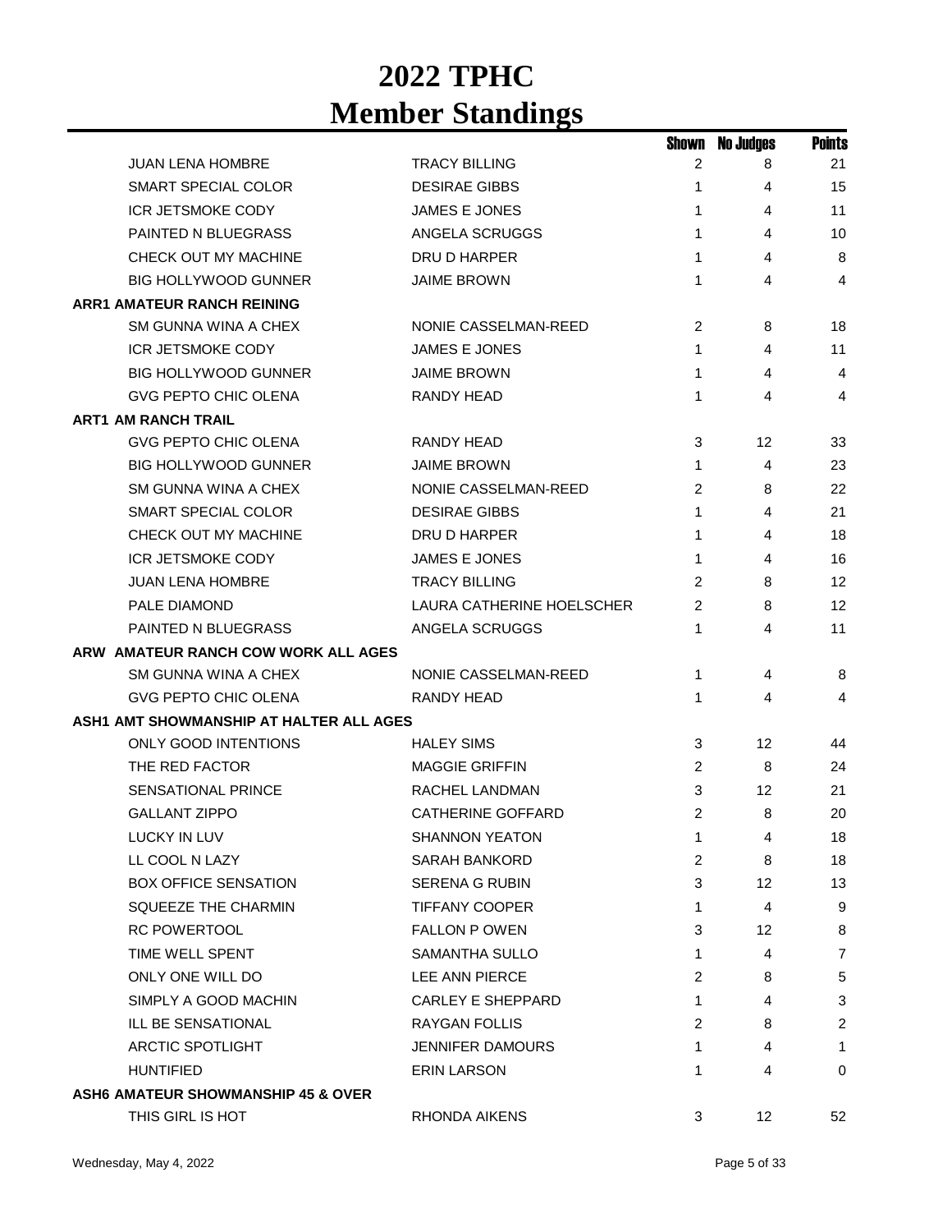|                                         |                           | Shown          | <b>No Judges</b> | <b>Points</b>  |
|-----------------------------------------|---------------------------|----------------|------------------|----------------|
| <b>JUAN LENA HOMBRE</b>                 | <b>TRACY BILLING</b>      | 2              | 8                | 21             |
| SMART SPECIAL COLOR                     | <b>DESIRAE GIBBS</b>      | 1              | 4                | 15             |
| ICR JETSMOKE CODY                       | <b>JAMES E JONES</b>      | $\mathbf 1$    | 4                | 11             |
| PAINTED N BLUEGRASS                     | ANGELA SCRUGGS            | 1              | 4                | 10             |
| CHECK OUT MY MACHINE                    | DRU D HARPER              | $\mathbf{1}$   | 4                | 8              |
| <b>BIG HOLLYWOOD GUNNER</b>             | <b>JAIME BROWN</b>        | 1              | 4                | $\overline{4}$ |
| <b>ARR1 AMATEUR RANCH REINING</b>       |                           |                |                  |                |
| SM GUNNA WINA A CHEX                    | NONIE CASSELMAN-REED      | 2              | 8                | 18             |
| ICR JETSMOKE CODY                       | JAMES E JONES             | 1              | 4                | 11             |
| <b>BIG HOLLYWOOD GUNNER</b>             | <b>JAIME BROWN</b>        | $\mathbf{1}$   | 4                | 4              |
| GVG PEPTO CHIC OLENA                    | RANDY HEAD                | 1              | 4                | 4              |
| <b>ART1 AM RANCH TRAIL</b>              |                           |                |                  |                |
| <b>GVG PEPTO CHIC OLENA</b>             | RANDY HEAD                | 3              | 12               | 33             |
| <b>BIG HOLLYWOOD GUNNER</b>             | <b>JAIME BROWN</b>        | 1              | 4                | 23             |
| SM GUNNA WINA A CHEX                    | NONIE CASSELMAN-REED      | 2              | 8                | 22             |
| SMART SPECIAL COLOR                     | <b>DESIRAE GIBBS</b>      | $\mathbf 1$    | 4                | 21             |
| CHECK OUT MY MACHINE                    | DRU D HARPER              | $\mathbf 1$    | 4                | 18             |
| ICR JETSMOKE CODY                       | JAMES E JONES             | $\mathbf 1$    | 4                | 16             |
| <b>JUAN LENA HOMBRE</b>                 | <b>TRACY BILLING</b>      | 2              | 8                | 12             |
| PALE DIAMOND                            | LAURA CATHERINE HOELSCHER | $\overline{2}$ | 8                | 12             |
| PAINTED N BLUEGRASS                     | ANGELA SCRUGGS            | 1              | 4                | 11             |
| ARW AMATEUR RANCH COW WORK ALL AGES     |                           |                |                  |                |
| SM GUNNA WINA A CHEX                    | NONIE CASSELMAN-REED      | 1              | 4                | 8              |
| <b>GVG PEPTO CHIC OLENA</b>             | <b>RANDY HEAD</b>         | 1              | 4                | 4              |
| ASH1 AMT SHOWMANSHIP AT HALTER ALL AGES |                           |                |                  |                |
| <b>ONLY GOOD INTENTIONS</b>             | <b>HALEY SIMS</b>         | 3              | 12 <sup>2</sup>  | 44             |
| THE RED FACTOR                          | <b>MAGGIE GRIFFIN</b>     | $\overline{c}$ | 8                | 24             |
| <b>SENSATIONAL PRINCE</b>               | RACHEL LANDMAN            | 3              | 12               | 21             |
| <b>GALLANT ZIPPO</b>                    | <b>CATHERINE GOFFARD</b>  | 2              | 8                | 20             |
| LUCKY IN LUV                            | <b>SHANNON YEATON</b>     | 1              | 4                | 18             |
| LL COOL N LAZY                          | <b>SARAH BANKORD</b>      | $\overline{c}$ | 8                | 18             |
| <b>BOX OFFICE SENSATION</b>             | <b>SERENA G RUBIN</b>     | 3              | 12               | 13             |
| SQUEEZE THE CHARMIN                     | <b>TIFFANY COOPER</b>     | 1              | 4                | 9              |
| <b>RC POWERTOOL</b>                     | <b>FALLON P OWEN</b>      | 3              | 12 <sup>°</sup>  | 8              |
| TIME WELL SPENT                         | <b>SAMANTHA SULLO</b>     | 1              | 4                | $\overline{7}$ |
| ONLY ONE WILL DO                        | LEE ANN PIERCE            | 2              | 8                | 5              |
| SIMPLY A GOOD MACHIN                    | <b>CARLEY E SHEPPARD</b>  | 1              | 4                | 3              |
| ILL BE SENSATIONAL                      | <b>RAYGAN FOLLIS</b>      | 2              | 8                | $\overline{2}$ |
| <b>ARCTIC SPOTLIGHT</b>                 | <b>JENNIFER DAMOURS</b>   | 1              | 4                | 1              |
| <b>HUNTIFIED</b>                        | <b>ERIN LARSON</b>        | 1              | 4                | 0              |
| ASH6 AMATEUR SHOWMANSHIP 45 & OVER      |                           |                |                  |                |
| THIS GIRL IS HOT                        | RHONDA AIKENS             | 3              | 12               | 52             |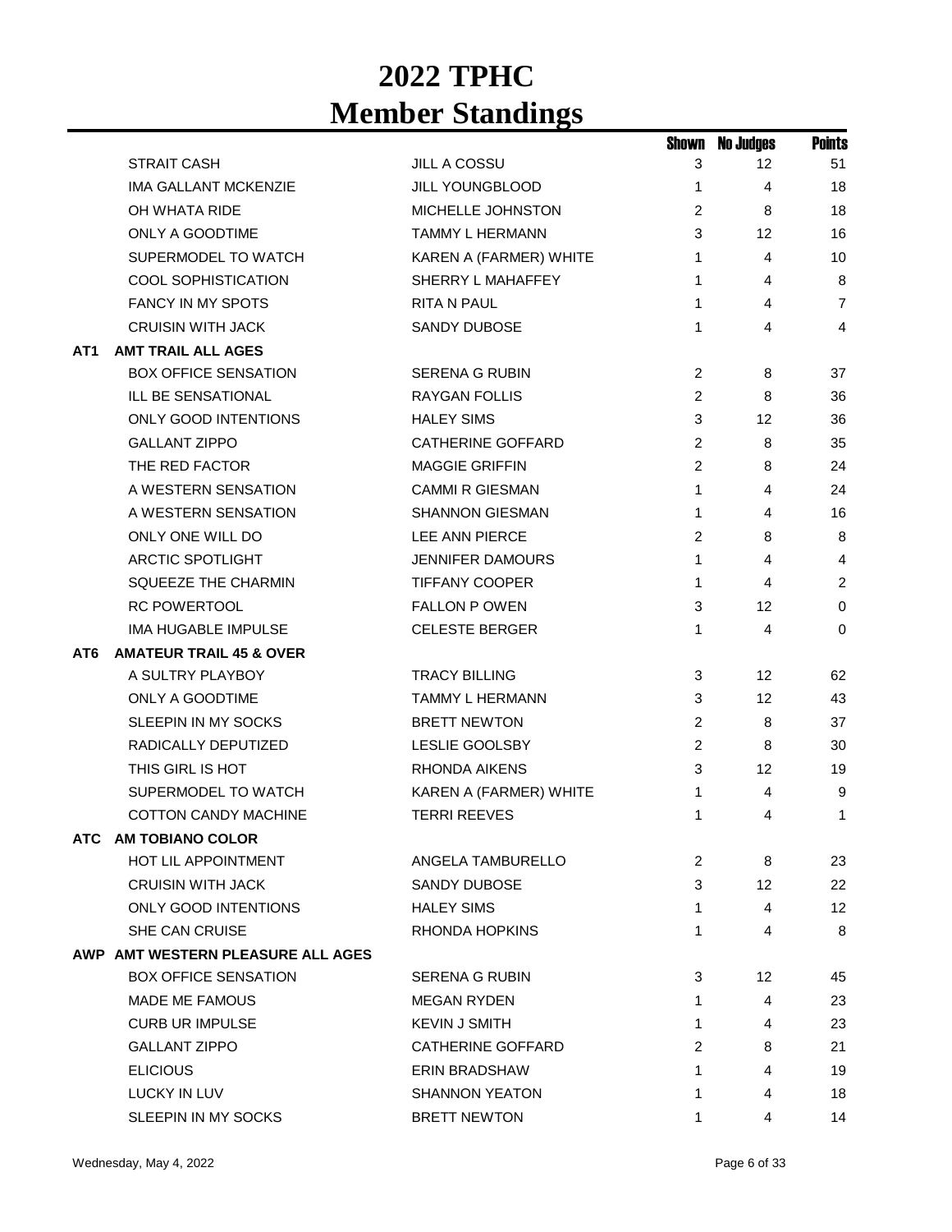|     |                                    |                          | Shown          | <b>No Judges</b>  | <b>Points</b>  |
|-----|------------------------------------|--------------------------|----------------|-------------------|----------------|
|     | <b>STRAIT CASH</b>                 | <b>JILL A COSSU</b>      | 3              | 12                | 51             |
|     | <b>IMA GALLANT MCKENZIE</b>        | JILL YOUNGBLOOD          | 1              | 4                 | 18             |
|     | OH WHATA RIDE                      | MICHELLE JOHNSTON        | 2              | 8                 | 18             |
|     | ONLY A GOODTIME                    | <b>TAMMY L HERMANN</b>   | 3              | 12                | 16             |
|     | SUPERMODEL TO WATCH                | KAREN A (FARMER) WHITE   | 1              | 4                 | 10             |
|     | <b>COOL SOPHISTICATION</b>         | SHERRY L MAHAFFEY        | 1              | 4                 | 8              |
|     | <b>FANCY IN MY SPOTS</b>           | RITA N PAUL              | 1              | 4                 | $\overline{7}$ |
|     | <b>CRUISIN WITH JACK</b>           | <b>SANDY DUBOSE</b>      | 1              | 4                 | 4              |
| AT1 | <b>AMT TRAIL ALL AGES</b>          |                          |                |                   |                |
|     | <b>BOX OFFICE SENSATION</b>        | <b>SERENA G RUBIN</b>    | $\overline{c}$ | 8                 | 37             |
|     | ILL BE SENSATIONAL                 | <b>RAYGAN FOLLIS</b>     | 2              | 8                 | 36             |
|     | <b>ONLY GOOD INTENTIONS</b>        | <b>HALEY SIMS</b>        | 3              | 12                | 36             |
|     | <b>GALLANT ZIPPO</b>               | <b>CATHERINE GOFFARD</b> | 2              | 8                 | 35             |
|     | THE RED FACTOR                     | <b>MAGGIE GRIFFIN</b>    | 2              | 8                 | 24             |
|     | A WESTERN SENSATION                | <b>CAMMI R GIESMAN</b>   | 1              | 4                 | 24             |
|     | A WESTERN SENSATION                | <b>SHANNON GIESMAN</b>   | 1              | 4                 | 16             |
|     | ONLY ONE WILL DO                   | LEE ANN PIERCE           | 2              | 8                 | 8              |
|     | <b>ARCTIC SPOTLIGHT</b>            | <b>JENNIFER DAMOURS</b>  | 1              | 4                 | 4              |
|     | SQUEEZE THE CHARMIN                | <b>TIFFANY COOPER</b>    | 1              | 4                 | $\overline{2}$ |
|     | <b>RC POWERTOOL</b>                | <b>FALLON P OWEN</b>     | 3              | 12                | 0              |
|     | IMA HUGABLE IMPULSE                | <b>CELESTE BERGER</b>    | 1              | 4                 | $\Omega$       |
| AT6 | <b>AMATEUR TRAIL 45 &amp; OVER</b> |                          |                |                   |                |
|     | A SULTRY PLAYBOY                   | <b>TRACY BILLING</b>     | 3              | $12 \overline{ }$ | 62             |
|     | ONLY A GOODTIME                    | TAMMY L HERMANN          | 3              | 12                | 43             |
|     | SLEEPIN IN MY SOCKS                | <b>BRETT NEWTON</b>      | 2              | 8                 | 37             |
|     | RADICALLY DEPUTIZED                | LESLIE GOOLSBY           | $\overline{2}$ | 8                 | 30             |
|     | THIS GIRL IS HOT                   | <b>RHONDA AIKENS</b>     | 3              | 12                | 19             |
|     | SUPERMODEL TO WATCH                | KAREN A (FARMER) WHITE   | 1              | 4                 | 9              |
|     | <b>COTTON CANDY MACHINE</b>        | <b>TERRI REEVES</b>      | 1              | 4                 | 1              |
|     | ATC AM TOBIANO COLOR               |                          |                |                   |                |
|     | <b>HOT LIL APPOINTMENT</b>         | ANGELA TAMBURELLO        | 2              | 8                 | 23             |
|     | <b>CRUISIN WITH JACK</b>           | SANDY DUBOSE             | 3              | 12                | 22             |
|     | <b>ONLY GOOD INTENTIONS</b>        | <b>HALEY SIMS</b>        | 1              | 4                 | 12             |
|     | SHE CAN CRUISE                     | <b>RHONDA HOPKINS</b>    | 1              | 4                 | 8              |
|     | AWP AMT WESTERN PLEASURE ALL AGES  |                          |                |                   |                |
|     | <b>BOX OFFICE SENSATION</b>        | SERENA G RUBIN           | 3              | 12                | 45             |
|     | MADE ME FAMOUS                     | <b>MEGAN RYDEN</b>       | 1              | 4                 | 23             |
|     | <b>CURB UR IMPULSE</b>             | <b>KEVIN J SMITH</b>     | 1              | 4                 | 23             |
|     | <b>GALLANT ZIPPO</b>               | <b>CATHERINE GOFFARD</b> | 2              | 8                 | 21             |
|     | <b>ELICIOUS</b>                    | ERIN BRADSHAW            | 1              | 4                 | 19             |
|     | <b>LUCKY IN LUV</b>                | <b>SHANNON YEATON</b>    | 1              | 4                 | 18             |
|     | SLEEPIN IN MY SOCKS                | <b>BRETT NEWTON</b>      | 1              | 4                 | 14             |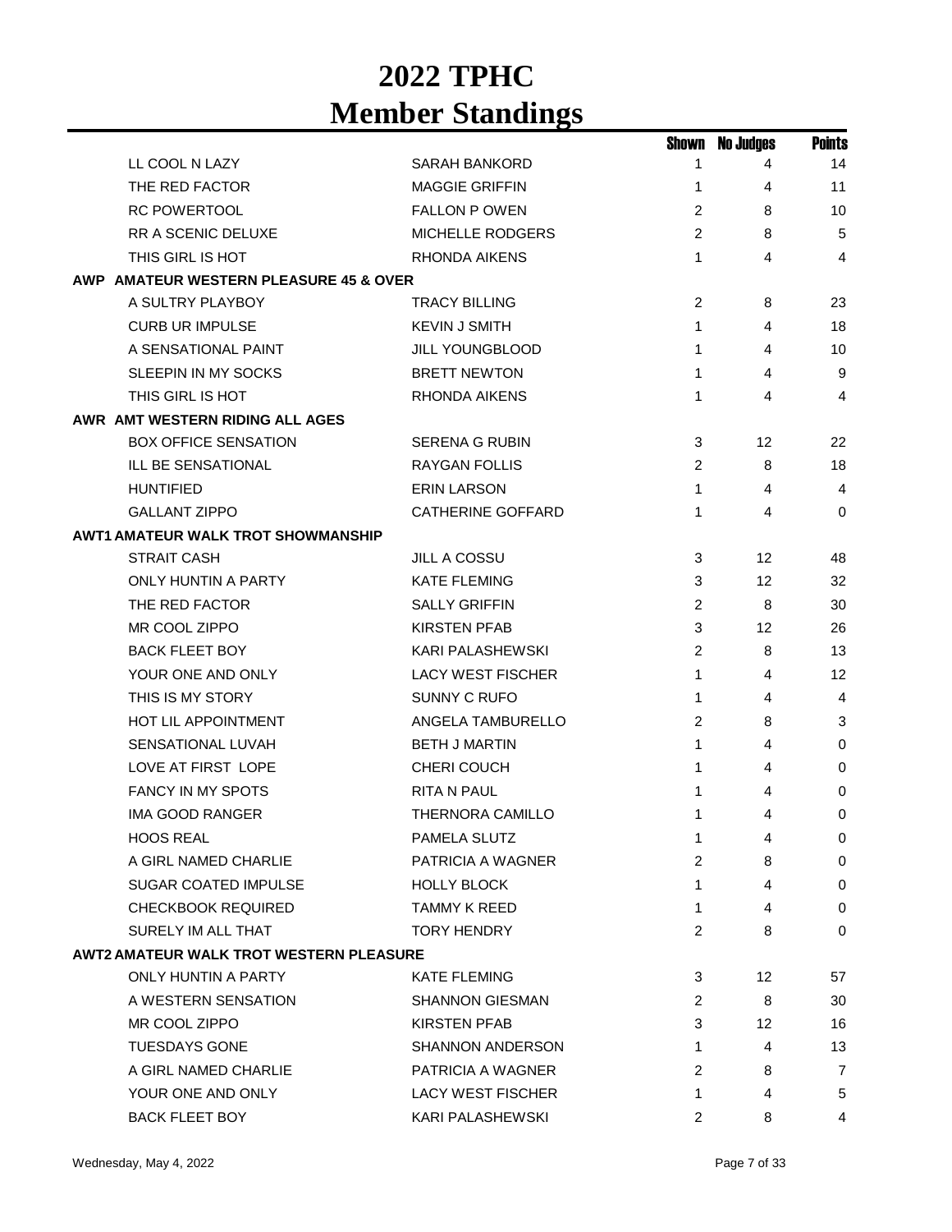|                                                |                          | Shown          | <b>No Judges</b> | <b>Points</b> |
|------------------------------------------------|--------------------------|----------------|------------------|---------------|
| LL COOL N LAZY                                 | <b>SARAH BANKORD</b>     | 1              | 4                | 14            |
| THE RED FACTOR                                 | <b>MAGGIE GRIFFIN</b>    | 1              | 4                | 11            |
| <b>RC POWERTOOL</b>                            | <b>FALLON P OWEN</b>     | 2              | 8                | 10            |
| RR A SCENIC DELUXE                             | <b>MICHELLE RODGERS</b>  | 2              | 8                | 5             |
| THIS GIRL IS HOT                               | RHONDA AIKENS            | $\mathbf{1}$   | 4                | 4             |
| AWP AMATEUR WESTERN PLEASURE 45 & OVER         |                          |                |                  |               |
| A SULTRY PLAYBOY                               | TRACY BILLING            | 2              | 8                | 23            |
| <b>CURB UR IMPULSE</b>                         | <b>KEVIN J SMITH</b>     | 1              | 4                | 18            |
| A SENSATIONAL PAINT                            | <b>JILL YOUNGBLOOD</b>   | 1              | 4                | 10            |
| SLEEPIN IN MY SOCKS                            | <b>BRETT NEWTON</b>      | 1              | 4                | 9             |
| THIS GIRL IS HOT                               | <b>RHONDA AIKENS</b>     | 1              | 4                | 4             |
| AWR AMT WESTERN RIDING ALL AGES                |                          |                |                  |               |
| <b>BOX OFFICE SENSATION</b>                    | <b>SERENA G RUBIN</b>    | 3              | 12               | 22            |
| ILL BE SENSATIONAL                             | RAYGAN FOLLIS            | 2              | 8                | 18            |
| <b>HUNTIFIED</b>                               | <b>ERIN LARSON</b>       | 1              | 4                | 4             |
| <b>GALLANT ZIPPO</b>                           | <b>CATHERINE GOFFARD</b> | 1              | 4                | $\Omega$      |
| <b>AWT1 AMATEUR WALK TROT SHOWMANSHIP</b>      |                          |                |                  |               |
| <b>STRAIT CASH</b>                             | JILL A COSSU             | 3              | 12               | 48            |
| <b>ONLY HUNTIN A PARTY</b>                     | <b>KATE FLEMING</b>      | 3              | 12               | 32            |
| THE RED FACTOR                                 | <b>SALLY GRIFFIN</b>     | 2              | 8                | 30            |
| MR COOL ZIPPO                                  | <b>KIRSTEN PFAB</b>      | 3              | 12               | 26            |
| <b>BACK FLEET BOY</b>                          | <b>KARI PALASHEWSKI</b>  | 2              | 8                | 13            |
| YOUR ONE AND ONLY                              | <b>LACY WEST FISCHER</b> | $\mathbf{1}$   | 4                | 12            |
| THIS IS MY STORY                               | <b>SUNNY C RUFO</b>      | 1              | 4                | 4             |
| <b>HOT LIL APPOINTMENT</b>                     | ANGELA TAMBURELLO        | 2              | 8                | 3             |
| SENSATIONAL LUVAH                              | <b>BETH J MARTIN</b>     | $\mathbf{1}$   | 4                | 0             |
| LOVE AT FIRST LOPE                             | CHERI COUCH              | 1              | 4                | 0             |
| <b>FANCY IN MY SPOTS</b>                       | <b>RITA N PAUL</b>       | 1              | 4                | 0             |
| <b>IMA GOOD RANGER</b>                         | <b>THERNORA CAMILLO</b>  | 1              | 4                | $\Omega$      |
| <b>HOOS REAL</b>                               | PAMELA SLUTZ             | 1              | 4                | 0             |
| A GIRL NAMED CHARLIE                           | PATRICIA A WAGNER        | $\overline{2}$ | 8                | 0             |
| <b>SUGAR COATED IMPULSE</b>                    | <b>HOLLY BLOCK</b>       | 1              | 4                | 0             |
| <b>CHECKBOOK REQUIRED</b>                      | <b>TAMMY K REED</b>      | 1              | 4                | $\mathbf 0$   |
| SURELY IM ALL THAT                             | <b>TORY HENDRY</b>       | 2              | 8                | 0             |
| <b>AWT2 AMATEUR WALK TROT WESTERN PLEASURE</b> |                          |                |                  |               |
| ONLY HUNTIN A PARTY                            | <b>KATE FLEMING</b>      | 3              | 12               | 57            |
| A WESTERN SENSATION                            | <b>SHANNON GIESMAN</b>   | 2              | 8                | 30            |
| MR COOL ZIPPO                                  | <b>KIRSTEN PFAB</b>      | 3              | 12               | 16            |
| <b>TUESDAYS GONE</b>                           | <b>SHANNON ANDERSON</b>  | 1              | 4                | 13            |
| A GIRL NAMED CHARLIE                           | PATRICIA A WAGNER        | 2              | 8                | 7             |
| YOUR ONE AND ONLY                              | <b>LACY WEST FISCHER</b> | 1              | 4                | 5             |
| <b>BACK FLEET BOY</b>                          | KARI PALASHEWSKI         | $\overline{2}$ | 8                | 4             |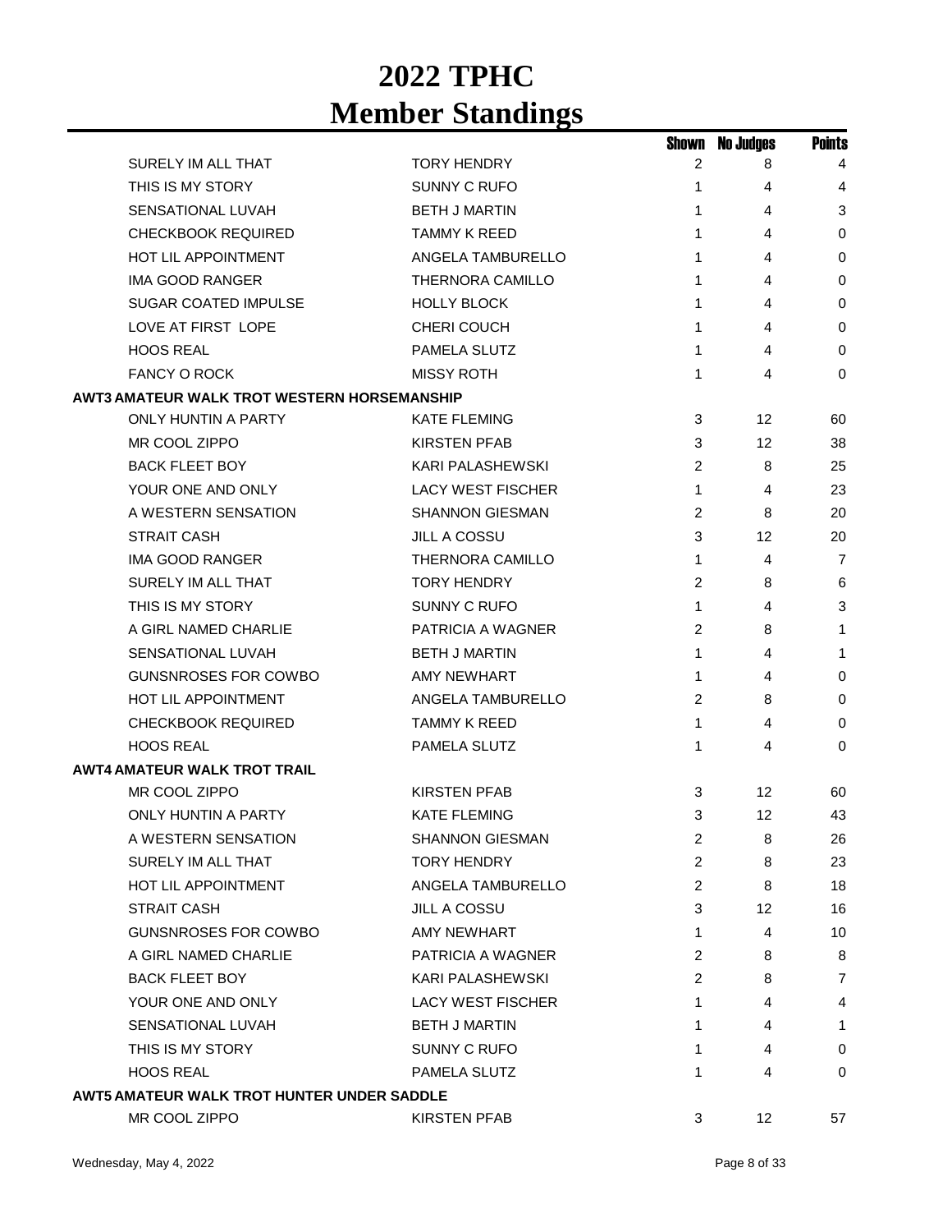|                                                    |                          | Shown          | <b>No Judges</b> | <b>Points</b>  |
|----------------------------------------------------|--------------------------|----------------|------------------|----------------|
| SURELY IM ALL THAT                                 | <b>TORY HENDRY</b>       | 2              | 8                | 4              |
| THIS IS MY STORY                                   | SUNNY C RUFO             | 1              | 4                | 4              |
| <b>SENSATIONAL LUVAH</b>                           | <b>BETH J MARTIN</b>     | 1              | 4                | 3              |
| <b>CHECKBOOK REQUIRED</b>                          | <b>TAMMY K REED</b>      | 1              | 4                | $\mathbf 0$    |
| <b>HOT LIL APPOINTMENT</b>                         | ANGELA TAMBURELLO        | 1              | 4                | 0              |
| <b>IMA GOOD RANGER</b>                             | <b>THERNORA CAMILLO</b>  | 1              | 4                | 0              |
| <b>SUGAR COATED IMPULSE</b>                        | <b>HOLLY BLOCK</b>       | 1              | 4                | $\mathbf 0$    |
| LOVE AT FIRST LOPE                                 | CHERI COUCH              | 1              | 4                | 0              |
| <b>HOOS REAL</b>                                   | <b>PAMELA SLUTZ</b>      | 1              | 4                | $\mathbf 0$    |
| <b>FANCY O ROCK</b>                                | <b>MISSY ROTH</b>        | 1              | 4                | 0              |
| <b>AWT3 AMATEUR WALK TROT WESTERN HORSEMANSHIP</b> |                          |                |                  |                |
| <b>ONLY HUNTIN A PARTY</b>                         | <b>KATE FLEMING</b>      | 3              | 12               | 60             |
| MR COOL ZIPPO                                      | <b>KIRSTEN PFAB</b>      | 3              | 12               | 38             |
| <b>BACK FLEET BOY</b>                              | <b>KARI PALASHEWSKI</b>  | 2              | 8                | 25             |
| YOUR ONE AND ONLY                                  | <b>LACY WEST FISCHER</b> | 1              | 4                | 23             |
| A WESTERN SENSATION                                | <b>SHANNON GIESMAN</b>   | 2              | 8                | 20             |
| <b>STRAIT CASH</b>                                 | <b>JILL A COSSU</b>      | 3              | 12               | 20             |
| IMA GOOD RANGER                                    | <b>THERNORA CAMILLO</b>  | 1              | 4                | $\overline{7}$ |
| SURELY IM ALL THAT                                 | <b>TORY HENDRY</b>       | 2              | 8                | 6              |
| THIS IS MY STORY                                   | SUNNY C RUFO             | 1              | 4                | 3              |
| A GIRL NAMED CHARLIE                               | PATRICIA A WAGNER        | 2              | 8                | 1              |
| <b>SENSATIONAL LUVAH</b>                           | <b>BETH J MARTIN</b>     | 1              | 4                | 1              |
| <b>GUNSNROSES FOR COWBO</b>                        | AMY NEWHART              | 1              | 4                | $\mathbf 0$    |
| <b>HOT LIL APPOINTMENT</b>                         | ANGELA TAMBURELLO        | 2              | 8                | 0              |
| <b>CHECKBOOK REQUIRED</b>                          | TAMMY K REED             | $\mathbf 1$    | 4                | 0              |
| <b>HOOS REAL</b>                                   | PAMELA SLUTZ             | 1              | 4                | 0              |
| <b>AWT4 AMATEUR WALK TROT TRAIL</b>                |                          |                |                  |                |
| MR COOL ZIPPO                                      | <b>KIRSTEN PFAB</b>      | 3              | 12               | 60             |
| <b>ONLY HUNTIN A PARTY</b>                         | <b>KATE FLEMING</b>      | 3              | 12               | 43             |
| A WESTERN SENSATION                                | <b>SHANNON GIESMAN</b>   | 2              | 8                | 26             |
| SURELY IM ALL THAT                                 | <b>TORY HENDRY</b>       | $\overline{2}$ | 8                | 23             |
| HOT LIL APPOINTMENT                                | ANGELA TAMBURELLO        | $\overline{c}$ | 8                | 18             |
| <b>STRAIT CASH</b>                                 | <b>JILL A COSSU</b>      | 3              | 12 <sup>°</sup>  | 16             |
| <b>GUNSNROSES FOR COWBO</b>                        | AMY NEWHART              | 1              | 4                | 10             |
| A GIRL NAMED CHARLIE                               | PATRICIA A WAGNER        | 2              | 8                | 8              |
| <b>BACK FLEET BOY</b>                              | KARI PALASHEWSKI         | 2              | 8                | 7              |
| YOUR ONE AND ONLY                                  | <b>LACY WEST FISCHER</b> | 1              | 4                | 4              |
| SENSATIONAL LUVAH                                  | <b>BETH J MARTIN</b>     | 1              | 4                | 1              |
| THIS IS MY STORY                                   | SUNNY C RUFO             | 1              | 4                | 0              |
| <b>HOOS REAL</b>                                   | PAMELA SLUTZ             | 1              | 4                | 0              |
| AWT5 AMATEUR WALK TROT HUNTER UNDER SADDLE         |                          |                |                  |                |
| MR COOL ZIPPO                                      | <b>KIRSTEN PFAB</b>      | 3              | 12               | 57             |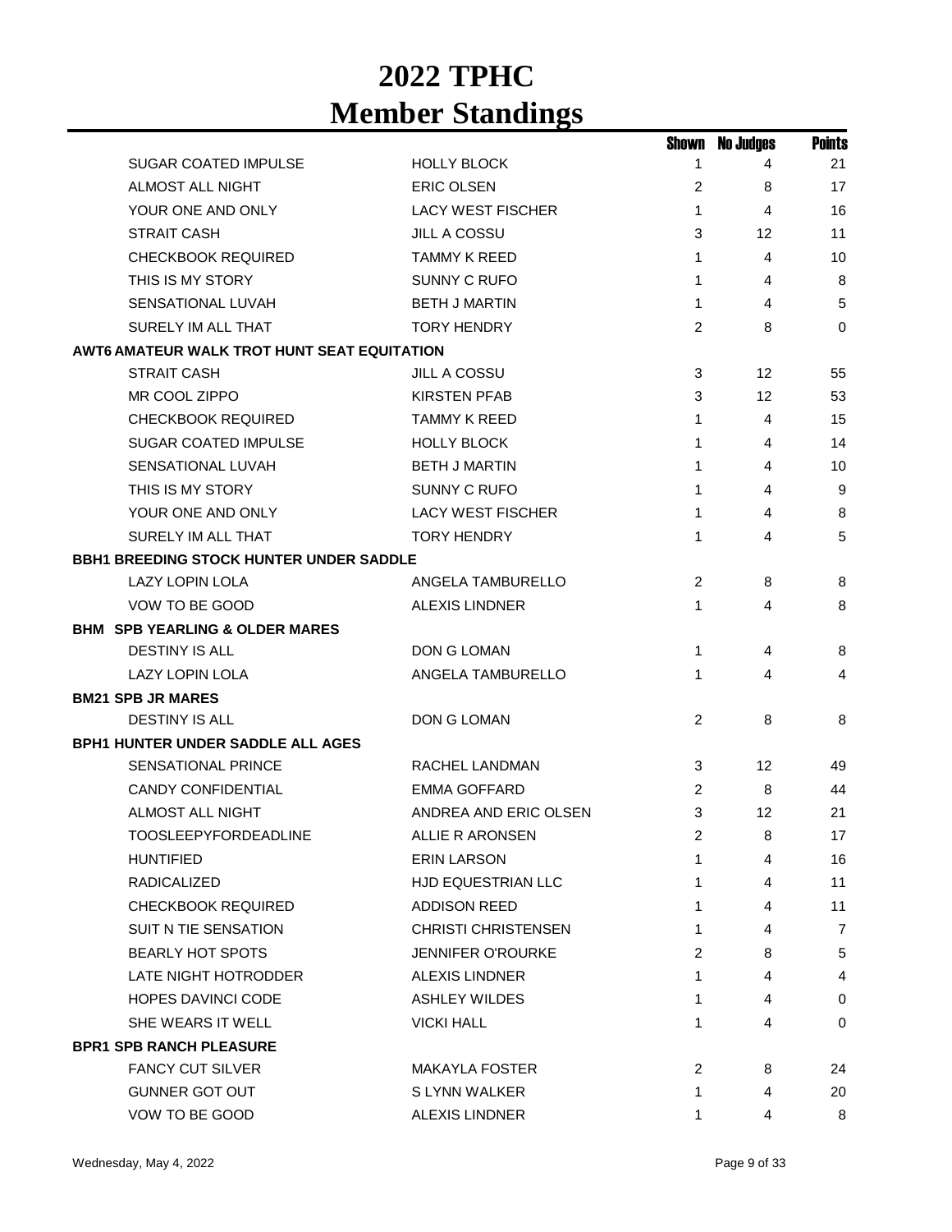|                                                    |                            | Shown          | <b>No Judges</b> | <b>Points</b>  |
|----------------------------------------------------|----------------------------|----------------|------------------|----------------|
| <b>SUGAR COATED IMPULSE</b>                        | <b>HOLLY BLOCK</b>         | 1              | 4                | 21             |
| <b>ALMOST ALL NIGHT</b>                            | <b>ERIC OLSEN</b>          | 2              | 8                | 17             |
| YOUR ONE AND ONLY                                  | <b>LACY WEST FISCHER</b>   | $\mathbf{1}$   | 4                | 16             |
| <b>STRAIT CASH</b>                                 | <b>JILL A COSSU</b>        | 3              | 12               | 11             |
| <b>CHECKBOOK REQUIRED</b>                          | TAMMY K REED               | 1              | 4                | 10             |
| THIS IS MY STORY                                   | <b>SUNNY C RUFO</b>        | 1              | 4                | 8              |
| SENSATIONAL LUVAH                                  | <b>BETH J MARTIN</b>       | $\mathbf{1}$   | $\overline{4}$   | 5              |
| SURELY IM ALL THAT                                 | <b>TORY HENDRY</b>         | 2              | 8                | $\Omega$       |
| <b>AWT6 AMATEUR WALK TROT HUNT SEAT EQUITATION</b> |                            |                |                  |                |
| <b>STRAIT CASH</b>                                 | <b>JILL A COSSU</b>        | 3              | 12 <sup>2</sup>  | 55             |
| MR COOL ZIPPO                                      | <b>KIRSTEN PFAB</b>        | 3              | 12 <sup>2</sup>  | 53             |
| <b>CHECKBOOK REQUIRED</b>                          | <b>TAMMY K REED</b>        | $\mathbf{1}$   | 4                | 15             |
| SUGAR COATED IMPULSE                               | <b>HOLLY BLOCK</b>         | 1              | 4                | 14             |
| <b>SENSATIONAL LUVAH</b>                           | <b>BETH J MARTIN</b>       | $\mathbf{1}$   | 4                | 10             |
| THIS IS MY STORY                                   | SUNNY C RUFO               | 1              | 4                | 9              |
| YOUR ONE AND ONLY                                  | <b>LACY WEST FISCHER</b>   | 1              | 4                | 8              |
| SURELY IM ALL THAT                                 | <b>TORY HENDRY</b>         | 1              | 4                | 5              |
| <b>BBH1 BREEDING STOCK HUNTER UNDER SADDLE</b>     |                            |                |                  |                |
| <b>LAZY LOPIN LOLA</b>                             | ANGELA TAMBURELLO          | 2              | 8                | 8              |
| VOW TO BE GOOD                                     | <b>ALEXIS LINDNER</b>      | 1              | 4                | 8              |
| <b>BHM SPB YEARLING &amp; OLDER MARES</b>          |                            |                |                  |                |
| <b>DESTINY IS ALL</b>                              | DON G LOMAN                | 1              | 4                | 8              |
| <b>LAZY LOPIN LOLA</b>                             | ANGELA TAMBURELLO          | $\mathbf{1}$   | 4                | 4              |
| <b>BM21 SPB JR MARES</b>                           |                            |                |                  |                |
| <b>DESTINY IS ALL</b>                              | DON G LOMAN                | 2              | 8                | 8              |
| <b>BPH1 HUNTER UNDER SADDLE ALL AGES</b>           |                            |                |                  |                |
| <b>SENSATIONAL PRINCE</b>                          | RACHEL LANDMAN             | 3              | 12               | 49             |
| <b>CANDY CONFIDENTIAL</b>                          | EMMA GOFFARD               | 2              | 8                | 44             |
| ALMOST ALL NIGHT                                   | ANDREA AND ERIC OLSEN      | 3              | 12               | 21             |
| <b>TOOSLEEPYFORDEADLINE</b>                        | ALLIE R ARONSEN            | $\overline{2}$ | 8                | 17             |
| <b>HUNTIFIED</b>                                   | <b>ERIN LARSON</b>         | 1              | 4                | 16             |
| <b>RADICALIZED</b>                                 | <b>HJD EQUESTRIAN LLC</b>  | 1              | 4                | 11             |
| <b>CHECKBOOK REQUIRED</b>                          | <b>ADDISON REED</b>        | 1              | 4                | 11             |
| SUIT N TIE SENSATION                               | <b>CHRISTI CHRISTENSEN</b> | 1              | 4                | $\overline{7}$ |
| <b>BEARLY HOT SPOTS</b>                            | JENNIFER O'ROURKE          | 2              | 8                | 5              |
| LATE NIGHT HOTRODDER                               | <b>ALEXIS LINDNER</b>      | 1              | 4                | 4              |
| <b>HOPES DAVINCI CODE</b>                          | ASHLEY WILDES              | 1              | 4                | $\mathbf 0$    |
| SHE WEARS IT WELL                                  | <b>VICKI HALL</b>          | 1              | 4                | 0              |
| <b>BPR1 SPB RANCH PLEASURE</b>                     |                            |                |                  |                |
| <b>FANCY CUT SILVER</b>                            | <b>MAKAYLA FOSTER</b>      | 2              | 8                | 24             |
| <b>GUNNER GOT OUT</b>                              | S LYNN WALKER              | 1              | 4                | 20             |
| VOW TO BE GOOD                                     | <b>ALEXIS LINDNER</b>      | 1              | 4                | 8              |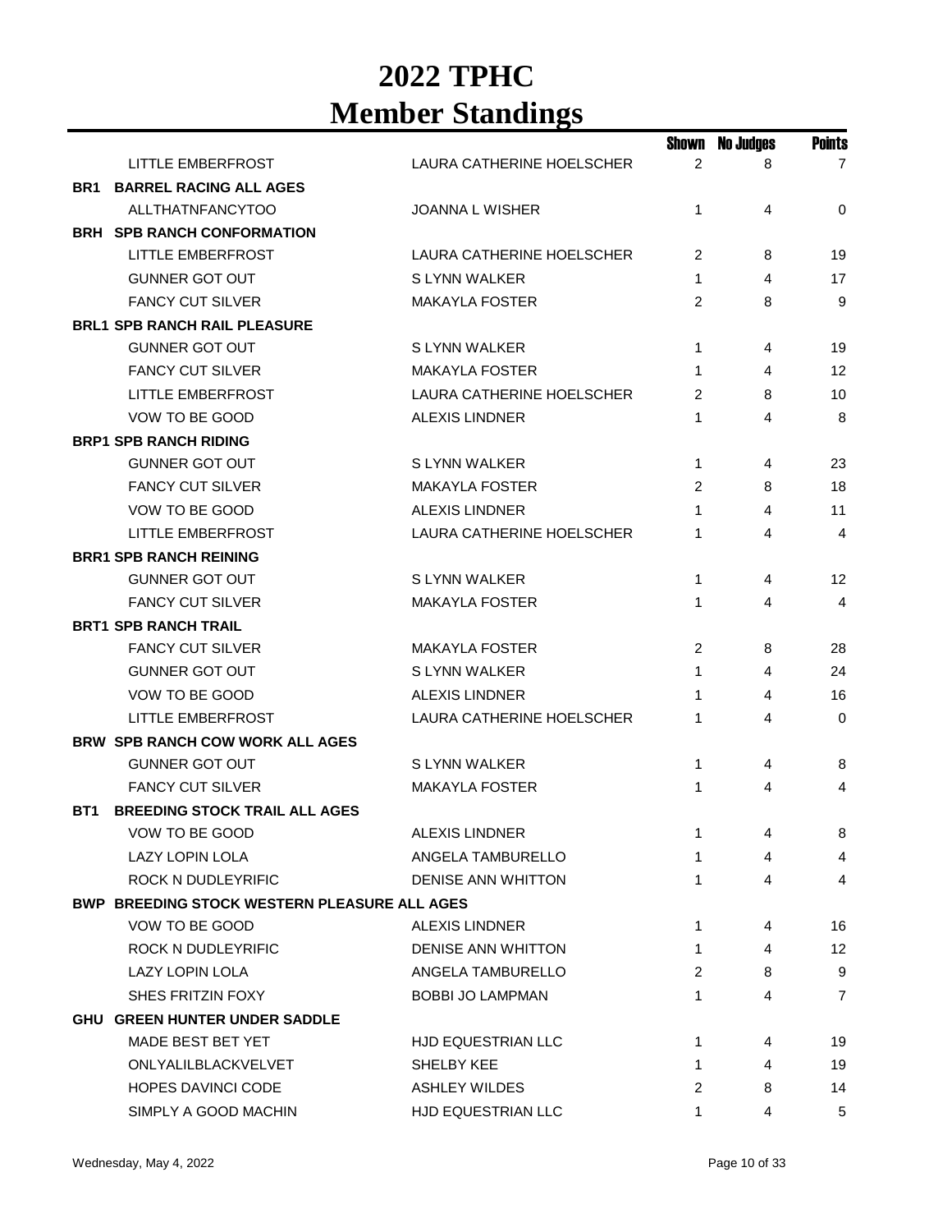|                                              |                           | Shown          | No Judges | <b>Points</b>  |
|----------------------------------------------|---------------------------|----------------|-----------|----------------|
| <b>LITTLE EMBERFROST</b>                     | LAURA CATHERINE HOELSCHER | $\overline{2}$ | 8         | $\overline{7}$ |
| <b>BARREL RACING ALL AGES</b><br>BR1         |                           |                |           |                |
| <b>ALLTHATNFANCYTOO</b>                      | <b>JOANNA L WISHER</b>    | $\mathbf{1}$   | 4         | $\mathbf 0$    |
| <b>BRH SPB RANCH CONFORMATION</b>            |                           |                |           |                |
| LITTLE EMBERFROST                            | LAURA CATHERINE HOELSCHER | 2              | 8         | 19             |
| <b>GUNNER GOT OUT</b>                        | S LYNN WALKER             | $\mathbf 1$    | 4         | 17             |
| <b>FANCY CUT SILVER</b>                      | <b>MAKAYLA FOSTER</b>     | 2              | 8         | 9              |
| <b>BRL1 SPB RANCH RAIL PLEASURE</b>          |                           |                |           |                |
| <b>GUNNER GOT OUT</b>                        | S LYNN WALKER             | $\mathbf{1}$   | 4         | 19             |
| <b>FANCY CUT SILVER</b>                      | <b>MAKAYLA FOSTER</b>     | 1              | 4         | 12             |
| <b>LITTLE EMBERFROST</b>                     | LAURA CATHERINE HOELSCHER | 2              | 8         | 10             |
| VOW TO BE GOOD                               | <b>ALEXIS LINDNER</b>     | 1              | 4         | 8              |
| <b>BRP1 SPB RANCH RIDING</b>                 |                           |                |           |                |
| <b>GUNNER GOT OUT</b>                        | S LYNN WALKER             | $\mathbf{1}$   | 4         | 23             |
| <b>FANCY CUT SILVER</b>                      | <b>MAKAYLA FOSTER</b>     | $\overline{c}$ | 8         | 18             |
| VOW TO BE GOOD                               | <b>ALEXIS LINDNER</b>     | 1              | 4         | 11             |
| <b>LITTLE EMBERFROST</b>                     | LAURA CATHERINE HOELSCHER | 1              | 4         | 4              |
| <b>BRR1 SPB RANCH REINING</b>                |                           |                |           |                |
| <b>GUNNER GOT OUT</b>                        | S LYNN WALKER             | $\mathbf{1}$   | 4         | 12             |
| <b>FANCY CUT SILVER</b>                      | <b>MAKAYLA FOSTER</b>     | 1              | 4         | 4              |
| <b>BRT1 SPB RANCH TRAIL</b>                  |                           |                |           |                |
| <b>FANCY CUT SILVER</b>                      | MAKAYLA FOSTER            | 2              | 8         | 28             |
| <b>GUNNER GOT OUT</b>                        | S LYNN WALKER             | 1              | 4         | 24             |
| VOW TO BE GOOD                               | <b>ALEXIS LINDNER</b>     | 1              | 4         | 16             |
| <b>LITTLE EMBERFROST</b>                     | LAURA CATHERINE HOELSCHER | 1              | 4         | $\mathbf 0$    |
| <b>BRW SPB RANCH COW WORK ALL AGES</b>       |                           |                |           |                |
| <b>GUNNER GOT OUT</b>                        | S LYNN WALKER             | 1              | 4         | 8              |
| <b>FANCY CUT SILVER</b>                      | <b>MAKAYLA FOSTER</b>     | 1              | 4         | 4              |
| <b>BREEDING STOCK TRAIL ALL AGES</b><br>BT1  |                           |                |           |                |
| VOW TO BE GOOD                               | ALEXIS LINDNER            |                | 4         | 8              |
| LAZY LOPIN LOLA                              | ANGELA TAMBURELLO         | 1              | 4         | 4              |
| <b>ROCK N DUDLEYRIFIC</b>                    | <b>DENISE ANN WHITTON</b> | 1              | 4         | 4              |
| BWP BREEDING STOCK WESTERN PLEASURE ALL AGES |                           |                |           |                |
| VOW TO BE GOOD                               | <b>ALEXIS LINDNER</b>     | 1              | 4         | 16             |
| ROCK N DUDLEYRIFIC                           | DENISE ANN WHITTON        | $\mathbf{1}$   | 4         | 12             |
| LAZY LOPIN LOLA                              | ANGELA TAMBURELLO         | 2              | 8         | 9              |
| SHES FRITZIN FOXY                            | <b>BOBBI JO LAMPMAN</b>   | 1              | 4         | $\overline{7}$ |
| <b>GHU GREEN HUNTER UNDER SADDLE</b>         |                           |                |           |                |
| MADE BEST BET YET                            | HJD EQUESTRIAN LLC        | 1              | 4         | 19             |
| ONLYALILBLACKVELVET                          | <b>SHELBY KEE</b>         | 1              | 4         | 19             |
| <b>HOPES DAVINCI CODE</b>                    | <b>ASHLEY WILDES</b>      | 2              | 8         | 14             |
| SIMPLY A GOOD MACHIN                         | HJD EQUESTRIAN LLC        | 1              | 4         | 5              |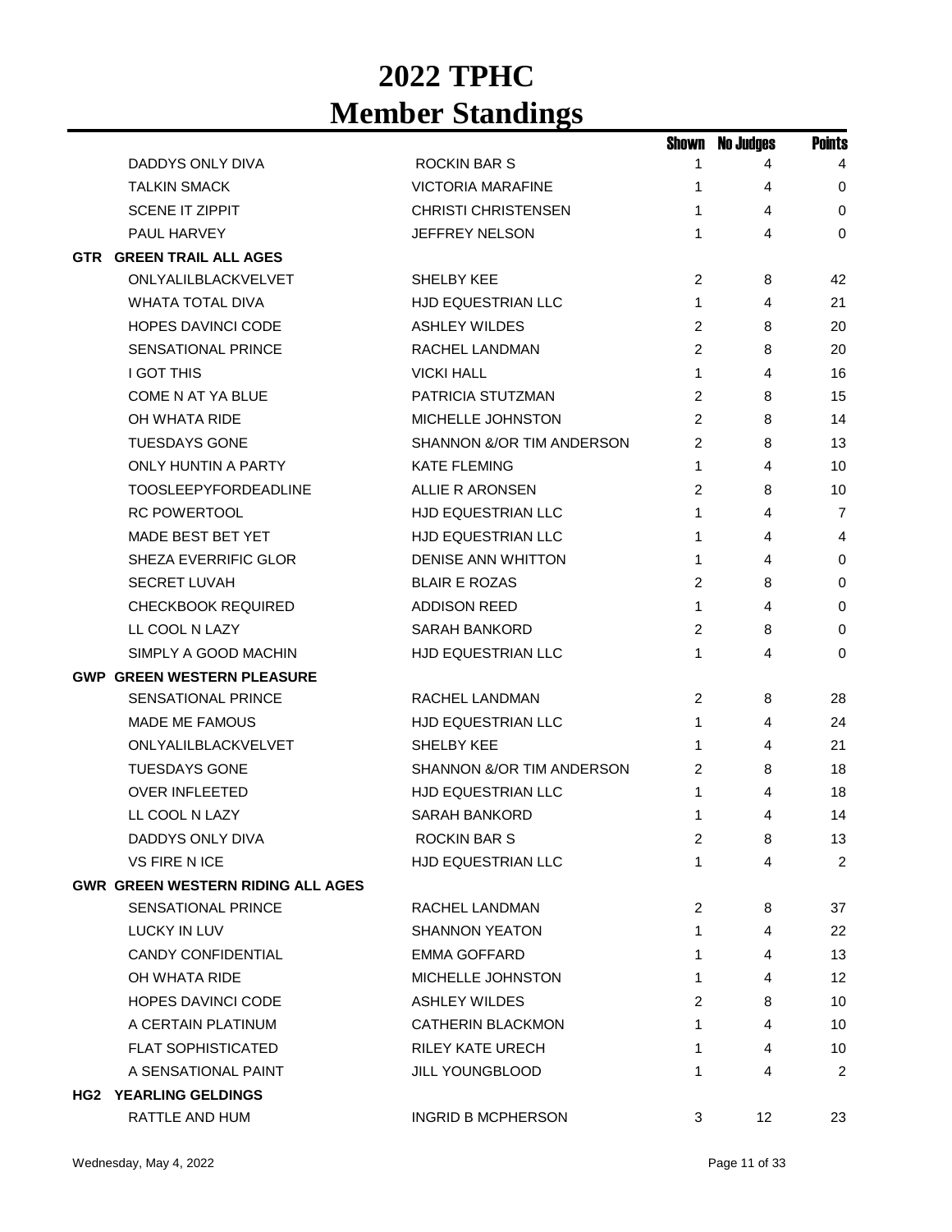|                                          |                            |                | <b>Shown No Judges</b> | <b>Points</b>  |
|------------------------------------------|----------------------------|----------------|------------------------|----------------|
| DADDYS ONLY DIVA                         | ROCKIN BAR S               | 1              | 4                      | 4              |
| <b>TALKIN SMACK</b>                      | <b>VICTORIA MARAFINE</b>   | 1              | 4                      | 0              |
| <b>SCENE IT ZIPPIT</b>                   | <b>CHRISTI CHRISTENSEN</b> | 1              | 4                      | $\mathbf 0$    |
| PAUL HARVEY                              | JEFFREY NELSON             | 1              | 4                      | 0              |
| <b>GTR GREEN TRAIL ALL AGES</b>          |                            |                |                        |                |
| ONLYALILBLACKVELVET                      | <b>SHELBY KEE</b>          | 2              | 8                      | 42             |
| <b>WHATA TOTAL DIVA</b>                  | <b>HJD EQUESTRIAN LLC</b>  | 1              | 4                      | 21             |
| <b>HOPES DAVINCI CODE</b>                | <b>ASHLEY WILDES</b>       | 2              | 8                      | 20             |
| SENSATIONAL PRINCE                       | <b>RACHEL LANDMAN</b>      | 2              | 8                      | 20             |
| <b>I GOT THIS</b>                        | <b>VICKI HALL</b>          | $\mathbf{1}$   | 4                      | 16             |
| <b>COME N AT YA BLUE</b>                 | PATRICIA STUTZMAN          | 2              | 8                      | 15             |
| OH WHATA RIDE                            | MICHELLE JOHNSTON          | 2              | 8                      | 14             |
| <b>TUESDAYS GONE</b>                     | SHANNON &/OR TIM ANDERSON  | 2              | 8                      | 13             |
| <b>ONLY HUNTIN A PARTY</b>               | <b>KATE FLEMING</b>        | $\mathbf{1}$   | 4                      | 10             |
| <b>TOOSLEEPYFORDEADLINE</b>              | ALLIE R ARONSEN            | 2              | 8                      | 10             |
| <b>RC POWERTOOL</b>                      | <b>HJD EQUESTRIAN LLC</b>  | 1              | 4                      | 7              |
| <b>MADE BEST BET YET</b>                 | <b>HJD EQUESTRIAN LLC</b>  | 1              | 4                      | 4              |
| SHEZA EVERRIFIC GLOR                     | <b>DENISE ANN WHITTON</b>  | 1              | 4                      | 0              |
| <b>SECRET LUVAH</b>                      | <b>BLAIR E ROZAS</b>       | 2              | 8                      | 0              |
| <b>CHECKBOOK REQUIRED</b>                | <b>ADDISON REED</b>        | $\mathbf{1}$   | 4                      | 0              |
| LL COOL N LAZY                           | <b>SARAH BANKORD</b>       | 2              | 8                      | 0              |
| SIMPLY A GOOD MACHIN                     | HJD EQUESTRIAN LLC         | 1              | 4                      | 0              |
| <b>GWP GREEN WESTERN PLEASURE</b>        |                            |                |                        |                |
| <b>SENSATIONAL PRINCE</b>                | RACHEL LANDMAN             | $\overline{c}$ | 8                      | 28             |
| MADE ME FAMOUS                           | HJD EQUESTRIAN LLC         | 1              | 4                      | 24             |
| ONLYALILBLACKVELVET                      | SHELBY KEE                 | 1              | 4                      | 21             |
| <b>TUESDAYS GONE</b>                     | SHANNON &/OR TIM ANDERSON  | 2              | 8                      | 18             |
| <b>OVER INFLEETED</b>                    | HJD EQUESTRIAN LLC         | 1              | 4                      | 18             |
| LL COOL N LAZY                           | <b>SARAH BANKORD</b>       | 1              | 4                      | 14             |
| DADDYS ONLY DIVA                         | ROCKIN BAR S               | 2              | 8                      | 13             |
| <b>VS FIRE N ICE</b>                     | HJD EQUESTRIAN LLC         | 1              | 4                      | $\overline{2}$ |
| <b>GWR GREEN WESTERN RIDING ALL AGES</b> |                            |                |                        |                |
| <b>SENSATIONAL PRINCE</b>                | RACHEL LANDMAN             | 2              | 8                      | 37             |
| LUCKY IN LUV                             | <b>SHANNON YEATON</b>      | 1              | 4                      | 22             |
| <b>CANDY CONFIDENTIAL</b>                | EMMA GOFFARD               | 1              | 4                      | 13             |
| OH WHATA RIDE                            | <b>MICHELLE JOHNSTON</b>   | $\mathbf{1}$   | 4                      | 12             |
| <b>HOPES DAVINCI CODE</b>                | <b>ASHLEY WILDES</b>       | 2              | 8                      | 10             |
| A CERTAIN PLATINUM                       | <b>CATHERIN BLACKMON</b>   | 1              | 4                      | 10             |
| <b>FLAT SOPHISTICATED</b>                | <b>RILEY KATE URECH</b>    | 1              | 4                      | 10             |
| A SENSATIONAL PAINT                      | <b>JILL YOUNGBLOOD</b>     | 1              | 4                      | 2              |
| <b>HG2 YEARLING GELDINGS</b>             |                            |                |                        |                |
| RATTLE AND HUM                           | <b>INGRID B MCPHERSON</b>  | 3              | 12                     | 23             |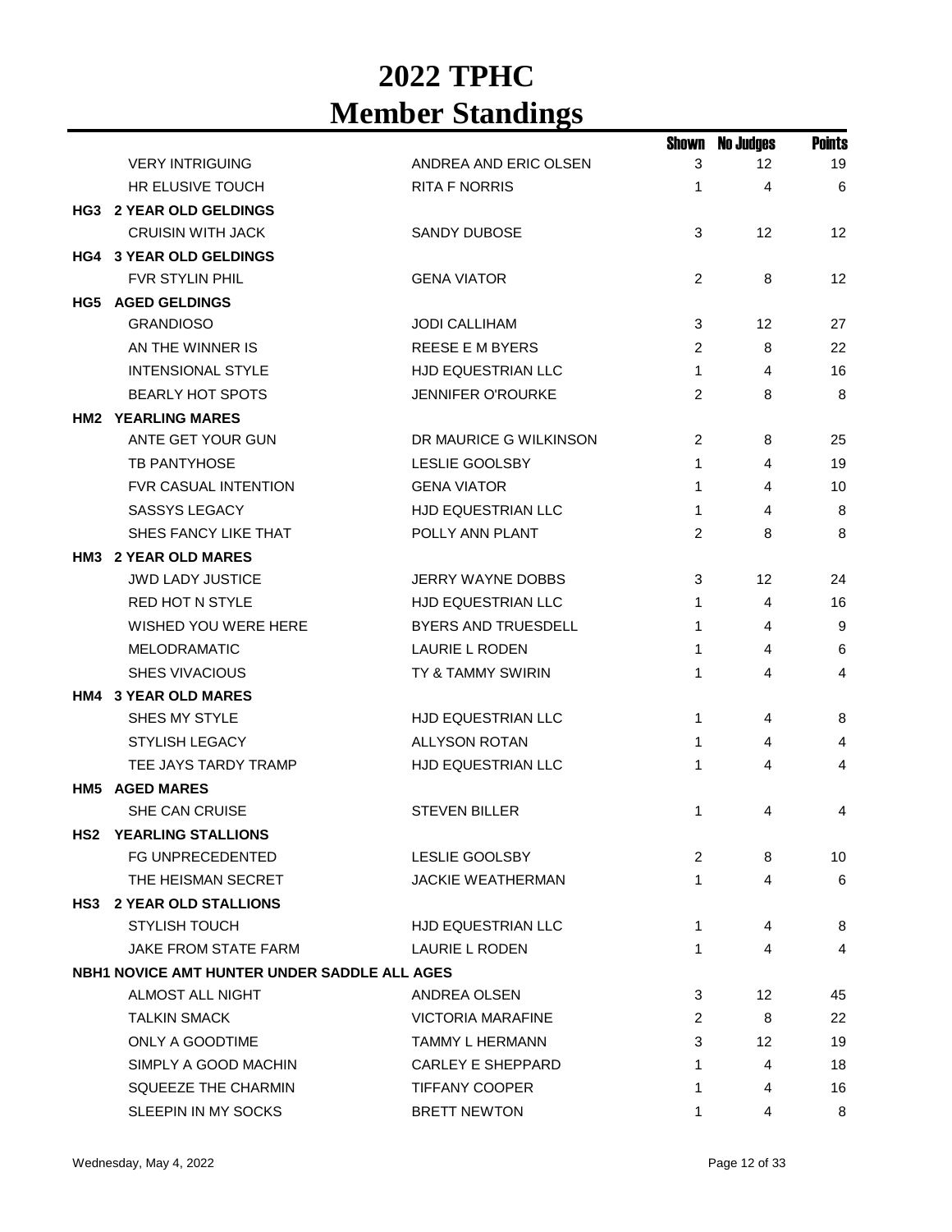|                                              |                            | Shown          | <b>No Judges</b> | <b>Points</b>  |
|----------------------------------------------|----------------------------|----------------|------------------|----------------|
| <b>VERY INTRIGUING</b>                       | ANDREA AND ERIC OLSEN      | 3              | 12               | 19             |
| <b>HR ELUSIVE TOUCH</b>                      | <b>RITA F NORRIS</b>       | 1              | 4                | 6              |
| <b>HG3 2 YEAR OLD GELDINGS</b>               |                            |                |                  |                |
| <b>CRUISIN WITH JACK</b>                     | <b>SANDY DUBOSE</b>        | 3              | 12               | 12             |
| <b>HG4 3 YEAR OLD GELDINGS</b>               |                            |                |                  |                |
| <b>FVR STYLIN PHIL</b>                       | <b>GENA VIATOR</b>         | 2              | 8                | 12             |
| <b>HG5 AGED GELDINGS</b>                     |                            |                |                  |                |
| <b>GRANDIOSO</b>                             | <b>JODI CALLIHAM</b>       | 3              | 12               | 27             |
| AN THE WINNER IS                             | <b>REESE E M BYERS</b>     | 2              | 8                | 22             |
| <b>INTENSIONAL STYLE</b>                     | <b>HJD EQUESTRIAN LLC</b>  | $\mathbf{1}$   | 4                | 16             |
| <b>BEARLY HOT SPOTS</b>                      | <b>JENNIFER O'ROURKE</b>   | $\overline{2}$ | 8                | 8              |
| <b>HM2 YEARLING MARES</b>                    |                            |                |                  |                |
| ANTE GET YOUR GUN                            | DR MAURICE G WILKINSON     | 2              | 8                | 25             |
| <b>TB PANTYHOSE</b>                          | <b>LESLIE GOOLSBY</b>      | 1              | 4                | 19             |
| FVR CASUAL INTENTION                         | <b>GENA VIATOR</b>         | 1              | 4                | 10             |
| <b>SASSYS LEGACY</b>                         | HJD EQUESTRIAN LLC         | 1              | 4                | 8              |
| SHES FANCY LIKE THAT                         | POLLY ANN PLANT            | 2              | 8                | 8              |
| HM3 2 YEAR OLD MARES                         |                            |                |                  |                |
| <b>JWD LADY JUSTICE</b>                      | <b>JERRY WAYNE DOBBS</b>   | 3              | 12               | 24             |
| <b>RED HOT N STYLE</b>                       | HJD EQUESTRIAN LLC         | 1              | 4                | 16             |
| WISHED YOU WERE HERE                         | <b>BYERS AND TRUESDELL</b> | 1              | 4                | 9              |
| <b>MELODRAMATIC</b>                          | <b>LAURIE L RODEN</b>      | 1              | 4                | 6              |
| <b>SHES VIVACIOUS</b>                        | TY & TAMMY SWIRIN          | 1              | 4                | 4              |
| HM4 3 YEAR OLD MARES                         |                            |                |                  |                |
| SHES MY STYLE                                | HJD EQUESTRIAN LLC         | 1              | 4                | 8              |
| <b>STYLISH LEGACY</b>                        | <b>ALLYSON ROTAN</b>       | $\mathbf{1}$   | 4                | $\overline{4}$ |
| TEE JAYS TARDY TRAMP                         | HJD EQUESTRIAN LLC         | 1              | 4                | 4              |
| <b>HM5 AGED MARES</b>                        |                            |                |                  |                |
| <b>SHE CAN CRUISE</b>                        | <b>STEVEN BILLER</b>       | 1              | 4                | 4              |
| <b>HS2 YEARLING STALLIONS</b>                |                            |                |                  |                |
| FG UNPRECEDENTED                             | <b>LESLIE GOOLSBY</b>      | 2              | 8                | 10             |
| THE HEISMAN SECRET                           | <b>JACKIE WEATHERMAN</b>   | 1              | 4                | 6              |
| HS3 2 YEAR OLD STALLIONS                     |                            |                |                  |                |
| <b>STYLISH TOUCH</b>                         | HJD EQUESTRIAN LLC         | 1              | 4                | 8              |
| JAKE FROM STATE FARM                         | LAURIE L RODEN             | 1              | 4                | 4              |
| NBH1 NOVICE AMT HUNTER UNDER SADDLE ALL AGES |                            |                |                  |                |
| ALMOST ALL NIGHT                             | ANDREA OLSEN               | 3              | 12               | 45             |
| <b>TALKIN SMACK</b>                          | <b>VICTORIA MARAFINE</b>   | 2              | 8                | 22             |
| ONLY A GOODTIME                              | <b>TAMMY L HERMANN</b>     | 3              | 12               | 19             |
| SIMPLY A GOOD MACHIN                         | <b>CARLEY E SHEPPARD</b>   | 1              | 4                | 18             |
| SQUEEZE THE CHARMIN                          | <b>TIFFANY COOPER</b>      | 1              | 4                | 16             |
| SLEEPIN IN MY SOCKS                          | <b>BRETT NEWTON</b>        | 1              | 4                | 8              |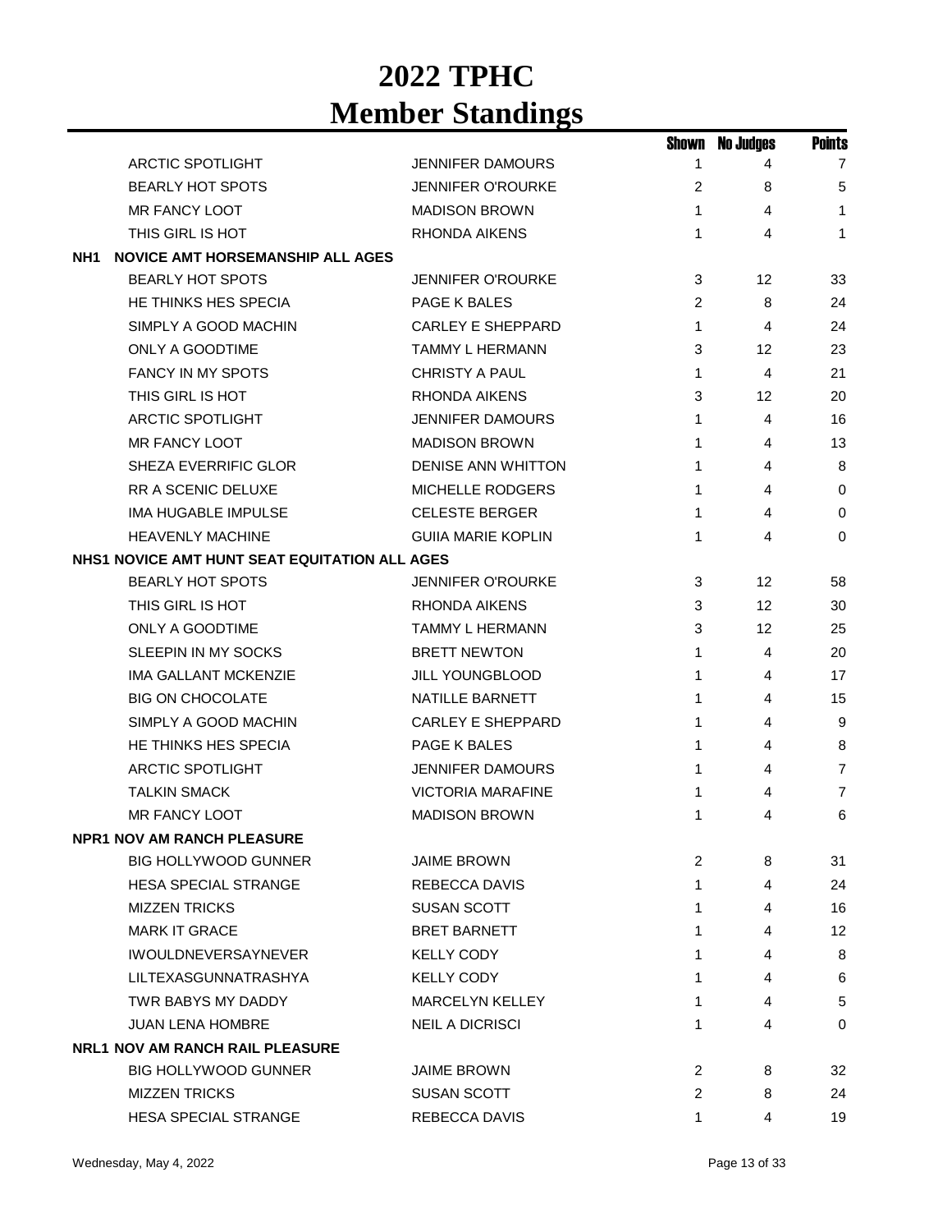|                                                |                           |   | <b>Shown No Judges</b> | <b>Points</b>  |
|------------------------------------------------|---------------------------|---|------------------------|----------------|
| <b>ARCTIC SPOTLIGHT</b>                        | <b>JENNIFER DAMOURS</b>   | 1 | 4                      | $\overline{7}$ |
| <b>BEARLY HOT SPOTS</b>                        | <b>JENNIFER O'ROURKE</b>  | 2 | 8                      | 5              |
| MR FANCY LOOT                                  | <b>MADISON BROWN</b>      | 1 | 4                      | $\mathbf{1}$   |
| THIS GIRL IS HOT                               | RHONDA AIKENS             | 1 | 4                      | 1              |
| NH1<br><b>NOVICE AMT HORSEMANSHIP ALL AGES</b> |                           |   |                        |                |
| <b>BEARLY HOT SPOTS</b>                        | <b>JENNIFER O'ROURKE</b>  | 3 | 12                     | 33             |
| HE THINKS HES SPECIA                           | PAGE K BALES              | 2 | 8                      | 24             |
| SIMPLY A GOOD MACHIN                           | <b>CARLEY E SHEPPARD</b>  | 1 | 4                      | 24             |
| ONLY A GOODTIME                                | <b>TAMMY L HERMANN</b>    | 3 | 12                     | 23             |
| <b>FANCY IN MY SPOTS</b>                       | <b>CHRISTY A PAUL</b>     | 1 | 4                      | 21             |
| THIS GIRL IS HOT                               | <b>RHONDA AIKENS</b>      | 3 | 12                     | 20             |
| <b>ARCTIC SPOTLIGHT</b>                        | <b>JENNIFER DAMOURS</b>   | 1 | 4                      | 16             |
| <b>MR FANCY LOOT</b>                           | <b>MADISON BROWN</b>      | 1 | 4                      | 13             |
| <b>SHEZA EVERRIFIC GLOR</b>                    | DENISE ANN WHITTON        | 1 | 4                      | 8              |
| RR A SCENIC DELUXE                             | <b>MICHELLE RODGERS</b>   | 1 | 4                      | 0              |
| <b>IMA HUGABLE IMPULSE</b>                     | <b>CELESTE BERGER</b>     | 1 | 4                      | 0              |
| <b>HEAVENLY MACHINE</b>                        | <b>GUIIA MARIE KOPLIN</b> | 1 | 4                      | 0              |
| NHS1 NOVICE AMT HUNT SEAT EQUITATION ALL AGES  |                           |   |                        |                |
| <b>BEARLY HOT SPOTS</b>                        | <b>JENNIFER O'ROURKE</b>  | 3 | 12                     | 58             |
| THIS GIRL IS HOT                               | RHONDA AIKENS             | 3 | 12                     | 30             |
| ONLY A GOODTIME                                | TAMMY L HERMANN           | 3 | 12                     | 25             |
| SLEEPIN IN MY SOCKS                            | <b>BRETT NEWTON</b>       | 1 | 4                      | 20             |
| <b>IMA GALLANT MCKENZIE</b>                    | <b>JILL YOUNGBLOOD</b>    | 1 | 4                      | 17             |
| <b>BIG ON CHOCOLATE</b>                        | NATILLE BARNETT           | 1 | 4                      | 15             |
| SIMPLY A GOOD MACHIN                           | <b>CARLEY E SHEPPARD</b>  | 1 | 4                      | 9              |
| HE THINKS HES SPECIA                           | PAGE K BALES              | 1 | 4                      | 8              |
| <b>ARCTIC SPOTLIGHT</b>                        | <b>JENNIFER DAMOURS</b>   | 1 | 4                      | 7              |
| <b>TALKIN SMACK</b>                            | <b>VICTORIA MARAFINE</b>  | 1 | 4                      | 7              |
| MR FANCY LOOT                                  | <b>MADISON BROWN</b>      | 1 | 4                      | 6              |
| <b>NPR1 NOV AM RANCH PLEASURE</b>              |                           |   |                        |                |
| <b>BIG HOLLYWOOD GUNNER</b>                    | <b>JAIME BROWN</b>        | 2 | 8                      | 31             |
| <b>HESA SPECIAL STRANGE</b>                    | <b>REBECCA DAVIS</b>      | 1 | 4                      | 24             |
| <b>MIZZEN TRICKS</b>                           | <b>SUSAN SCOTT</b>        | 1 | 4                      | 16             |
| <b>MARK IT GRACE</b>                           | <b>BRET BARNETT</b>       | 1 | 4                      | 12             |
| <b>IWOULDNEVERSAYNEVER</b>                     | <b>KELLY CODY</b>         | 1 | 4                      | 8              |
| LILTEXASGUNNATRASHYA                           | <b>KELLY CODY</b>         | 1 | 4                      | 6              |
| TWR BABYS MY DADDY                             | <b>MARCELYN KELLEY</b>    | 1 | 4                      | $\sqrt{5}$     |
| <b>JUAN LENA HOMBRE</b>                        | <b>NEIL A DICRISCI</b>    | 1 | 4                      | $\Omega$       |
| <b>NRL1 NOV AM RANCH RAIL PLEASURE</b>         |                           |   |                        |                |
| <b>BIG HOLLYWOOD GUNNER</b>                    | <b>JAIME BROWN</b>        | 2 | 8                      | 32             |
| <b>MIZZEN TRICKS</b>                           | <b>SUSAN SCOTT</b>        | 2 | 8                      | 24             |
| <b>HESA SPECIAL STRANGE</b>                    | REBECCA DAVIS             | 1 | 4                      | 19             |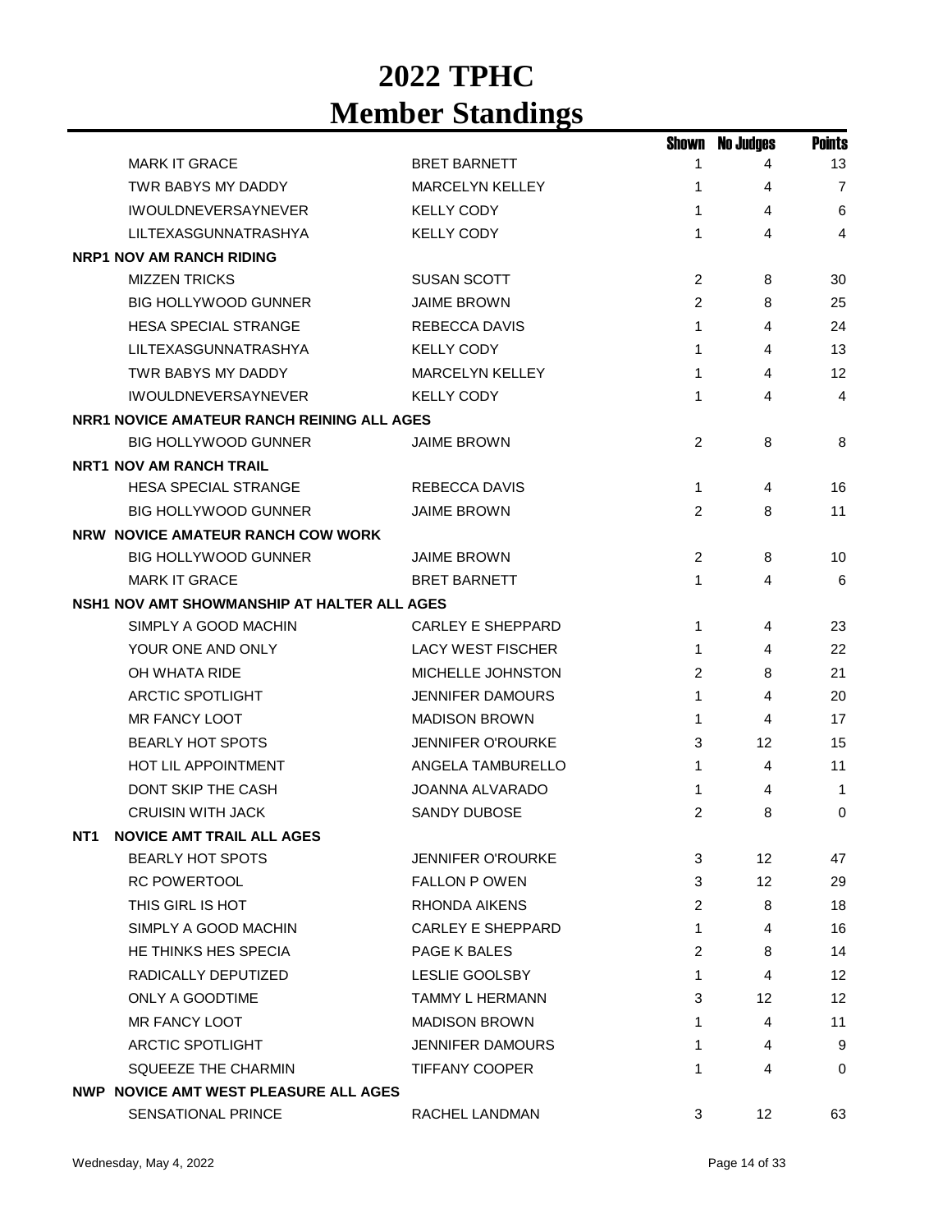|                                                     |                          | Shown        | No Judges | <b>Points</b>  |
|-----------------------------------------------------|--------------------------|--------------|-----------|----------------|
| <b>MARK IT GRACE</b>                                | <b>BRET BARNETT</b>      | 1            | 4         | 13             |
| TWR BABYS MY DADDY                                  | <b>MARCELYN KELLEY</b>   | 1            | 4         | $\overline{7}$ |
| <b>IWOULDNEVERSAYNEVER</b>                          | <b>KELLY CODY</b>        | 1            | 4         | 6              |
| LILTEXASGUNNATRASHYA                                | <b>KELLY CODY</b>        | 1            | 4         | 4              |
| <b>NRP1 NOV AM RANCH RIDING</b>                     |                          |              |           |                |
| <b>MIZZEN TRICKS</b>                                | <b>SUSAN SCOTT</b>       | 2            | 8         | 30             |
| <b>BIG HOLLYWOOD GUNNER</b>                         | <b>JAIME BROWN</b>       | 2            | 8         | 25             |
| <b>HESA SPECIAL STRANGE</b>                         | <b>REBECCA DAVIS</b>     | 1            | 4         | 24             |
| LILTEXASGUNNATRASHYA                                | <b>KELLY CODY</b>        | 1            | 4         | 13             |
| TWR BABYS MY DADDY                                  | <b>MARCELYN KELLEY</b>   | 1            | 4         | 12             |
| <b>IWOULDNEVERSAYNEVER</b>                          | <b>KELLY CODY</b>        | 1            | 4         | $\overline{4}$ |
| NRR1 NOVICE AMATEUR RANCH REINING ALL AGES          |                          |              |           |                |
| <b>BIG HOLLYWOOD GUNNER</b>                         | <b>JAIME BROWN</b>       | 2            | 8         | 8              |
| <b>NRT1 NOV AM RANCH TRAIL</b>                      |                          |              |           |                |
| <b>HESA SPECIAL STRANGE</b>                         | <b>REBECCA DAVIS</b>     | $\mathbf{1}$ | 4         | 16             |
| <b>BIG HOLLYWOOD GUNNER</b>                         | <b>JAIME BROWN</b>       | 2            | 8         | 11             |
| NRW NOVICE AMATEUR RANCH COW WORK                   |                          |              |           |                |
| <b>BIG HOLLYWOOD GUNNER</b>                         | <b>JAIME BROWN</b>       | 2            | 8         | 10             |
| <b>MARK IT GRACE</b>                                | <b>BRET BARNETT</b>      | $\mathbf{1}$ | 4         | 6              |
| NSH1 NOV AMT SHOWMANSHIP AT HALTER ALL AGES         |                          |              |           |                |
| SIMPLY A GOOD MACHIN                                | <b>CARLEY E SHEPPARD</b> | 1            | 4         | 23             |
| YOUR ONE AND ONLY                                   | <b>LACY WEST FISCHER</b> | 1            | 4         | 22             |
| OH WHATA RIDE                                       | MICHELLE JOHNSTON        | 2            | 8         | 21             |
| ARCTIC SPOTLIGHT                                    | <b>JENNIFER DAMOURS</b>  | 1            | 4         | 20             |
| <b>MR FANCY LOOT</b>                                | <b>MADISON BROWN</b>     | 1            | 4         | 17             |
| <b>BEARLY HOT SPOTS</b>                             | <b>JENNIFER O'ROURKE</b> | 3            | 12        | 15             |
| <b>HOT LIL APPOINTMENT</b>                          | ANGELA TAMBURELLO        | 1            | 4         | 11             |
| <b>DONT SKIP THE CASH</b>                           | JOANNA ALVARADO          | 1            | 4         | -1             |
| <b>CRUISIN WITH JACK</b>                            | <b>SANDY DUBOSE</b>      | 2            | 8         | 0              |
| <b>NOVICE AMT TRAIL ALL AGES</b><br>NT <sub>1</sub> |                          |              |           |                |
| <b>BEARLY HOT SPOTS</b>                             | <b>JENNIFER O'ROURKE</b> | 3            | 12        | 47             |
| <b>RC POWERTOOL</b>                                 | <b>FALLON P OWEN</b>     | 3            | 12        | 29             |
| THIS GIRL IS HOT                                    | RHONDA AIKENS            | 2            | 8         | 18             |
| SIMPLY A GOOD MACHIN                                | CARLEY E SHEPPARD        | 1            | 4         | 16             |
| HE THINKS HES SPECIA                                | PAGE K BALES             | 2            | 8         | 14             |
| RADICALLY DEPUTIZED                                 | LESLIE GOOLSBY           | 1            | 4         | 12             |
| ONLY A GOODTIME                                     | TAMMY L HERMANN          | 3            | 12        | 12             |
| MR FANCY LOOT                                       | <b>MADISON BROWN</b>     | 1            | 4         | 11             |
| <b>ARCTIC SPOTLIGHT</b>                             | <b>JENNIFER DAMOURS</b>  | 1            | 4         | 9              |
| SQUEEZE THE CHARMIN                                 | <b>TIFFANY COOPER</b>    | 1            | 4         | 0              |
| <b>NWP NOVICE AMT WEST PLEASURE ALL AGES</b>        |                          |              |           |                |
| SENSATIONAL PRINCE                                  | RACHEL LANDMAN           | 3            | 12        | 63             |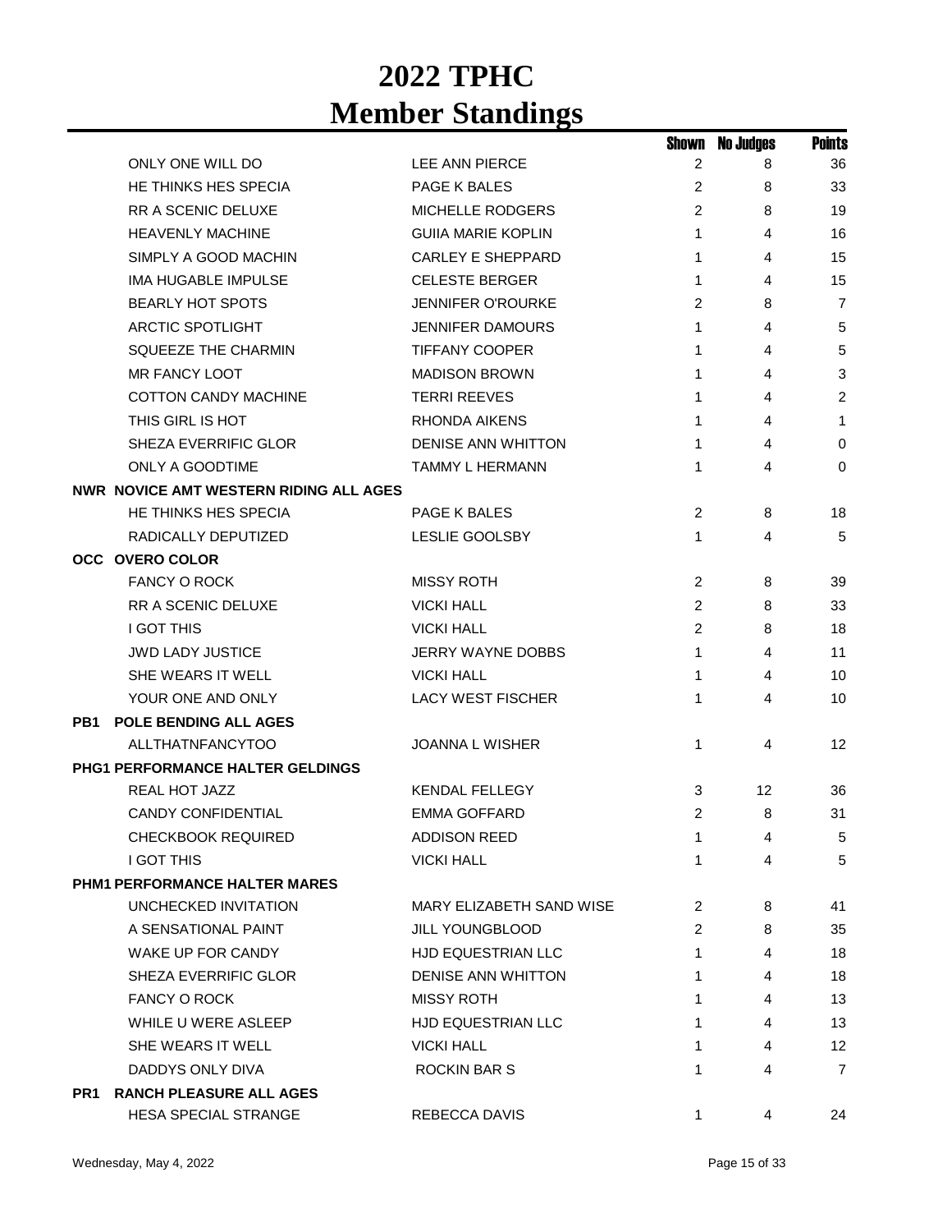|                 |                                        |                           | Shown          | <b>No Judges</b> | <b>Points</b>  |
|-----------------|----------------------------------------|---------------------------|----------------|------------------|----------------|
|                 | ONLY ONE WILL DO                       | LEE ANN PIERCE            | 2              | 8                | 36             |
|                 | HE THINKS HES SPECIA                   | PAGE K BALES              | 2              | 8                | 33             |
|                 | RR A SCENIC DELUXE                     | <b>MICHELLE RODGERS</b>   | $\overline{2}$ | 8                | 19             |
|                 | <b>HEAVENLY MACHINE</b>                | <b>GUIIA MARIE KOPLIN</b> | 1              | 4                | 16             |
|                 | SIMPLY A GOOD MACHIN                   | <b>CARLEY E SHEPPARD</b>  | 1              | 4                | 15             |
|                 | <b>IMA HUGABLE IMPULSE</b>             | <b>CELESTE BERGER</b>     | 1              | 4                | 15             |
|                 | <b>BEARLY HOT SPOTS</b>                | <b>JENNIFER O'ROURKE</b>  | 2              | 8                | $\overline{7}$ |
|                 | <b>ARCTIC SPOTLIGHT</b>                | <b>JENNIFER DAMOURS</b>   | 1              | 4                | 5              |
|                 | <b>SQUEEZE THE CHARMIN</b>             | <b>TIFFANY COOPER</b>     | 1              | 4                | 5              |
|                 | <b>MR FANCY LOOT</b>                   | <b>MADISON BROWN</b>      | 1              | 4                | $\mathbf{3}$   |
|                 | <b>COTTON CANDY MACHINE</b>            | <b>TERRI REEVES</b>       | 1              | 4                | 2              |
|                 | THIS GIRL IS HOT                       | <b>RHONDA AIKENS</b>      | 1              | 4                | 1              |
|                 | <b>SHEZA EVERRIFIC GLOR</b>            | <b>DENISE ANN WHITTON</b> | 1              | 4                | 0              |
|                 | ONLY A GOODTIME                        | <b>TAMMY L HERMANN</b>    | 1              | 4                | $\mathbf 0$    |
|                 | NWR NOVICE AMT WESTERN RIDING ALL AGES |                           |                |                  |                |
|                 | HE THINKS HES SPECIA                   | PAGE K BALES              | $\overline{2}$ | 8                | 18             |
|                 | RADICALLY DEPUTIZED                    | <b>LESLIE GOOLSBY</b>     | 1              | 4                | 5              |
|                 | <b>OCC OVERO COLOR</b>                 |                           |                |                  |                |
|                 | <b>FANCY O ROCK</b>                    | <b>MISSY ROTH</b>         | 2              | 8                | 39             |
|                 | RR A SCENIC DELUXE                     | <b>VICKI HALL</b>         | 2              | 8                | 33             |
|                 | <b>I GOT THIS</b>                      | <b>VICKI HALL</b>         | 2              | 8                | 18             |
|                 | <b>JWD LADY JUSTICE</b>                | JERRY WAYNE DOBBS         | 1              | 4                | 11             |
|                 | SHE WEARS IT WELL                      | <b>VICKI HALL</b>         | 1              | 4                | 10             |
|                 | YOUR ONE AND ONLY                      | <b>LACY WEST FISCHER</b>  | 1              | 4                | 10             |
| PB1             | <b>POLE BENDING ALL AGES</b>           |                           |                |                  |                |
|                 | <b>ALLTHATNFANCYTOO</b>                | <b>JOANNA L WISHER</b>    | 1              | 4                | 12             |
|                 | PHG1 PERFORMANCE HALTER GELDINGS       |                           |                |                  |                |
|                 | REAL HOT JAZZ                          | <b>KENDAL FELLEGY</b>     | 3              | 12               | 36             |
|                 | <b>CANDY CONFIDENTIAL</b>              | <b>EMMA GOFFARD</b>       | 2              | 8                | 31             |
|                 | <b>CHECKBOOK REQUIRED</b>              | ADDISON REED              | 1              | 4                | 5              |
|                 | <b>I GOT THIS</b>                      | <b>VICKI HALL</b>         | 1              | 4                | 5              |
|                 | PHM1 PERFORMANCE HALTER MARES          |                           |                |                  |                |
|                 | UNCHECKED INVITATION                   | MARY ELIZABETH SAND WISE  | 2              | 8                | 41             |
|                 | A SENSATIONAL PAINT                    | <b>JILL YOUNGBLOOD</b>    | 2              | 8                | 35             |
|                 | WAKE UP FOR CANDY                      | <b>HJD EQUESTRIAN LLC</b> | 1              | 4                | 18             |
|                 | SHEZA EVERRIFIC GLOR                   | <b>DENISE ANN WHITTON</b> | 1              | 4                | 18             |
|                 | <b>FANCY O ROCK</b>                    | <b>MISSY ROTH</b>         | 1              | 4                | 13             |
|                 | WHILE U WERE ASLEEP                    | <b>HJD EQUESTRIAN LLC</b> | 1              | 4                | 13             |
|                 | SHE WEARS IT WELL                      | <b>VICKI HALL</b>         | 1              | 4                | 12             |
|                 | DADDYS ONLY DIVA                       | ROCKIN BAR S              | 1              | 4                | $\overline{7}$ |
| PR <sub>1</sub> | <b>RANCH PLEASURE ALL AGES</b>         |                           |                |                  |                |
|                 | <b>HESA SPECIAL STRANGE</b>            | REBECCA DAVIS             | 1.             | 4                | 24             |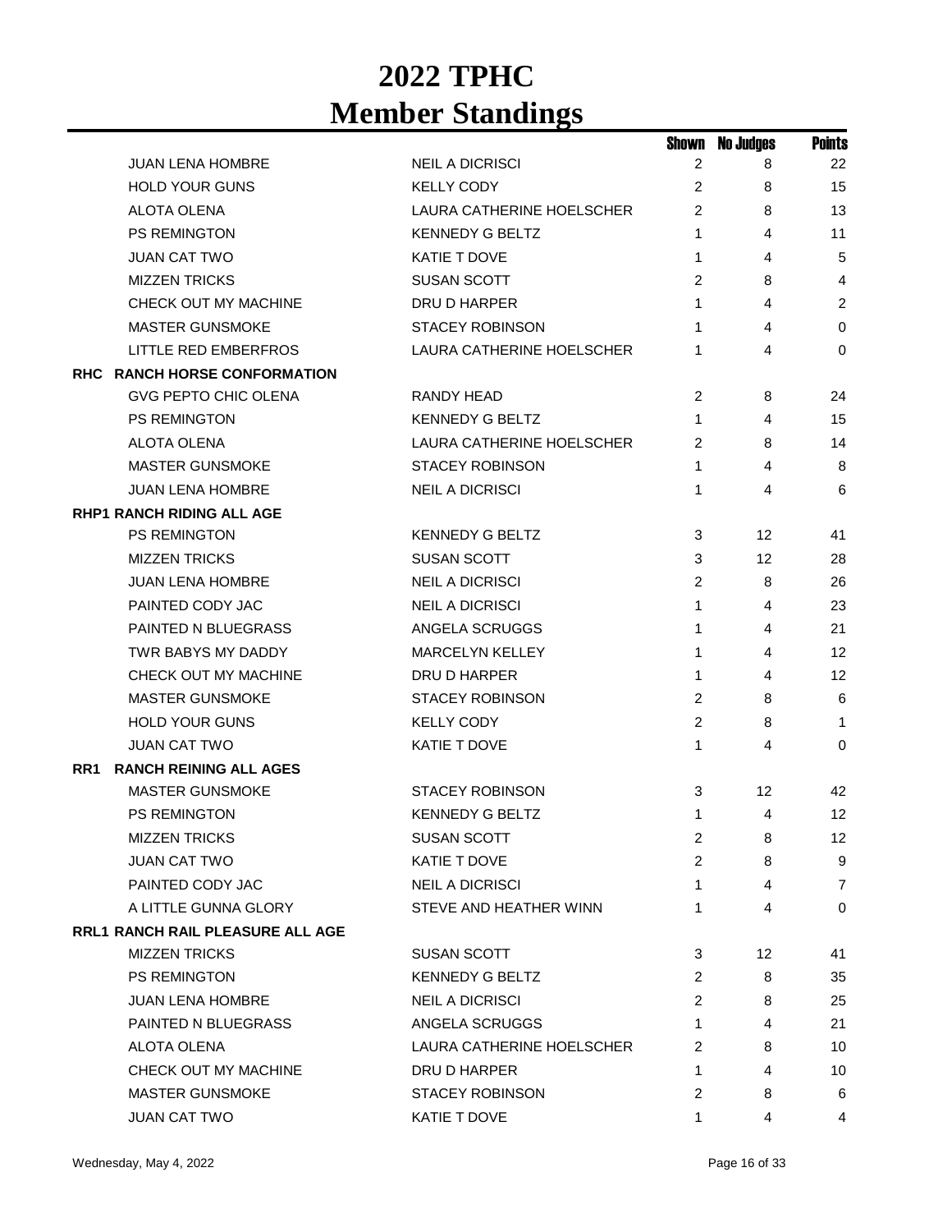|     |                                         |                           | Shown          | <b>No Judges</b> | <b>Points</b>   |
|-----|-----------------------------------------|---------------------------|----------------|------------------|-----------------|
|     | <b>JUAN LENA HOMBRE</b>                 | <b>NEIL A DICRISCI</b>    | 2              | 8                | 22              |
|     | <b>HOLD YOUR GUNS</b>                   | <b>KELLY CODY</b>         | 2              | 8                | 15              |
|     | ALOTA OLENA                             | LAURA CATHERINE HOELSCHER | 2              | 8                | 13              |
|     | <b>PS REMINGTON</b>                     | <b>KENNEDY G BELTZ</b>    | 1              | 4                | 11              |
|     | <b>JUAN CAT TWO</b>                     | <b>KATIE T DOVE</b>       | 1              | 4                | 5               |
|     | <b>MIZZEN TRICKS</b>                    | <b>SUSAN SCOTT</b>        | 2              | 8                | $\overline{4}$  |
|     | CHECK OUT MY MACHINE                    | DRU D HARPER              | 1              | 4                | 2               |
|     | <b>MASTER GUNSMOKE</b>                  | <b>STACEY ROBINSON</b>    | 1              | 4                | $\mathbf 0$     |
|     | LITTLE RED EMBERFROS                    | LAURA CATHERINE HOELSCHER | 1              | 4                | $\Omega$        |
|     | RHC RANCH HORSE CONFORMATION            |                           |                |                  |                 |
|     | <b>GVG PEPTO CHIC OLENA</b>             | RANDY HEAD                | 2              | 8                | 24              |
|     | PS REMINGTON                            | <b>KENNEDY G BELTZ</b>    | 1              | 4                | 15              |
|     | <b>ALOTA OLENA</b>                      | LAURA CATHERINE HOELSCHER | 2              | 8                | 14              |
|     | <b>MASTER GUNSMOKE</b>                  | <b>STACEY ROBINSON</b>    | 1              | 4                | 8               |
|     | <b>JUAN LENA HOMBRE</b>                 | <b>NEIL A DICRISCI</b>    | 1              | 4                | 6               |
|     | <b>RHP1 RANCH RIDING ALL AGE</b>        |                           |                |                  |                 |
|     | <b>PS REMINGTON</b>                     | <b>KENNEDY G BELTZ</b>    | 3              | 12               | 41              |
|     | <b>MIZZEN TRICKS</b>                    | <b>SUSAN SCOTT</b>        | 3              | 12               | 28              |
|     | <b>JUAN LENA HOMBRE</b>                 | <b>NEIL A DICRISCI</b>    | 2              | 8                | 26              |
|     | PAINTED CODY JAC                        | <b>NEIL A DICRISCI</b>    | 1              | 4                | 23              |
|     | <b>PAINTED N BLUEGRASS</b>              | ANGELA SCRUGGS            | 1              | 4                | 21              |
|     | TWR BABYS MY DADDY                      | MARCELYN KELLEY           | 1              | 4                | 12              |
|     | CHECK OUT MY MACHINE                    | DRU D HARPER              | 1              | 4                | 12              |
|     | <b>MASTER GUNSMOKE</b>                  | <b>STACEY ROBINSON</b>    | $\overline{c}$ | 8                | 6               |
|     | <b>HOLD YOUR GUNS</b>                   | <b>KELLY CODY</b>         | 2              | 8                | $\mathbf{1}$    |
|     | <b>JUAN CAT TWO</b>                     | KATIE T DOVE              | 1              | 4                | $\Omega$        |
| RR1 | <b>RANCH REINING ALL AGES</b>           |                           |                |                  |                 |
|     | <b>MASTER GUNSMOKE</b>                  | <b>STACEY ROBINSON</b>    | 3              | 12               | 42              |
|     | <b>PS REMINGTON</b>                     | <b>KENNEDY G BELTZ</b>    | 1              | 4                | 12              |
|     | <b>MIZZEN TRICKS</b>                    | <b>SUSAN SCOTT</b>        | 2              | 8                | 12 <sub>2</sub> |
|     | <b>JUAN CAT TWO</b>                     | KATIE T DOVE              | 2              | 8                | 9               |
|     | PAINTED CODY JAC                        | <b>NEIL A DICRISCI</b>    | 1              | 4                | $\overline{7}$  |
|     | A LITTLE GUNNA GLORY                    | STEVE AND HEATHER WINN    | 1              | 4                | 0               |
|     | <b>RRL1 RANCH RAIL PLEASURE ALL AGE</b> |                           |                |                  |                 |
|     | <b>MIZZEN TRICKS</b>                    | <b>SUSAN SCOTT</b>        | 3              | 12 <sup>2</sup>  | 41              |
|     | <b>PS REMINGTON</b>                     | <b>KENNEDY G BELTZ</b>    | 2              | 8                | 35              |
|     | <b>JUAN LENA HOMBRE</b>                 | <b>NEIL A DICRISCI</b>    | 2              | 8                | 25              |
|     | PAINTED N BLUEGRASS                     | ANGELA SCRUGGS            | 1              | 4                | 21              |
|     | ALOTA OLENA                             | LAURA CATHERINE HOELSCHER | 2              | 8                | 10              |
|     | CHECK OUT MY MACHINE                    | DRU D HARPER              | 1              | 4                | 10              |
|     | MASTER GUNSMOKE                         | <b>STACEY ROBINSON</b>    | $\overline{c}$ | 8                | 6               |
|     | JUAN CAT TWO                            | KATIE T DOVE              | 1              | 4                | 4               |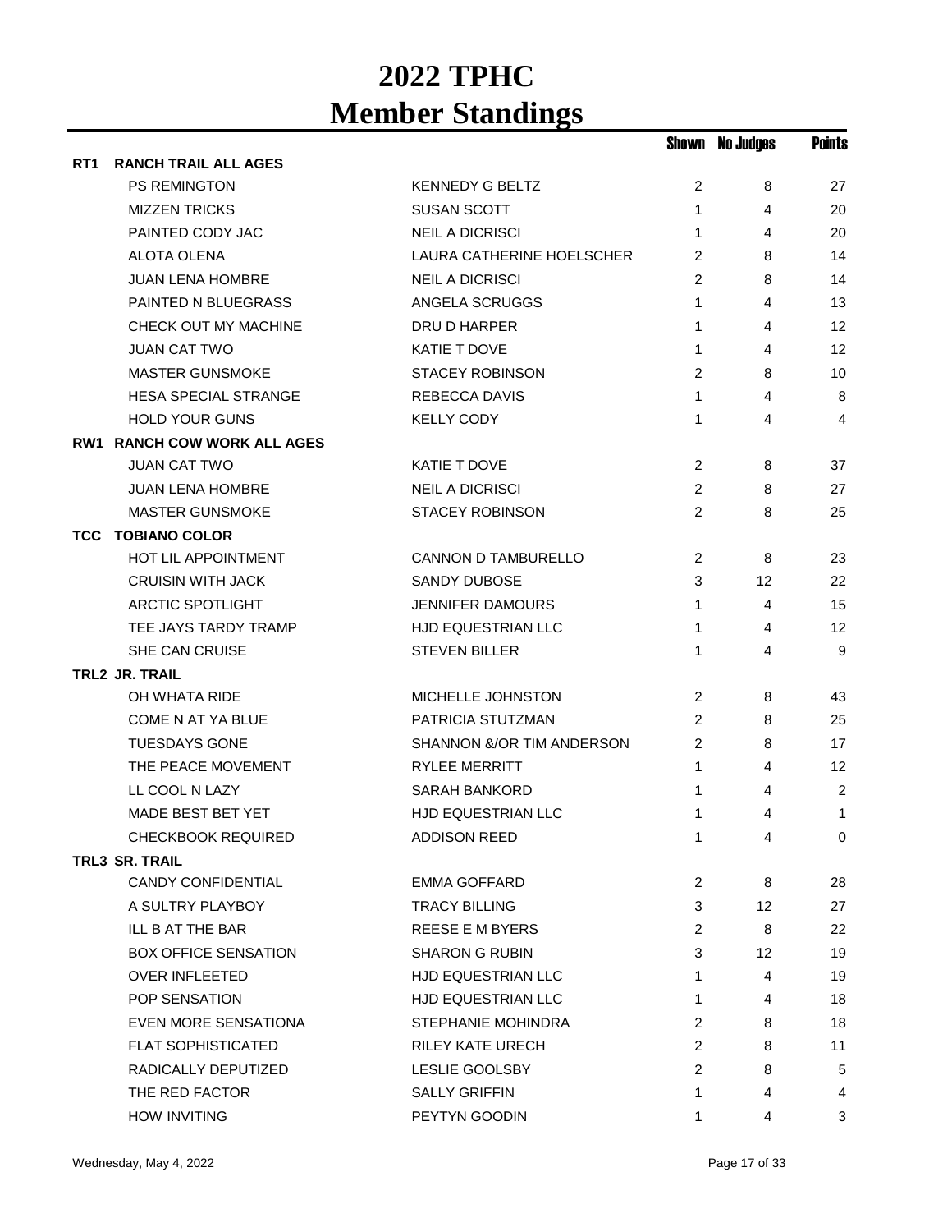|                 |                                    |                           |                | <b>Shown No Judges</b> | <b>Points</b> |
|-----------------|------------------------------------|---------------------------|----------------|------------------------|---------------|
| RT <sub>1</sub> | <b>RANCH TRAIL ALL AGES</b>        |                           |                |                        |               |
|                 | PS REMINGTON                       | <b>KENNEDY G BELTZ</b>    | 2              | 8                      | 27            |
|                 | <b>MIZZEN TRICKS</b>               | <b>SUSAN SCOTT</b>        | 1              | 4                      | 20            |
|                 | PAINTED CODY JAC                   | <b>NEIL A DICRISCI</b>    | 1              | 4                      | 20            |
|                 | ALOTA OLENA                        | LAURA CATHERINE HOELSCHER | $\overline{c}$ | 8                      | 14            |
|                 | JUAN LENA HOMBRE                   | <b>NEIL A DICRISCI</b>    | 2              | 8                      | 14            |
|                 | PAINTED N BLUEGRASS                | ANGELA SCRUGGS            | 1              | 4                      | 13            |
|                 | CHECK OUT MY MACHINE               | DRU D HARPER              | 1              | 4                      | 12            |
|                 | <b>JUAN CAT TWO</b>                | <b>KATIE T DOVE</b>       | 1              | 4                      | 12            |
|                 | <b>MASTER GUNSMOKE</b>             | <b>STACEY ROBINSON</b>    | $\overline{c}$ | 8                      | 10            |
|                 | <b>HESA SPECIAL STRANGE</b>        | <b>REBECCA DAVIS</b>      | $\mathbf{1}$   | 4                      | 8             |
|                 | <b>HOLD YOUR GUNS</b>              | <b>KELLY CODY</b>         | 1              | 4                      | 4             |
|                 | <b>RW1 RANCH COW WORK ALL AGES</b> |                           |                |                        |               |
|                 | <b>JUAN CAT TWO</b>                | KATIE T DOVE              | 2              | 8                      | 37            |
|                 | <b>JUAN LENA HOMBRE</b>            | <b>NEIL A DICRISCI</b>    | 2              | 8                      | 27            |
|                 | <b>MASTER GUNSMOKE</b>             | <b>STACEY ROBINSON</b>    | $\overline{2}$ | 8                      | 25            |
|                 | <b>TCC TOBIANO COLOR</b>           |                           |                |                        |               |
|                 | HOT LIL APPOINTMENT                | CANNON D TAMBURELLO       | 2              | 8                      | 23            |
|                 | <b>CRUISIN WITH JACK</b>           | SANDY DUBOSE              | 3              | 12                     | 22            |
|                 | <b>ARCTIC SPOTLIGHT</b>            | <b>JENNIFER DAMOURS</b>   | $\mathbf{1}$   | 4                      | 15            |
|                 | TEE JAYS TARDY TRAMP               | HJD EQUESTRIAN LLC        | $\mathbf{1}$   | 4                      | 12            |
|                 | SHE CAN CRUISE                     | <b>STEVEN BILLER</b>      | 1              | 4                      | 9             |
|                 | TRL2 JR. TRAIL                     |                           |                |                        |               |
|                 | OH WHATA RIDE                      | MICHELLE JOHNSTON         | $\overline{2}$ | 8                      | 43            |
|                 | COME N AT YA BLUE                  | PATRICIA STUTZMAN         | 2              | 8                      | 25            |
|                 | <b>TUESDAYS GONE</b>               | SHANNON &/OR TIM ANDERSON | 2              | 8                      | 17            |
|                 | THE PEACE MOVEMENT                 | <b>RYLEE MERRITT</b>      | 1              | 4                      | 12            |
|                 | LL COOL N LAZY                     | <b>SARAH BANKORD</b>      | 1              | 4                      | 2             |
|                 | MADE BEST BET YET                  | <b>HJD EQUESTRIAN LLC</b> | 1              | 4                      | 1             |
|                 | <b>CHECKBOOK REQUIRED</b>          | ADDISON REED              | 1              | 4                      | $\mathbf{0}$  |
|                 | <b>TRL3 SR. TRAIL</b>              |                           |                |                        |               |
|                 | <b>CANDY CONFIDENTIAL</b>          | <b>EMMA GOFFARD</b>       | 2              | 8                      | 28            |
|                 | A SULTRY PLAYBOY                   | <b>TRACY BILLING</b>      | 3              | 12                     | 27            |
|                 | ILL B AT THE BAR                   | <b>REESE E M BYERS</b>    | 2              | 8                      | 22            |
|                 | <b>BOX OFFICE SENSATION</b>        | <b>SHARON G RUBIN</b>     | 3              | 12                     | 19            |
|                 | <b>OVER INFLEETED</b>              | <b>HJD EQUESTRIAN LLC</b> | 1              | 4                      | 19            |
|                 | POP SENSATION                      | <b>HJD EQUESTRIAN LLC</b> | 1              | 4                      | 18            |
|                 | EVEN MORE SENSATIONA               | STEPHANIE MOHINDRA        | 2              | 8                      | 18            |
|                 | <b>FLAT SOPHISTICATED</b>          | RILEY KATE URECH          | $\overline{c}$ | 8                      | 11            |
|                 | RADICALLY DEPUTIZED                | <b>LESLIE GOOLSBY</b>     | 2              | 8                      | 5             |
|                 | THE RED FACTOR                     | <b>SALLY GRIFFIN</b>      | 1              | 4                      | 4             |
|                 | <b>HOW INVITING</b>                | PEYTYN GOODIN             | 1              | 4                      | 3             |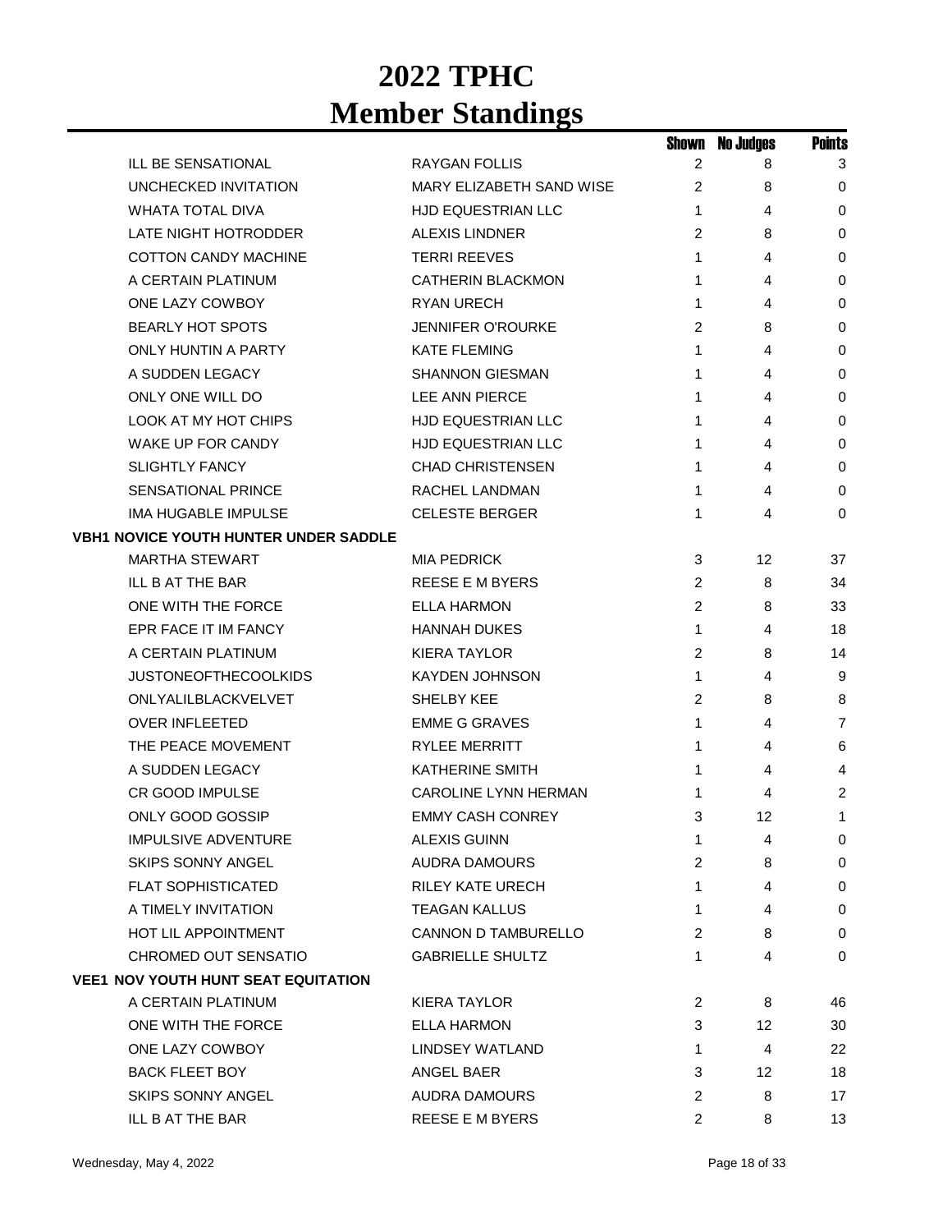|                                              |                             | Shown          | <b>No Judges</b> | <b>Points</b>  |
|----------------------------------------------|-----------------------------|----------------|------------------|----------------|
| ILL BE SENSATIONAL                           | RAYGAN FOLLIS               | 2              | 8                | 3              |
| <b>UNCHECKED INVITATION</b>                  | MARY ELIZABETH SAND WISE    | 2              | 8                | 0              |
| <b>WHATA TOTAL DIVA</b>                      | <b>HJD EQUESTRIAN LLC</b>   | 1              | 4                | 0              |
| LATE NIGHT HOTRODDER                         | <b>ALEXIS LINDNER</b>       | 2              | 8                | 0              |
| <b>COTTON CANDY MACHINE</b>                  | <b>TERRI REEVES</b>         | 1              | 4                | 0              |
| A CERTAIN PLATINUM                           | <b>CATHERIN BLACKMON</b>    | 1              | 4                | 0              |
| ONE LAZY COWBOY                              | RYAN URECH                  | 1              | 4                | 0              |
| <b>BEARLY HOT SPOTS</b>                      | <b>JENNIFER O'ROURKE</b>    | 2              | 8                | 0              |
| <b>ONLY HUNTIN A PARTY</b>                   | <b>KATE FLEMING</b>         | 1              | 4                | 0              |
| A SUDDEN LEGACY                              | <b>SHANNON GIESMAN</b>      | 1              | 4                | 0              |
| ONLY ONE WILL DO                             | LEE ANN PIERCE              | 1              | 4                | 0              |
| LOOK AT MY HOT CHIPS                         | HJD EQUESTRIAN LLC          | 1              | 4                | 0              |
| WAKE UP FOR CANDY                            | <b>HJD EQUESTRIAN LLC</b>   | 1              | 4                | 0              |
| <b>SLIGHTLY FANCY</b>                        | <b>CHAD CHRISTENSEN</b>     | 1              | 4                | 0              |
| <b>SENSATIONAL PRINCE</b>                    | RACHEL LANDMAN              | 1              | 4                | 0              |
| <b>IMA HUGABLE IMPULSE</b>                   | <b>CELESTE BERGER</b>       | 1              | 4                | 0              |
| <b>VBH1 NOVICE YOUTH HUNTER UNDER SADDLE</b> |                             |                |                  |                |
| <b>MARTHA STEWART</b>                        | <b>MIA PEDRICK</b>          | 3              | 12               | 37             |
| ILL B AT THE BAR                             | REESE E M BYERS             | 2              | 8                | 34             |
| ONE WITH THE FORCE                           | <b>ELLA HARMON</b>          | $\overline{c}$ | 8                | 33             |
| EPR FACE IT IM FANCY                         | <b>HANNAH DUKES</b>         | 1              | 4                | 18             |
| A CERTAIN PLATINUM                           | <b>KIERA TAYLOR</b>         | 2              | 8                | 14             |
| <b>JUSTONEOFTHECOOLKIDS</b>                  | <b>KAYDEN JOHNSON</b>       | 1              | 4                | 9              |
| ONLYALILBLACKVELVET                          | SHELBY KEE                  | 2              | 8                | 8              |
| <b>OVER INFLEETED</b>                        | <b>EMME G GRAVES</b>        | 1              | 4                | $\overline{7}$ |
| THE PEACE MOVEMENT                           | <b>RYLEE MERRITT</b>        | 1              | 4                | 6              |
| A SUDDEN LEGACY                              | <b>KATHERINE SMITH</b>      | 1              | 4                | 4              |
| <b>CR GOOD IMPULSE</b>                       | <b>CAROLINE LYNN HERMAN</b> | 1              | 4                | 2              |
| ONLY GOOD GOSSIP                             | <b>EMMY CASH CONREY</b>     | 3              | 12               | 1              |
| <b>IMPULSIVE ADVENTURE</b>                   | <b>ALEXIS GUINN</b>         | 1              | 4                | 0              |
| <b>SKIPS SONNY ANGEL</b>                     | AUDRA DAMOURS               | 2              | 8                | 0              |
| <b>FLAT SOPHISTICATED</b>                    | <b>RILEY KATE URECH</b>     | 1              | 4                | 0              |
| A TIMELY INVITATION                          | TEAGAN KALLUS               | 1              | 4                | 0              |
| <b>HOT LIL APPOINTMENT</b>                   | <b>CANNON D TAMBURELLO</b>  | $\overline{2}$ | 8                | 0              |
| CHROMED OUT SENSATIO                         | <b>GABRIELLE SHULTZ</b>     | 1              | 4                | 0              |
| <b>VEE1 NOV YOUTH HUNT SEAT EQUITATION</b>   |                             |                |                  |                |
| A CERTAIN PLATINUM                           | <b>KIERA TAYLOR</b>         | 2              | 8                | 46             |
| ONE WITH THE FORCE                           | ELLA HARMON                 | 3              | 12               | 30             |
| ONE LAZY COWBOY                              | <b>LINDSEY WATLAND</b>      | 1              | 4                | 22             |
| <b>BACK FLEET BOY</b>                        | ANGEL BAER                  | 3              | 12               | 18             |
| SKIPS SONNY ANGEL                            | <b>AUDRA DAMOURS</b>        | 2              | 8                | 17             |
| ILL B AT THE BAR                             | REESE E M BYERS             | $\overline{c}$ | 8                | 13             |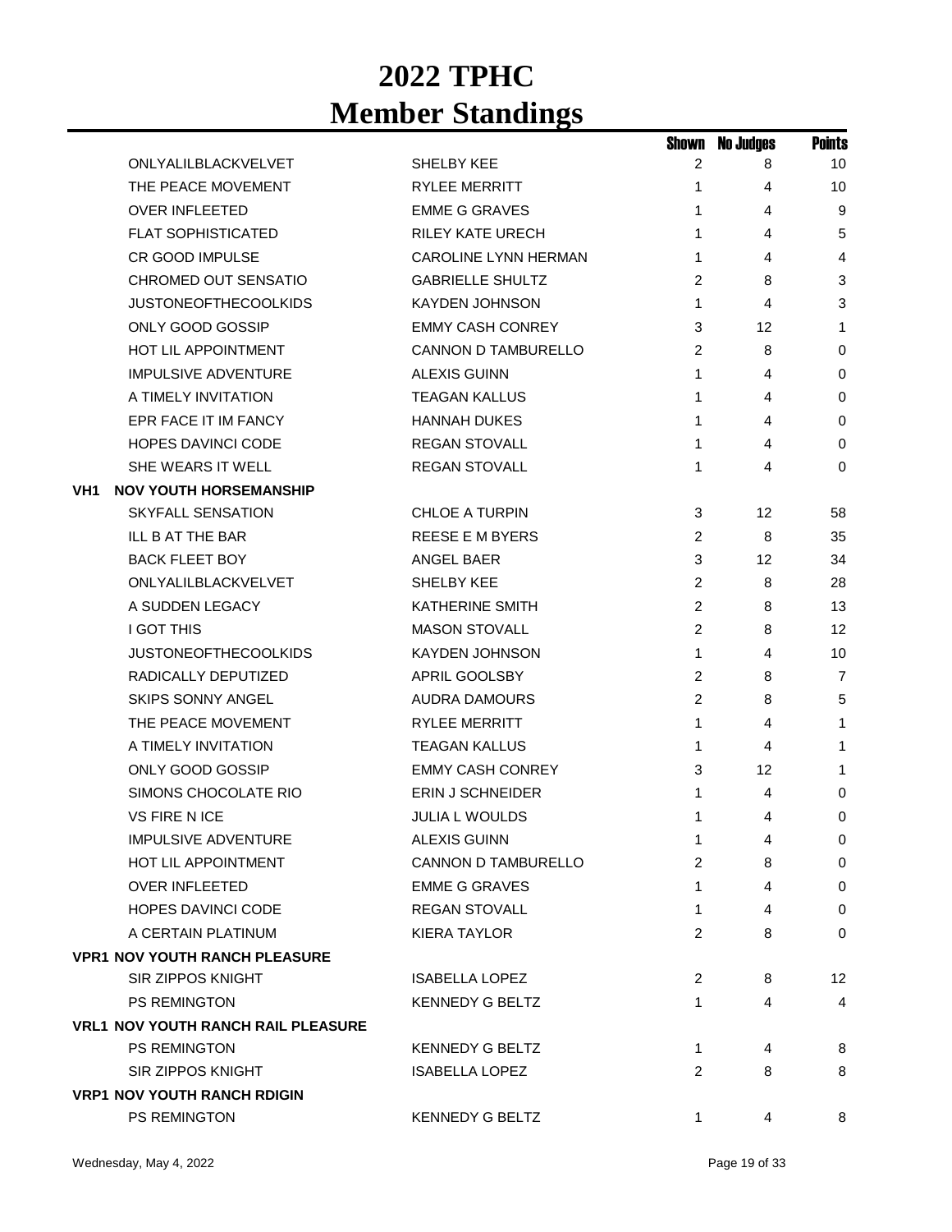|     |                                           |                             | Shown          | <b>No Judges</b> | <b>Points</b>   |
|-----|-------------------------------------------|-----------------------------|----------------|------------------|-----------------|
|     | ONLYALILBLACKVELVET                       | SHELBY KEE                  | 2              | 8                | 10 <sup>°</sup> |
|     | THE PEACE MOVEMENT                        | <b>RYLEE MERRITT</b>        | 1.             | 4                | 10              |
|     | <b>OVER INFLEETED</b>                     | <b>EMME G GRAVES</b>        | 1              | 4                | 9               |
|     | <b>FLAT SOPHISTICATED</b>                 | <b>RILEY KATE URECH</b>     | 1              | 4                | 5               |
|     | <b>CR GOOD IMPULSE</b>                    | <b>CAROLINE LYNN HERMAN</b> | 1              | 4                | 4               |
|     | CHROMED OUT SENSATIO                      | <b>GABRIELLE SHULTZ</b>     | 2              | 8                | 3               |
|     | <b>JUSTONEOFTHECOOLKIDS</b>               | <b>KAYDEN JOHNSON</b>       | 1              | 4                | 3               |
|     | ONLY GOOD GOSSIP                          | <b>EMMY CASH CONREY</b>     | 3              | 12               | 1               |
|     | <b>HOT LIL APPOINTMENT</b>                | <b>CANNON D TAMBURELLO</b>  | 2              | 8                | 0               |
|     | <b>IMPULSIVE ADVENTURE</b>                | <b>ALEXIS GUINN</b>         | 1              | 4                | 0               |
|     | A TIMELY INVITATION                       | <b>TEAGAN KALLUS</b>        | 1              | 4                | 0               |
|     | EPR FACE IT IM FANCY                      | <b>HANNAH DUKES</b>         | 1              | 4                | 0               |
|     | <b>HOPES DAVINCI CODE</b>                 | <b>REGAN STOVALL</b>        | 1              | 4                | $\mathbf 0$     |
|     | SHE WEARS IT WELL                         | <b>REGAN STOVALL</b>        | 1              | 4                | 0               |
| VH1 | <b>NOV YOUTH HORSEMANSHIP</b>             |                             |                |                  |                 |
|     | <b>SKYFALL SENSATION</b>                  | <b>CHLOE A TURPIN</b>       | 3              | 12               | 58              |
|     | ILL B AT THE BAR                          | <b>REESE E M BYERS</b>      | $\overline{c}$ | 8                | 35              |
|     | <b>BACK FLEET BOY</b>                     | <b>ANGEL BAER</b>           | 3              | 12               | 34              |
|     | ONLYALILBLACKVELVET                       | SHELBY KEE                  | 2              | 8                | 28              |
|     | A SUDDEN LEGACY                           | <b>KATHERINE SMITH</b>      | 2              | 8                | 13              |
|     | <b>I GOT THIS</b>                         | <b>MASON STOVALL</b>        | 2              | 8                | 12              |
|     | <b>JUSTONEOFTHECOOLKIDS</b>               | <b>KAYDEN JOHNSON</b>       | 1              | 4                | 10              |
|     | RADICALLY DEPUTIZED                       | APRIL GOOLSBY               | 2              | 8                | $\overline{7}$  |
|     | <b>SKIPS SONNY ANGEL</b>                  | <b>AUDRA DAMOURS</b>        | $\overline{c}$ | 8                | 5               |
|     | THE PEACE MOVEMENT                        | <b>RYLEE MERRITT</b>        | 1              | 4                | 1               |
|     | A TIMELY INVITATION                       | <b>TEAGAN KALLUS</b>        | 1              | 4                | 1               |
|     | ONLY GOOD GOSSIP                          | <b>EMMY CASH CONREY</b>     | 3              | 12               | 1               |
|     | SIMONS CHOCOLATE RIO                      | <b>ERIN J SCHNEIDER</b>     | 1              | 4                | $\pmb{0}$       |
|     | <b>VS FIRE N ICE</b>                      | <b>JULIA L WOULDS</b>       | 1              | 4                | 0               |
|     | <b>IMPULSIVE ADVENTURE</b>                | <b>ALEXIS GUINN</b>         | 1              | 4                | 0               |
|     | <b>HOT LIL APPOINTMENT</b>                | <b>CANNON D TAMBURELLO</b>  | $\overline{2}$ | 8                | 0               |
|     | <b>OVER INFLEETED</b>                     | <b>EMME G GRAVES</b>        | 1              | 4                | $\mathbf 0$     |
|     | <b>HOPES DAVINCI CODE</b>                 | <b>REGAN STOVALL</b>        | 1              | 4                | 0               |
|     | A CERTAIN PLATINUM                        | <b>KIERA TAYLOR</b>         | $\overline{2}$ | 8                | $\mathbf 0$     |
|     | <b>VPR1 NOV YOUTH RANCH PLEASURE</b>      |                             |                |                  |                 |
|     | <b>SIR ZIPPOS KNIGHT</b>                  | <b>ISABELLA LOPEZ</b>       | 2              | 8                | 12              |
|     | <b>PS REMINGTON</b>                       | <b>KENNEDY G BELTZ</b>      | 1              | 4                | 4               |
|     | <b>VRL1 NOV YOUTH RANCH RAIL PLEASURE</b> |                             |                |                  |                 |
|     | PS REMINGTON                              | <b>KENNEDY G BELTZ</b>      | 1              | 4                | 8               |
|     | SIR ZIPPOS KNIGHT                         | <b>ISABELLA LOPEZ</b>       | 2              | 8                | 8               |
|     | <b>VRP1 NOV YOUTH RANCH RDIGIN</b>        |                             |                |                  |                 |
|     | PS REMINGTON                              | <b>KENNEDY G BELTZ</b>      | 1              | 4                | 8               |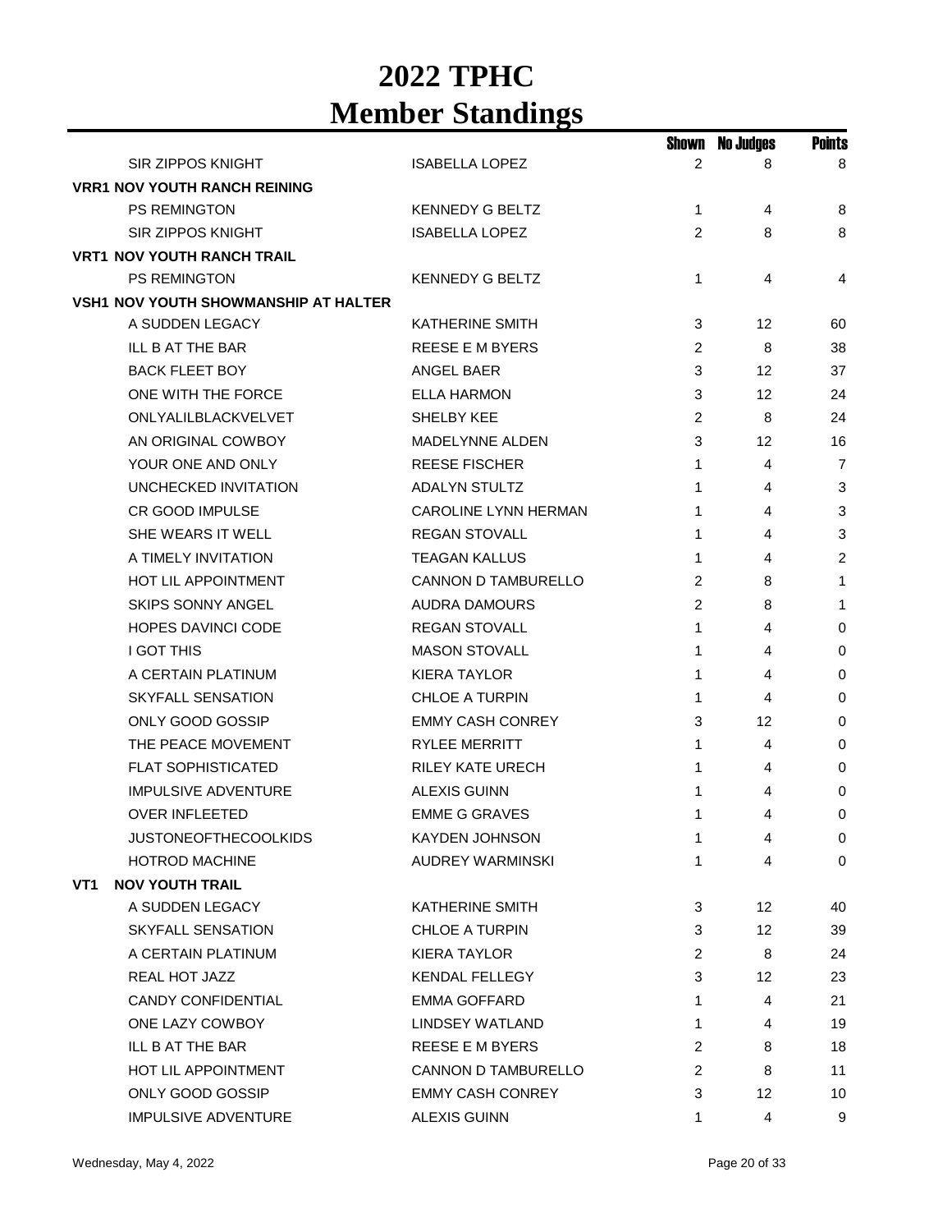|     |                                             |                             | Shown          | No Judges | <b>Points</b>  |
|-----|---------------------------------------------|-----------------------------|----------------|-----------|----------------|
|     | <b>SIR ZIPPOS KNIGHT</b>                    | <b>ISABELLA LOPEZ</b>       | 2              | 8         | 8              |
|     | <b>VRR1 NOV YOUTH RANCH REINING</b>         |                             |                |           |                |
|     | <b>PS REMINGTON</b>                         | <b>KENNEDY G BELTZ</b>      | 1              | 4         | 8              |
|     | <b>SIR ZIPPOS KNIGHT</b>                    | <b>ISABELLA LOPEZ</b>       | 2              | 8         | 8              |
|     | <b>VRT1 NOV YOUTH RANCH TRAIL</b>           |                             |                |           |                |
|     | <b>PS REMINGTON</b>                         | <b>KENNEDY G BELTZ</b>      | 1              | 4         | 4              |
|     | <b>VSH1 NOV YOUTH SHOWMANSHIP AT HALTER</b> |                             |                |           |                |
|     | A SUDDEN LEGACY                             | <b>KATHERINE SMITH</b>      | 3              | 12        | 60             |
|     | ILL B AT THE BAR                            | <b>REESE E M BYERS</b>      | 2              | 8         | 38             |
|     | <b>BACK FLEET BOY</b>                       | ANGEL BAER                  | 3              | 12        | 37             |
|     | ONE WITH THE FORCE                          | <b>ELLA HARMON</b>          | 3              | 12        | 24             |
|     | ONLYALILBLACKVELVET                         | SHELBY KEE                  | 2              | 8         | 24             |
|     | AN ORIGINAL COWBOY                          | <b>MADELYNNE ALDEN</b>      | 3              | 12        | 16             |
|     | YOUR ONE AND ONLY                           | <b>REESE FISCHER</b>        | 1              | 4         | $\overline{7}$ |
|     | UNCHECKED INVITATION                        | <b>ADALYN STULTZ</b>        | 1              | 4         | 3              |
|     | <b>CR GOOD IMPULSE</b>                      | <b>CAROLINE LYNN HERMAN</b> | 1              | 4         | 3              |
|     | SHE WEARS IT WELL                           | <b>REGAN STOVALL</b>        | 1              | 4         | 3              |
|     | A TIMELY INVITATION                         | <b>TEAGAN KALLUS</b>        | 1              | 4         | $\overline{2}$ |
|     | <b>HOT LIL APPOINTMENT</b>                  | <b>CANNON D TAMBURELLO</b>  | 2              | 8         | $\mathbf{1}$   |
|     | <b>SKIPS SONNY ANGEL</b>                    | <b>AUDRA DAMOURS</b>        | $\overline{2}$ | 8         | $\mathbf{1}$   |
|     | <b>HOPES DAVINCI CODE</b>                   | <b>REGAN STOVALL</b>        | 1              | 4         | 0              |
|     | <b>I GOT THIS</b>                           | <b>MASON STOVALL</b>        | 1              | 4         | 0              |
|     | A CERTAIN PLATINUM                          | <b>KIERA TAYLOR</b>         | 1              | 4         | 0              |
|     | <b>SKYFALL SENSATION</b>                    | <b>CHLOE A TURPIN</b>       | 1              | 4         | 0              |
|     | ONLY GOOD GOSSIP                            | <b>EMMY CASH CONREY</b>     | 3              | 12        | 0              |
|     | THE PEACE MOVEMENT                          | <b>RYLEE MERRITT</b>        | 1              | 4         | 0              |
|     | <b>FLAT SOPHISTICATED</b>                   | <b>RILEY KATE URECH</b>     | 1              | 4         | 0              |
|     | <b>IMPULSIVE ADVENTURE</b>                  | <b>ALEXIS GUINN</b>         | 1              | 4         | 0              |
|     | <b>OVER INFLEETED</b>                       | <b>EMME G GRAVES</b>        | 1              | 4         | 0              |
|     | <b>JUSTONEOFTHECOOLKIDS</b>                 | KAYDEN JOHNSON              | 1              | 4         | 0              |
|     | <b>HOTROD MACHINE</b>                       | AUDREY WARMINSKI            | 1              | 4         | 0              |
| VT1 | <b>NOV YOUTH TRAIL</b>                      |                             |                |           |                |
|     | A SUDDEN LEGACY                             | <b>KATHERINE SMITH</b>      | 3              | 12        | 40             |
|     | SKYFALL SENSATION                           | CHLOE A TURPIN              | 3              | 12        | 39             |
|     | A CERTAIN PLATINUM                          | <b>KIERA TAYLOR</b>         | $\overline{c}$ | 8         | 24             |
|     | <b>REAL HOT JAZZ</b>                        | <b>KENDAL FELLEGY</b>       | 3              | 12        | 23             |
|     | <b>CANDY CONFIDENTIAL</b>                   | <b>EMMA GOFFARD</b>         | 1              | 4         | 21             |
|     | ONE LAZY COWBOY                             | LINDSEY WATLAND             | 1              | 4         | 19             |
|     | ILL B AT THE BAR                            | <b>REESE E M BYERS</b>      | $\overline{c}$ | 8         | 18             |
|     | <b>HOT LIL APPOINTMENT</b>                  | CANNON D TAMBURELLO         | 2              | 8         | 11             |
|     | ONLY GOOD GOSSIP                            | <b>EMMY CASH CONREY</b>     | 3              | 12        | 10             |
|     | <b>IMPULSIVE ADVENTURE</b>                  | ALEXIS GUINN                | 1              | 4         | 9              |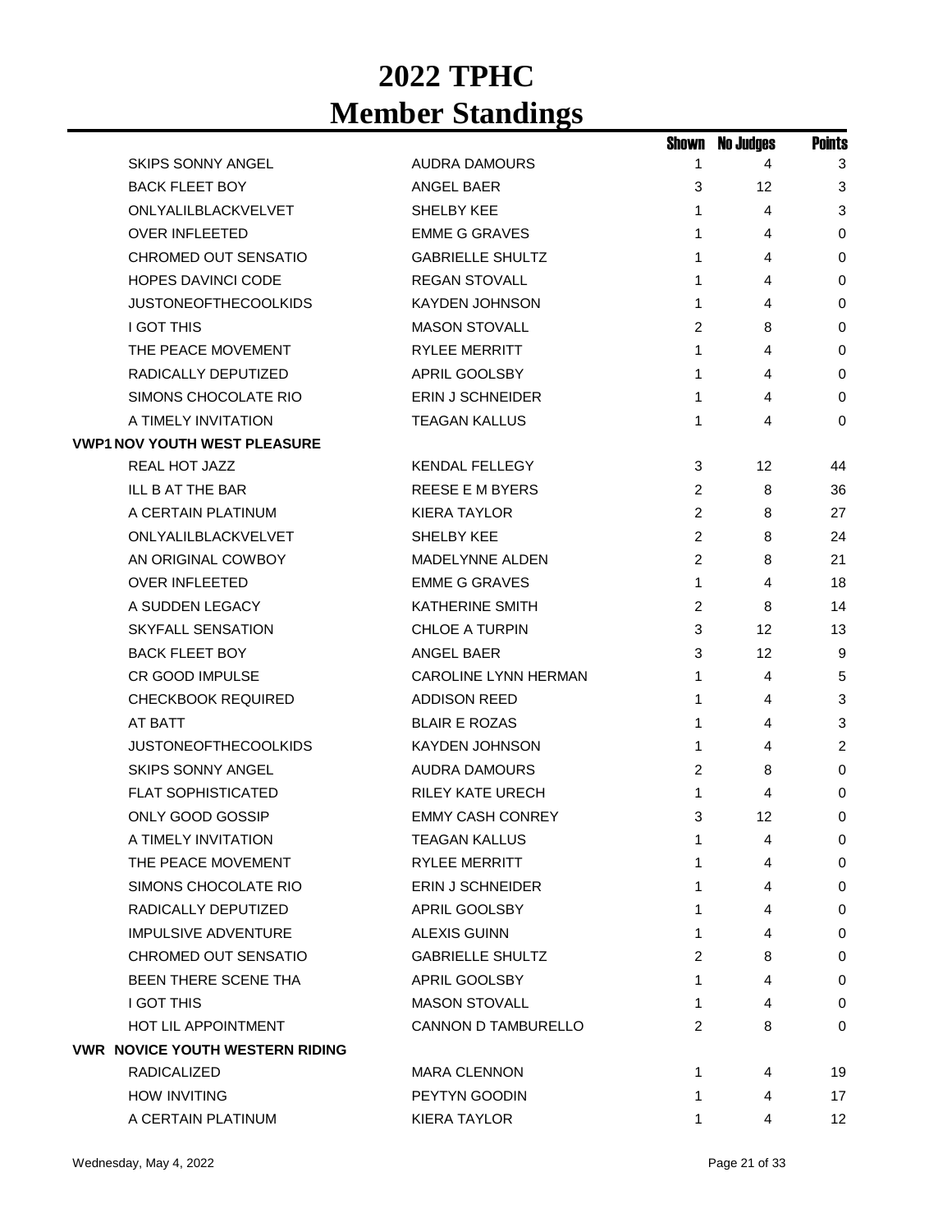|                                        |                            | Shown          | <b>No Judges</b> | <b>Points</b>   |
|----------------------------------------|----------------------------|----------------|------------------|-----------------|
| SKIPS SONNY ANGEL                      | AUDRA DAMOURS              | 1              | 4                | 3               |
| <b>BACK FLEET BOY</b>                  | ANGEL BAER                 | 3              | 12               | 3               |
| ONLYALILBLACKVELVET                    | SHELBY KEE                 | 1              | 4                | 3               |
| <b>OVER INFLEETED</b>                  | <b>EMME G GRAVES</b>       | 1              | 4                | 0               |
| <b>CHROMED OUT SENSATIO</b>            | <b>GABRIELLE SHULTZ</b>    | 1              | 4                | 0               |
| <b>HOPES DAVINCI CODE</b>              | <b>REGAN STOVALL</b>       | 1              | 4                | 0               |
| <b>JUSTONEOFTHECOOLKIDS</b>            | <b>KAYDEN JOHNSON</b>      | 1              | 4                | 0               |
| <b>I GOT THIS</b>                      | <b>MASON STOVALL</b>       | 2              | 8                | 0               |
| THE PEACE MOVEMENT                     | <b>RYLEE MERRITT</b>       | 1              | 4                | 0               |
| RADICALLY DEPUTIZED                    | APRIL GOOLSBY              | 1              | 4                | 0               |
| SIMONS CHOCOLATE RIO                   | ERIN J SCHNEIDER           | 1              | 4                | $\mathbf 0$     |
| A TIMELY INVITATION                    | <b>TEAGAN KALLUS</b>       | 1              | 4                | 0               |
| <b>VWP1 NOV YOUTH WEST PLEASURE</b>    |                            |                |                  |                 |
| REAL HOT JAZZ                          | <b>KENDAL FELLEGY</b>      | 3              | 12               | 44              |
| ILL B AT THE BAR                       | <b>REESE E M BYERS</b>     | 2              | 8                | 36              |
| A CERTAIN PLATINUM                     | <b>KIERA TAYLOR</b>        | 2              | 8                | 27              |
| ONLYALILBLACKVELVET                    | SHELBY KEE                 | 2              | 8                | 24              |
| AN ORIGINAL COWBOY                     | <b>MADELYNNE ALDEN</b>     | 2              | 8                | 21              |
| <b>OVER INFLEETED</b>                  | <b>EMME G GRAVES</b>       | 1              | 4                | 18              |
| A SUDDEN LEGACY                        | <b>KATHERINE SMITH</b>     | $\overline{c}$ | 8                | 14              |
| <b>SKYFALL SENSATION</b>               | <b>CHLOE A TURPIN</b>      | 3              | 12               | 13              |
| <b>BACK FLEET BOY</b>                  | ANGEL BAER                 | 3              | 12               | 9               |
| <b>CR GOOD IMPULSE</b>                 | CAROLINE LYNN HERMAN       | 1              | 4                | 5               |
| <b>CHECKBOOK REQUIRED</b>              | <b>ADDISON REED</b>        | 1              | 4                | 3               |
| AT BATT                                | <b>BLAIR E ROZAS</b>       | 1              | 4                | 3               |
| <b>JUSTONEOFTHECOOLKIDS</b>            | <b>KAYDEN JOHNSON</b>      | 1              | 4                | $\overline{c}$  |
| <b>SKIPS SONNY ANGEL</b>               | <b>AUDRA DAMOURS</b>       | $\overline{2}$ | 8                | 0               |
| <b>FLAT SOPHISTICATED</b>              | <b>RILEY KATE URECH</b>    | 1              | 4                | 0               |
| ONLY GOOD GOSSIP                       | <b>EMMY CASH CONREY</b>    | 3              | 12               | 0               |
| A TIMELY INVITATION                    | <b>TEAGAN KALLUS</b>       | 1              | 4                | 0               |
| THE PEACE MOVEMENT                     | <b>RYLEE MERRITT</b>       | 1              | 4                | 0               |
| SIMONS CHOCOLATE RIO                   | <b>ERIN J SCHNEIDER</b>    | 1              | 4                | 0               |
| RADICALLY DEPUTIZED                    | APRIL GOOLSBY              | 1              | 4                | 0               |
| <b>IMPULSIVE ADVENTURE</b>             | <b>ALEXIS GUINN</b>        | 1              | 4                | 0               |
| CHROMED OUT SENSATIO                   | <b>GABRIELLE SHULTZ</b>    | 2              | 8                | 0               |
| BEEN THERE SCENE THA                   | APRIL GOOLSBY              | 1.             | 4                | 0               |
| <b>I GOT THIS</b>                      | <b>MASON STOVALL</b>       | 1              | 4                | 0               |
| <b>HOT LIL APPOINTMENT</b>             | <b>CANNON D TAMBURELLO</b> | 2              | 8                | 0               |
| <b>VWR NOVICE YOUTH WESTERN RIDING</b> |                            |                |                  |                 |
| RADICALIZED                            | <b>MARA CLENNON</b>        | 1              | 4                | 19              |
| <b>HOW INVITING</b>                    | PEYTYN GOODIN              | 1              | 4                | 17              |
| A CERTAIN PLATINUM                     | <b>KIERA TAYLOR</b>        | 1              | 4                | 12 <sup>2</sup> |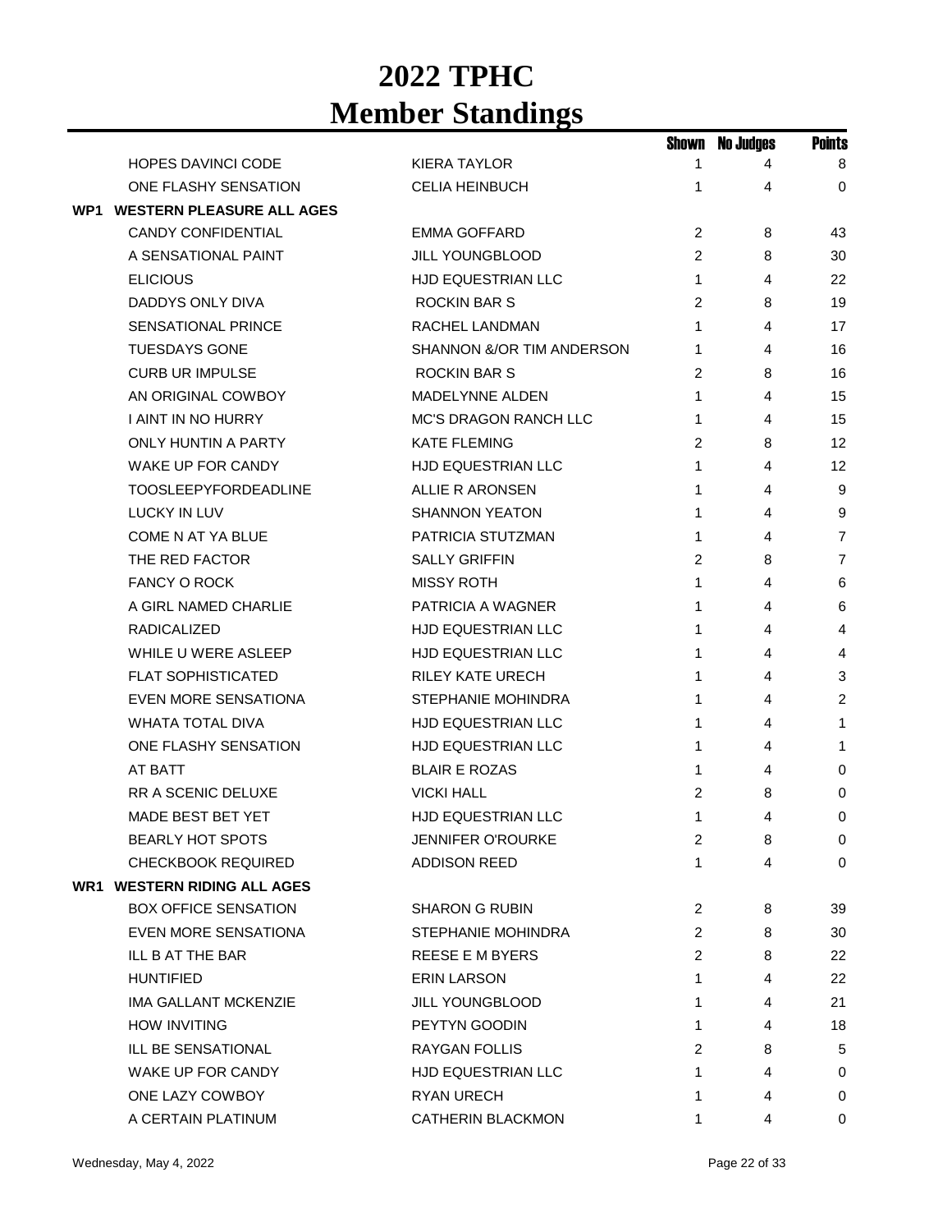|                                      |                              | Shown          | <b>No Judges</b> | <b>Points</b>  |
|--------------------------------------|------------------------------|----------------|------------------|----------------|
| <b>HOPES DAVINCI CODE</b>            | <b>KIERA TAYLOR</b>          | 1              | 4                | 8              |
| ONE FLASHY SENSATION                 | <b>CELIA HEINBUCH</b>        | 1              | 4                | $\Omega$       |
| <b>WP1 WESTERN PLEASURE ALL AGES</b> |                              |                |                  |                |
| <b>CANDY CONFIDENTIAL</b>            | <b>EMMA GOFFARD</b>          | 2              | 8                | 43             |
| A SENSATIONAL PAINT                  | JILL YOUNGBLOOD              | 2              | 8                | 30             |
| <b>ELICIOUS</b>                      | HJD EQUESTRIAN LLC           | 1              | 4                | 22             |
| DADDYS ONLY DIVA                     | <b>ROCKIN BAR S</b>          | 2              | 8                | 19             |
| <b>SENSATIONAL PRINCE</b>            | RACHEL LANDMAN               | 1              | 4                | 17             |
| <b>TUESDAYS GONE</b>                 | SHANNON &/OR TIM ANDERSON    | 1              | 4                | 16             |
| <b>CURB UR IMPULSE</b>               | <b>ROCKIN BAR S</b>          | 2              | 8                | 16             |
| AN ORIGINAL COWBOY                   | <b>MADELYNNE ALDEN</b>       | 1              | 4                | 15             |
| I AINT IN NO HURRY                   | <b>MC'S DRAGON RANCH LLC</b> | 1              | 4                | 15             |
| <b>ONLY HUNTIN A PARTY</b>           | <b>KATE FLEMING</b>          | 2              | 8                | 12             |
| WAKE UP FOR CANDY                    | HJD EQUESTRIAN LLC           | 1              | 4                | 12             |
| <b>TOOSLEEPYFORDEADLINE</b>          | <b>ALLIE R ARONSEN</b>       | 1              | 4                | 9              |
| <b>LUCKY IN LUV</b>                  | <b>SHANNON YEATON</b>        | 1              | 4                | 9              |
| <b>COME N AT YA BLUE</b>             | PATRICIA STUTZMAN            | 1              | 4                | $\overline{7}$ |
| THE RED FACTOR                       | <b>SALLY GRIFFIN</b>         | 2              | 8                | $\overline{7}$ |
| <b>FANCY O ROCK</b>                  | <b>MISSY ROTH</b>            | 1              | 4                | 6              |
| A GIRL NAMED CHARLIE                 | PATRICIA A WAGNER            | 1              | 4                | 6              |
| <b>RADICALIZED</b>                   | HJD EQUESTRIAN LLC           | 1              | 4                | 4              |
| WHILE U WERE ASLEEP                  | <b>HJD EQUESTRIAN LLC</b>    | 1              | 4                | 4              |
| <b>FLAT SOPHISTICATED</b>            | <b>RILEY KATE URECH</b>      | 1              | 4                | 3              |
| <b>EVEN MORE SENSATIONA</b>          | <b>STEPHANIE MOHINDRA</b>    | 1              | 4                | 2              |
| <b>WHATA TOTAL DIVA</b>              | <b>HJD EQUESTRIAN LLC</b>    | 1              | 4                | 1              |
| ONE FLASHY SENSATION                 | HJD EQUESTRIAN LLC           | 1              | 4                | 1              |
| AT BATT                              | <b>BLAIR E ROZAS</b>         | 1              | 4                | 0              |
| <b>RR A SCENIC DELUXE</b>            | <b>VICKI HALL</b>            | 2              | 8                | 0              |
| MADE BEST BET YET                    | HJD EQUESTRIAN LLC           | 1              | 4                | 0              |
| <b>BEARLY HOT SPOTS</b>              | JENNIFER O'ROURKE            | 2              | 8                | 0              |
| CHECKBOOK REQUIRED                   | <b>ADDISON REED</b>          | 1              | 4                | $\mathbf 0$    |
| <b>WR1 WESTERN RIDING ALL AGES</b>   |                              |                |                  |                |
| <b>BOX OFFICE SENSATION</b>          | <b>SHARON G RUBIN</b>        | $\overline{2}$ | 8                | 39             |
| EVEN MORE SENSATIONA                 | <b>STEPHANIE MOHINDRA</b>    | 2              | 8                | 30             |
| <b>ILL B AT THE BAR</b>              | REESE E M BYERS              | 2              | 8                | 22             |
| <b>HUNTIFIED</b>                     | <b>ERIN LARSON</b>           | 1              | 4                | 22             |
| <b>IMA GALLANT MCKENZIE</b>          | <b>JILL YOUNGBLOOD</b>       | 1              | 4                | 21             |
| <b>HOW INVITING</b>                  | PEYTYN GOODIN                | 1              | 4                | 18             |
| ILL BE SENSATIONAL                   | <b>RAYGAN FOLLIS</b>         | 2              | 8                | 5              |
| WAKE UP FOR CANDY                    | <b>HJD EQUESTRIAN LLC</b>    | 1              | 4                | 0              |
| ONE LAZY COWBOY                      | <b>RYAN URECH</b>            | 1              | 4                | 0              |
| A CERTAIN PLATINUM                   | CATHERIN BLACKMON            | 1              | 4                | 0              |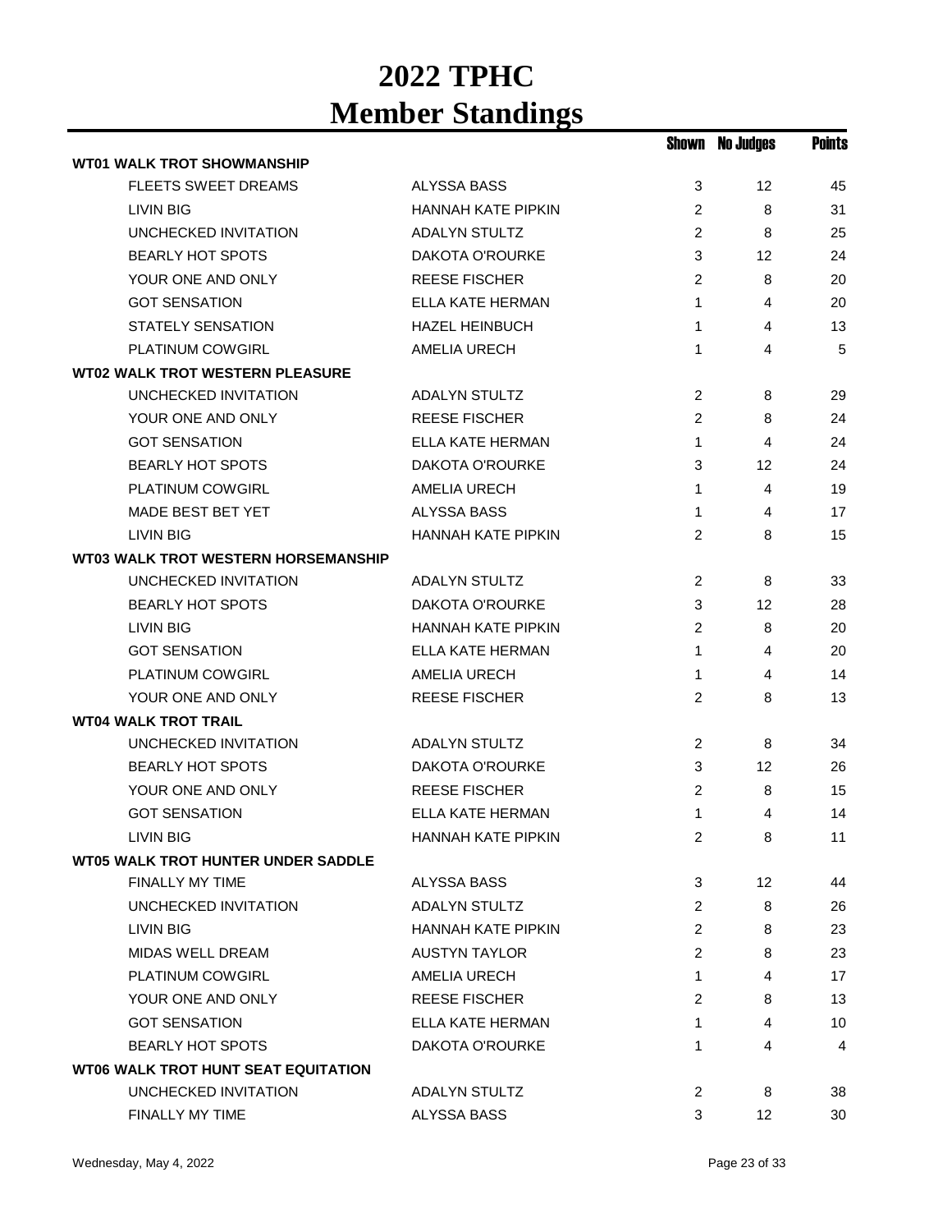|                                            |                           |                | <b>Shown No Judges</b> | Points |
|--------------------------------------------|---------------------------|----------------|------------------------|--------|
| <b>WT01 WALK TROT SHOWMANSHIP</b>          |                           |                |                        |        |
| <b>FLEETS SWEET DREAMS</b>                 | ALYSSA BASS               | 3              | 12                     | 45     |
| LIVIN BIG                                  | <b>HANNAH KATE PIPKIN</b> | 2              | 8                      | 31     |
| UNCHECKED INVITATION                       | <b>ADALYN STULTZ</b>      | $\overline{2}$ | 8                      | 25     |
| <b>BEARLY HOT SPOTS</b>                    | <b>DAKOTA O'ROURKE</b>    | 3              | 12                     | 24     |
| YOUR ONE AND ONLY                          | <b>REESE FISCHER</b>      | 2              | 8                      | 20     |
| <b>GOT SENSATION</b>                       | ELLA KATE HERMAN          | 1              | 4                      | 20     |
| STATELY SENSATION                          | <b>HAZEL HEINBUCH</b>     | 1              | 4                      | 13     |
| PLATINUM COWGIRL                           | <b>AMELIA URECH</b>       | 1              | 4                      | 5      |
| <b>WT02 WALK TROT WESTERN PLEASURE</b>     |                           |                |                        |        |
| UNCHECKED INVITATION                       | <b>ADALYN STULTZ</b>      | 2              | 8                      | 29     |
| YOUR ONE AND ONLY                          | <b>REESE FISCHER</b>      | $\overline{c}$ | 8                      | 24     |
| <b>GOT SENSATION</b>                       | <b>ELLA KATE HERMAN</b>   | $\mathbf 1$    | 4                      | 24     |
| <b>BEARLY HOT SPOTS</b>                    | <b>DAKOTA O'ROURKE</b>    | 3              | 12                     | 24     |
| PLATINUM COWGIRL                           | AMELIA URECH              | 1              | 4                      | 19     |
| MADE BEST BET YET                          | ALYSSA BASS               | 1              | 4                      | 17     |
| <b>LIVIN BIG</b>                           | <b>HANNAH KATE PIPKIN</b> | 2              | 8                      | 15     |
| <b>WT03 WALK TROT WESTERN HORSEMANSHIP</b> |                           |                |                        |        |
| UNCHECKED INVITATION                       | <b>ADALYN STULTZ</b>      | 2              | 8                      | 33     |
| <b>BEARLY HOT SPOTS</b>                    | <b>DAKOTA O'ROURKE</b>    | 3              | 12                     | 28     |
| <b>LIVIN BIG</b>                           | <b>HANNAH KATE PIPKIN</b> | 2              | 8                      | 20     |
| <b>GOT SENSATION</b>                       | ELLA KATE HERMAN          | $\mathbf 1$    | 4                      | 20     |
| PLATINUM COWGIRL                           | AMELIA URECH              | 1              | 4                      | 14     |
| YOUR ONE AND ONLY                          | <b>REESE FISCHER</b>      | 2              | 8                      | 13     |
| <b>WT04 WALK TROT TRAIL</b>                |                           |                |                        |        |
| UNCHECKED INVITATION                       | <b>ADALYN STULTZ</b>      | 2              | 8                      | 34     |
| <b>BEARLY HOT SPOTS</b>                    | DAKOTA O'ROURKE           | 3              | 12                     | 26     |
| YOUR ONE AND ONLY                          | <b>REESE FISCHER</b>      | 2              | 8                      | 15     |
| <b>GOT SENSATION</b>                       | ELLA KATE HERMAN          | 1              | 4                      | 14     |
| <b>LIVIN BIG</b>                           | HANNAH KATE PIPKIN        | 2              | 8                      | 11     |
| <b>WT05 WALK TROT HUNTER UNDER SADDLE</b>  |                           |                |                        |        |
| <b>FINALLY MY TIME</b>                     | ALYSSA BASS               | 3              | 12 <sup>2</sup>        | 44     |
| UNCHECKED INVITATION                       | <b>ADALYN STULTZ</b>      | $\overline{c}$ | 8                      | 26     |
| LIVIN BIG                                  | <b>HANNAH KATE PIPKIN</b> | 2              | 8                      | 23     |
| <b>MIDAS WELL DREAM</b>                    | <b>AUSTYN TAYLOR</b>      | 2              | 8                      | 23     |
| <b>PLATINUM COWGIRL</b>                    | AMELIA URECH              | 1              | 4                      | 17     |
| YOUR ONE AND ONLY                          | <b>REESE FISCHER</b>      | 2              | 8                      | 13     |
| <b>GOT SENSATION</b>                       | ELLA KATE HERMAN          | 1              | 4                      | 10     |
| <b>BEARLY HOT SPOTS</b>                    | DAKOTA O'ROURKE           | 1              | 4                      | 4      |
| <b>WT06 WALK TROT HUNT SEAT EQUITATION</b> |                           |                |                        |        |
| UNCHECKED INVITATION                       | <b>ADALYN STULTZ</b>      | 2              | 8                      | 38     |
| FINALLY MY TIME                            | ALYSSA BASS               | 3              | 12 <sup>2</sup>        | 30     |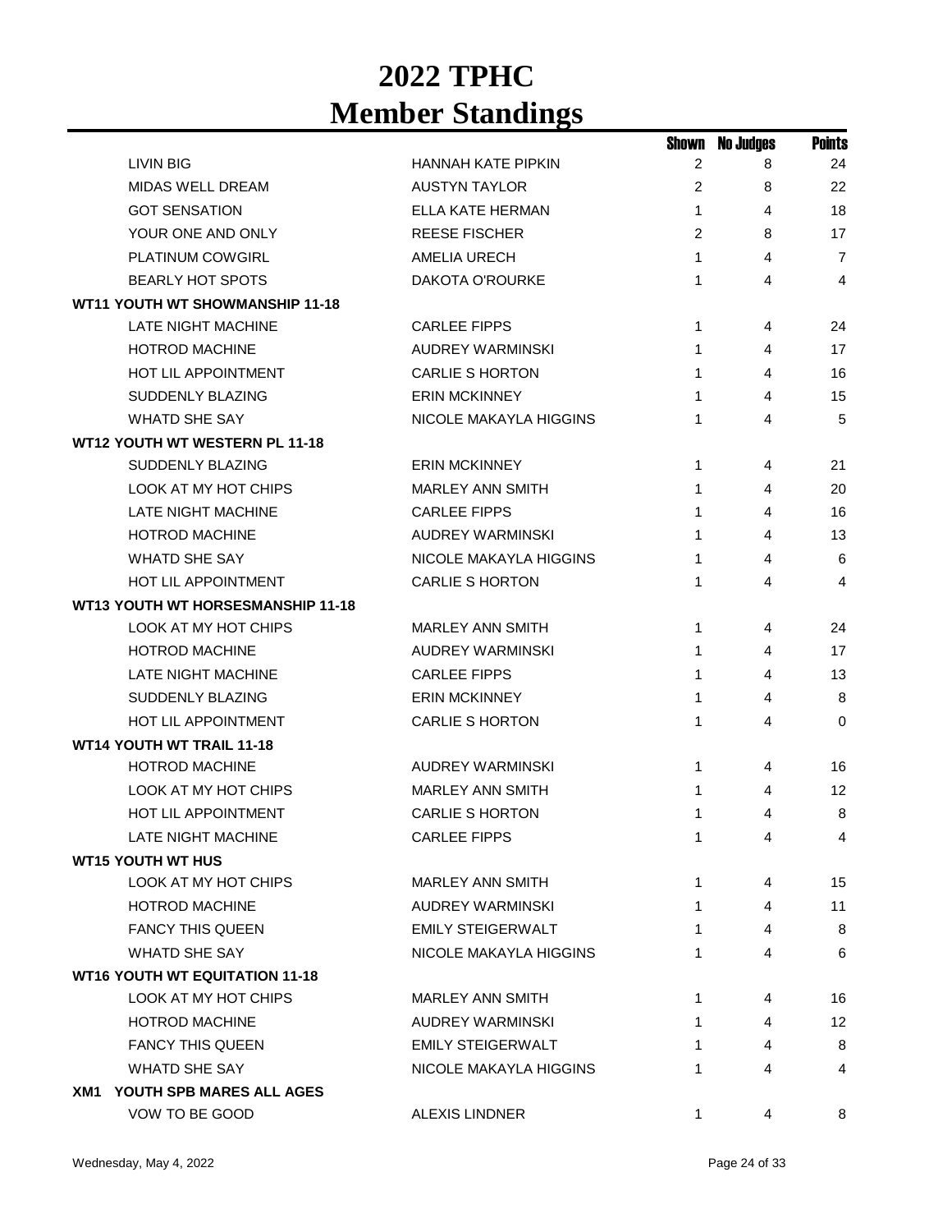|                                     |                          |   | <b>Shown No Judges</b> | <b>Points</b>  |
|-------------------------------------|--------------------------|---|------------------------|----------------|
| LIVIN BIG                           | HANNAH KATE PIPKIN       | 2 | 8                      | 24             |
| <b>MIDAS WELL DREAM</b>             | <b>AUSTYN TAYLOR</b>     | 2 | 8                      | 22             |
| <b>GOT SENSATION</b>                | ELLA KATE HERMAN         | 1 | 4                      | 18             |
| YOUR ONE AND ONLY                   | <b>REESE FISCHER</b>     | 2 | 8                      | 17             |
| PLATINUM COWGIRL                    | <b>AMELIA URECH</b>      | 1 | 4                      | $\overline{7}$ |
| <b>BEARLY HOT SPOTS</b>             | DAKOTA O'ROURKE          | 1 | 4                      | $\overline{4}$ |
| WT11 YOUTH WT SHOWMANSHIP 11-18     |                          |   |                        |                |
| LATE NIGHT MACHINE                  | <b>CARLEE FIPPS</b>      | 1 | 4                      | 24             |
| <b>HOTROD MACHINE</b>               | <b>AUDREY WARMINSKI</b>  | 1 | 4                      | 17             |
| <b>HOT LIL APPOINTMENT</b>          | <b>CARLIE S HORTON</b>   | 1 | 4                      | 16             |
| SUDDENLY BLAZING                    | <b>ERIN MCKINNEY</b>     | 1 | 4                      | 15             |
| <b>WHATD SHE SAY</b>                | NICOLE MAKAYLA HIGGINS   | 1 | 4                      | 5              |
| WT12 YOUTH WT WESTERN PL 11-18      |                          |   |                        |                |
| <b>SUDDENLY BLAZING</b>             | <b>ERIN MCKINNEY</b>     | 1 | 4                      | 21             |
| LOOK AT MY HOT CHIPS                | <b>MARLEY ANN SMITH</b>  | 1 | 4                      | 20             |
| LATE NIGHT MACHINE                  | <b>CARLEE FIPPS</b>      | 1 | 4                      | 16             |
| <b>HOTROD MACHINE</b>               | <b>AUDREY WARMINSKI</b>  | 1 | 4                      | 13             |
| <b>WHATD SHE SAY</b>                | NICOLE MAKAYLA HIGGINS   | 1 | 4                      | 6              |
| HOT LIL APPOINTMENT                 | <b>CARLIE S HORTON</b>   | 1 | 4                      | 4              |
| WT13 YOUTH WT HORSESMANSHIP 11-18   |                          |   |                        |                |
| LOOK AT MY HOT CHIPS                | <b>MARLEY ANN SMITH</b>  | 1 | 4                      | 24             |
| <b>HOTROD MACHINE</b>               | AUDREY WARMINSKI         | 1 | 4                      | 17             |
| <b>LATE NIGHT MACHINE</b>           | <b>CARLEE FIPPS</b>      | 1 | 4                      | 13             |
| SUDDENLY BLAZING                    | <b>ERIN MCKINNEY</b>     | 1 | 4                      | 8              |
| <b>HOT LIL APPOINTMENT</b>          | <b>CARLIE S HORTON</b>   | 1 | 4                      | $\Omega$       |
| <b>WT14 YOUTH WT TRAIL 11-18</b>    |                          |   |                        |                |
| <b>HOTROD MACHINE</b>               | <b>AUDREY WARMINSKI</b>  | 1 | 4                      | 16             |
| LOOK AT MY HOT CHIPS                | <b>MARLEY ANN SMITH</b>  | 1 | 4                      | 12             |
| <b>HOT LIL APPOINTMENT</b>          | <b>CARLIE S HORTON</b>   | 1 | 4                      | 8              |
| <b>LATE NIGHT MACHINE</b>           | <b>CARLEE FIPPS</b>      | 1 | 4                      | 4              |
| <b>WT15 YOUTH WT HUS</b>            |                          |   |                        |                |
| LOOK AT MY HOT CHIPS                | <b>MARLEY ANN SMITH</b>  | 1 | 4                      | 15             |
| <b>HOTROD MACHINE</b>               | AUDREY WARMINSKI         | 1 | 4                      | 11             |
| <b>FANCY THIS QUEEN</b>             | <b>EMILY STEIGERWALT</b> | 1 | 4                      | 8              |
| <b>WHATD SHE SAY</b>                | NICOLE MAKAYLA HIGGINS   | 1 | 4                      | 6              |
| WT16 YOUTH WT EQUITATION 11-18      |                          |   |                        |                |
| LOOK AT MY HOT CHIPS                | MARLEY ANN SMITH         | 1 | 4                      | 16             |
| <b>HOTROD MACHINE</b>               | AUDREY WARMINSKI         | 1 | 4                      | 12             |
| <b>FANCY THIS QUEEN</b>             | EMILY STEIGERWALT        | 1 | 4                      | 8              |
| WHATD SHE SAY                       | NICOLE MAKAYLA HIGGINS   | 1 | 4                      | 4              |
| <b>XM1 YOUTH SPB MARES ALL AGES</b> |                          |   |                        |                |
| VOW TO BE GOOD                      | <b>ALEXIS LINDNER</b>    |   |                        | 8              |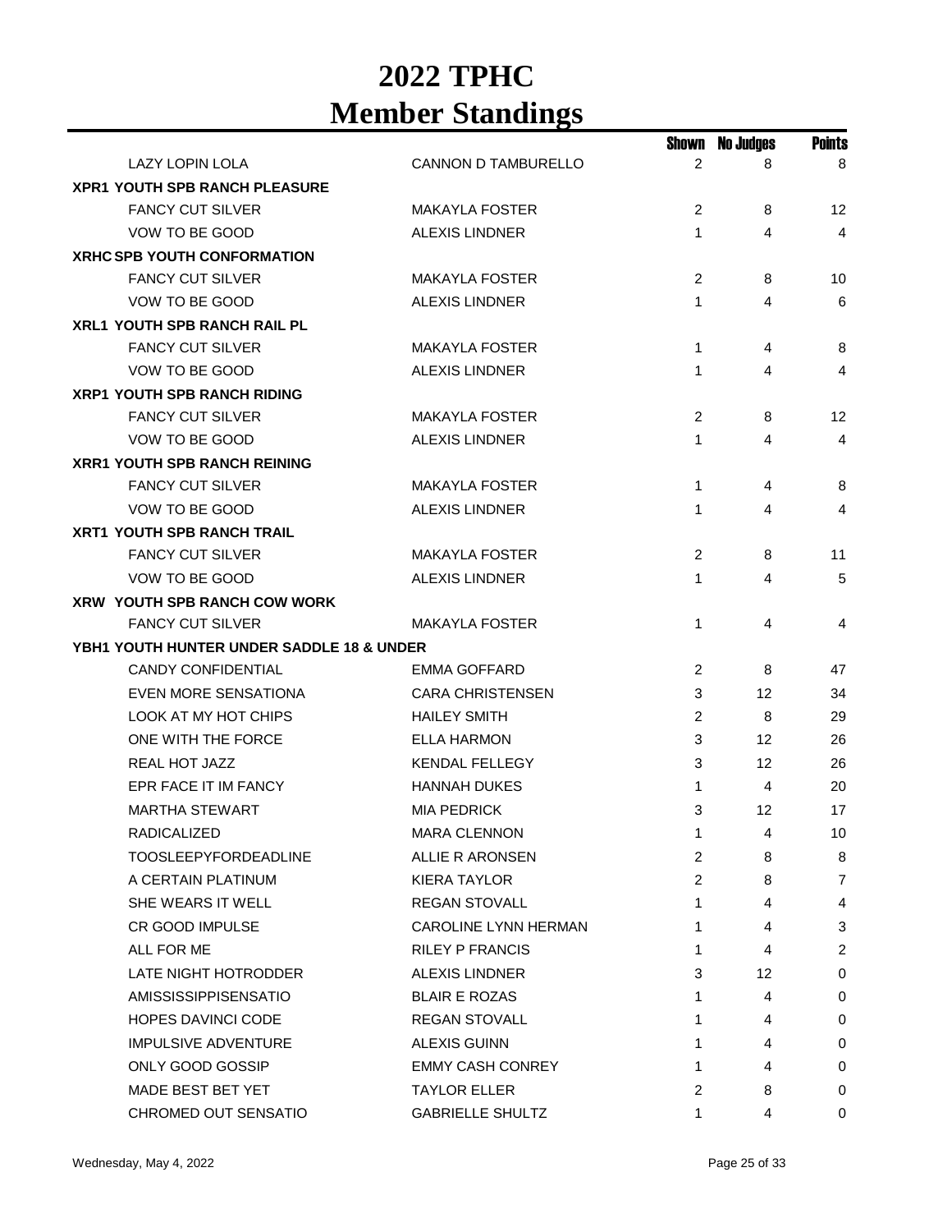|                                                      |                             | Shown          | <b>No Judges</b> | <b>Points</b>   |
|------------------------------------------------------|-----------------------------|----------------|------------------|-----------------|
| LAZY LOPIN LOLA                                      | CANNON D TAMBURELLO         | 2              | 8                | 8               |
| <b>XPR1 YOUTH SPB RANCH PLEASURE</b>                 |                             |                |                  |                 |
| <b>FANCY CUT SILVER</b>                              | <b>MAKAYLA FOSTER</b>       | 2              | 8                | 12              |
| VOW TO BE GOOD                                       | <b>ALEXIS LINDNER</b>       | 1              | 4                | 4               |
| <b>XRHC SPB YOUTH CONFORMATION</b>                   |                             |                |                  |                 |
| <b>FANCY CUT SILVER</b>                              | <b>MAKAYLA FOSTER</b>       | 2              | 8                | 10              |
| VOW TO BE GOOD                                       | <b>ALEXIS LINDNER</b>       | $\mathbf{1}$   | 4                | 6               |
| XRL1 YOUTH SPB RANCH RAIL PL                         |                             |                |                  |                 |
| <b>FANCY CUT SILVER</b>                              | <b>MAKAYLA FOSTER</b>       | 1              | 4                | 8               |
| VOW TO BE GOOD                                       | <b>ALEXIS LINDNER</b>       | $\mathbf{1}$   | 4                | 4               |
| <b>XRP1 YOUTH SPB RANCH RIDING</b>                   |                             |                |                  |                 |
| <b>FANCY CUT SILVER</b>                              | <b>MAKAYLA FOSTER</b>       | 2              | 8                | 12              |
| VOW TO BE GOOD                                       | <b>ALEXIS LINDNER</b>       | 1              | 4                | 4               |
| <b>XRR1 YOUTH SPB RANCH REINING</b>                  |                             |                |                  |                 |
| <b>FANCY CUT SILVER</b>                              | <b>MAKAYLA FOSTER</b>       | 1              | 4                | 8               |
| VOW TO BE GOOD                                       | <b>ALEXIS LINDNER</b>       | 1              | 4                | 4               |
| <b>XRT1 YOUTH SPB RANCH TRAIL</b>                    |                             |                |                  |                 |
| <b>FANCY CUT SILVER</b>                              | <b>MAKAYLA FOSTER</b>       | 2              | 8                | 11              |
| VOW TO BE GOOD                                       | <b>ALEXIS LINDNER</b>       | 1              | 4                | 5               |
| <b>XRW YOUTH SPB RANCH COW WORK</b>                  |                             |                |                  |                 |
| <b>FANCY CUT SILVER</b>                              | <b>MAKAYLA FOSTER</b>       | 1              | 4                | 4               |
| <b>YBH1 YOUTH HUNTER UNDER SADDLE 18 &amp; UNDER</b> |                             |                |                  |                 |
| <b>CANDY CONFIDENTIAL</b>                            | EMMA GOFFARD                | 2              | 8                | 47              |
| EVEN MORE SENSATIONA                                 | <b>CARA CHRISTENSEN</b>     | 3              | 12               | 34              |
| <b>LOOK AT MY HOT CHIPS</b>                          | <b>HAILEY SMITH</b>         | 2              | 8                | 29              |
| ONE WITH THE FORCE                                   | <b>ELLA HARMON</b>          | 3              | 12               | 26              |
| REAL HOT JAZZ                                        | <b>KENDAL FELLEGY</b>       | 3              | 12               | 26              |
| EPR FACE IT IM FANCY                                 | <b>HANNAH DUKES</b>         | 1              | 4                | 20              |
| <b>MARTHA STEWART</b>                                | <b>MIA PEDRICK</b>          | 3              | 12               | 17              |
| RADICALIZED                                          | <b>MARA CLENNON</b>         | $\mathbf{1}$   | 4                | 10 <sup>°</sup> |
| <b>TOOSLEEPYFORDEADLINE</b>                          | ALLIE R ARONSEN             | 2              | 8                | 8               |
| A CERTAIN PLATINUM                                   | <b>KIERA TAYLOR</b>         | $\overline{2}$ | 8                | 7               |
| SHE WEARS IT WELL                                    | <b>REGAN STOVALL</b>        | 1              | 4                | 4               |
| <b>CR GOOD IMPULSE</b>                               | <b>CAROLINE LYNN HERMAN</b> | 1              | 4                | 3               |
| ALL FOR ME                                           | <b>RILEY P FRANCIS</b>      | 1.             | 4                | $\overline{c}$  |
| LATE NIGHT HOTRODDER                                 | <b>ALEXIS LINDNER</b>       | 3              | 12               | 0               |
| AMISSISSIPPISENSATIO                                 | <b>BLAIR E ROZAS</b>        | 1.             | 4                | 0               |
| <b>HOPES DAVINCI CODE</b>                            | <b>REGAN STOVALL</b>        | 1.             | 4                | 0               |
| <b>IMPULSIVE ADVENTURE</b>                           | <b>ALEXIS GUINN</b>         | 1              | 4                | 0               |
| ONLY GOOD GOSSIP                                     | <b>EMMY CASH CONREY</b>     | 1.             | 4                | 0               |
| MADE BEST BET YET                                    | <b>TAYLOR ELLER</b>         | 2              | 8                | 0               |
| CHROMED OUT SENSATIO                                 | <b>GABRIELLE SHULTZ</b>     | 1              | 4                | 0               |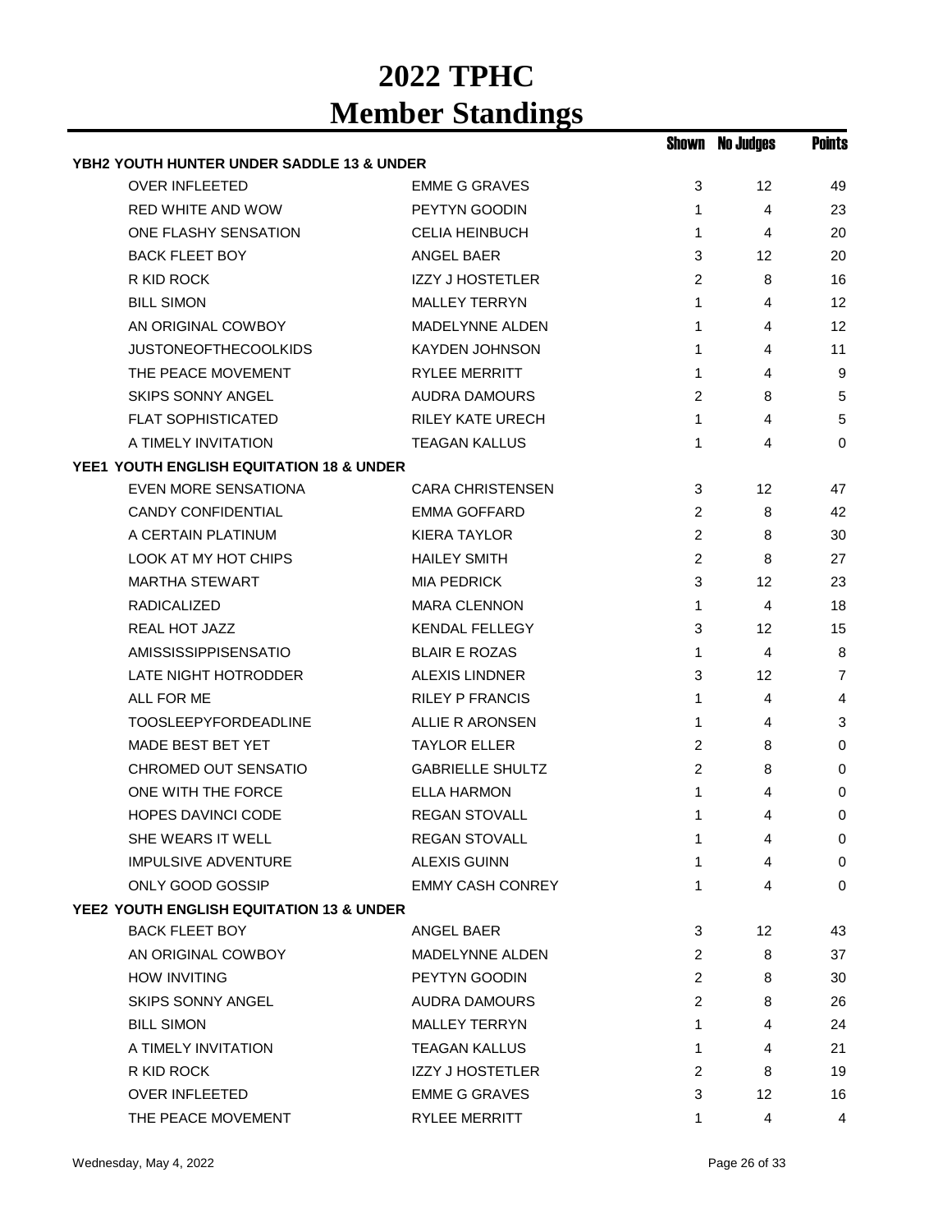|                                           |                         |                | Shown No Judges | <b>Points</b>  |
|-------------------------------------------|-------------------------|----------------|-----------------|----------------|
| YBH2 YOUTH HUNTER UNDER SADDLE 13 & UNDER |                         |                |                 |                |
| <b>OVER INFLEETED</b>                     | <b>EMME G GRAVES</b>    | 3              | 12 <sup>2</sup> | 49             |
| <b>RED WHITE AND WOW</b>                  | PEYTYN GOODIN           | 1              | $\overline{4}$  | 23             |
| ONE FLASHY SENSATION                      | <b>CELIA HEINBUCH</b>   | 1              | 4               | 20             |
| <b>BACK FLEET BOY</b>                     | ANGEL BAER              | 3              | 12              | 20             |
| R KID ROCK                                | <b>IZZY J HOSTETLER</b> | 2              | 8               | 16             |
| <b>BILL SIMON</b>                         | <b>MALLEY TERRYN</b>    | 1              | 4               | 12             |
| AN ORIGINAL COWBOY                        | <b>MADELYNNE ALDEN</b>  | 1              | 4               | 12             |
| <b>JUSTONEOFTHECOOLKIDS</b>               | <b>KAYDEN JOHNSON</b>   | 1              | 4               | 11             |
| THE PEACE MOVEMENT                        | <b>RYLEE MERRITT</b>    | 1              | 4               | 9              |
| <b>SKIPS SONNY ANGEL</b>                  | <b>AUDRA DAMOURS</b>    | 2              | 8               | 5              |
| <b>FLAT SOPHISTICATED</b>                 | <b>RILEY KATE URECH</b> | 1              | 4               | 5              |
| A TIMELY INVITATION                       | <b>TEAGAN KALLUS</b>    | 1              | 4               | $\Omega$       |
| YEE1 YOUTH ENGLISH EQUITATION 18 & UNDER  |                         |                |                 |                |
| EVEN MORE SENSATIONA                      | <b>CARA CHRISTENSEN</b> | 3              | 12              | 47             |
| <b>CANDY CONFIDENTIAL</b>                 | EMMA GOFFARD            | $\overline{c}$ | 8               | 42             |
| A CERTAIN PLATINUM                        | <b>KIERA TAYLOR</b>     | $\overline{c}$ | 8               | 30             |
| <b>LOOK AT MY HOT CHIPS</b>               | <b>HAILEY SMITH</b>     | $\overline{c}$ | 8               | 27             |
| <b>MARTHA STEWART</b>                     | <b>MIA PEDRICK</b>      | 3              | 12              | 23             |
| <b>RADICALIZED</b>                        | <b>MARA CLENNON</b>     | 1              | 4               | 18             |
| REAL HOT JAZZ                             | <b>KENDAL FELLEGY</b>   | 3              | 12              | 15             |
| AMISSISSIPPISENSATIO                      | <b>BLAIR E ROZAS</b>    | 1              | 4               | 8              |
| LATE NIGHT HOTRODDER                      | <b>ALEXIS LINDNER</b>   | 3              | 12 <sup>°</sup> | $\overline{7}$ |
| ALL FOR ME                                | <b>RILEY P FRANCIS</b>  | 1              | 4               | 4              |
| <b>TOOSLEEPYFORDEADLINE</b>               | ALLIE R ARONSEN         | 1              | 4               | 3              |
| <b>MADE BEST BET YET</b>                  | <b>TAYLOR ELLER</b>     | 2              | 8               | 0              |
| CHROMED OUT SENSATIO                      | <b>GABRIELLE SHULTZ</b> | $\overline{c}$ | 8               | 0              |
| ONE WITH THE FORCE                        | <b>ELLA HARMON</b>      | 1              | 4               | 0              |
| <b>HOPES DAVINCI CODE</b>                 | <b>REGAN STOVALL</b>    | 1              | 4               | 0              |
| SHE WEARS IT WELL                         | <b>REGAN STOVALL</b>    | 1              | 4               | $\mathbf 0$    |
| <b>IMPULSIVE ADVENTURE</b>                | <b>ALEXIS GUINN</b>     | 1              | 4               | 0              |
| ONLY GOOD GOSSIP                          | <b>EMMY CASH CONREY</b> | 1              | 4               | $\Omega$       |
| YEE2 YOUTH ENGLISH EQUITATION 13 & UNDER  |                         |                |                 |                |
| <b>BACK FLEET BOY</b>                     | ANGEL BAER              | 3              | 12 <sup>°</sup> | 43             |
| AN ORIGINAL COWBOY                        | MADELYNNE ALDEN         | 2              | 8               | 37             |
| <b>HOW INVITING</b>                       | PEYTYN GOODIN           | $\overline{2}$ | 8               | 30             |
| <b>SKIPS SONNY ANGEL</b>                  | <b>AUDRA DAMOURS</b>    | 2              | 8               | 26             |
| <b>BILL SIMON</b>                         | <b>MALLEY TERRYN</b>    | 1              | 4               | 24             |
| A TIMELY INVITATION                       | <b>TEAGAN KALLUS</b>    | 1              | 4               | 21             |
| R KID ROCK                                | <b>IZZY J HOSTETLER</b> | 2              | 8               | 19             |
| <b>OVER INFLEETED</b>                     | <b>EMME G GRAVES</b>    | 3              | 12              | 16             |
| THE PEACE MOVEMENT                        | RYLEE MERRITT           | 1              | 4               | 4              |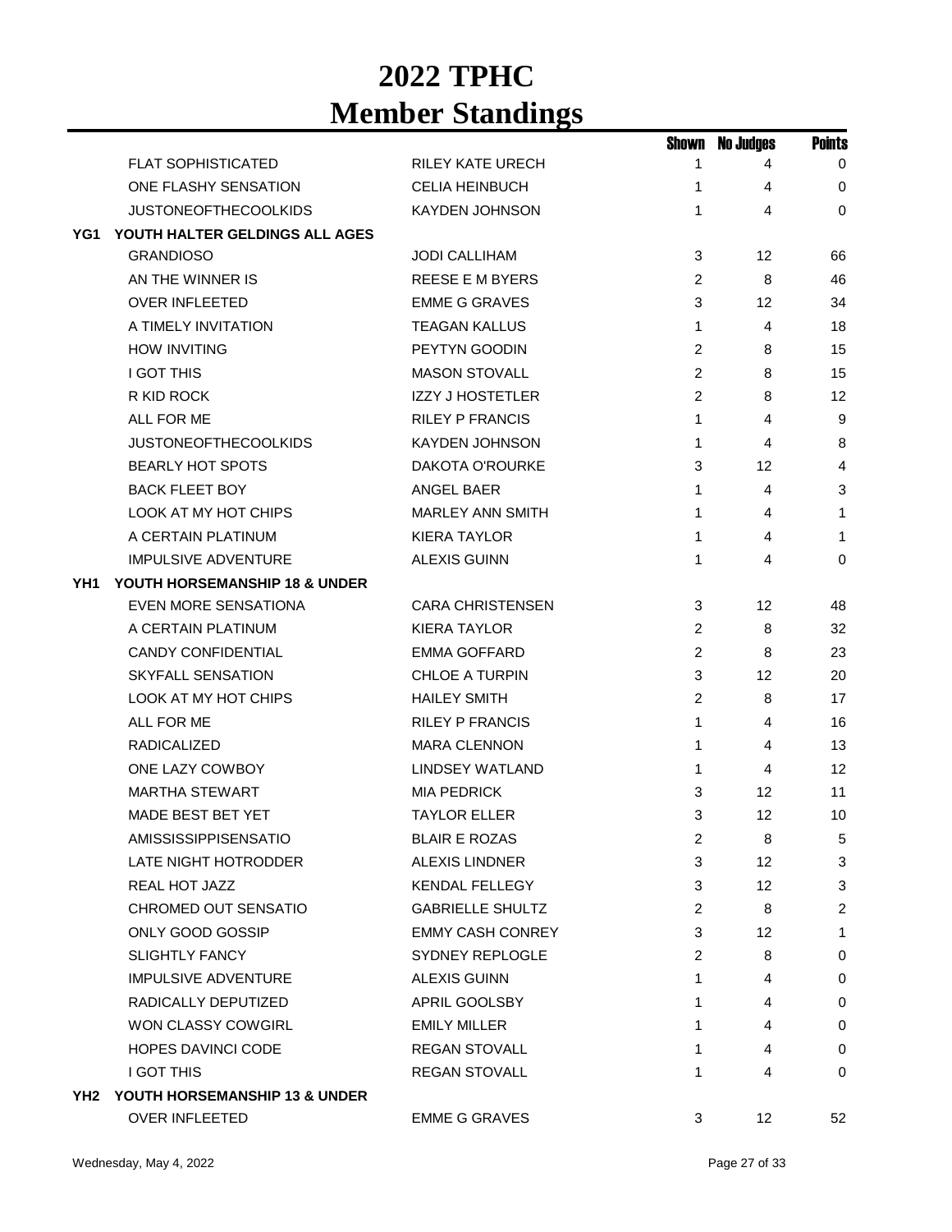|     |                                   |                         | Shown          | <b>No Judges</b> | <b>Points</b> |
|-----|-----------------------------------|-------------------------|----------------|------------------|---------------|
|     | <b>FLAT SOPHISTICATED</b>         | <b>RILEY KATE URECH</b> | 1              | 4                | $\mathbf 0$   |
|     | ONE FLASHY SENSATION              | <b>CELIA HEINBUCH</b>   | 1              | 4                | 0             |
|     | <b>JUSTONEOFTHECOOLKIDS</b>       | <b>KAYDEN JOHNSON</b>   | 1              | 4                | $\mathbf 0$   |
| YG1 | YOUTH HALTER GELDINGS ALL AGES    |                         |                |                  |               |
|     | <b>GRANDIOSO</b>                  | <b>JODI CALLIHAM</b>    | 3              | 12               | 66            |
|     | AN THE WINNER IS                  | <b>REESE E M BYERS</b>  | 2              | 8                | 46            |
|     | <b>OVER INFLEETED</b>             | <b>EMME G GRAVES</b>    | 3              | 12               | 34            |
|     | A TIMELY INVITATION               | <b>TEAGAN KALLUS</b>    | 1              | 4                | 18            |
|     | <b>HOW INVITING</b>               | PEYTYN GOODIN           | 2              | 8                | 15            |
|     | <b>I GOT THIS</b>                 | <b>MASON STOVALL</b>    | 2              | 8                | 15            |
|     | R KID ROCK                        | <b>IZZY J HOSTETLER</b> | 2              | 8                | 12            |
|     | <b>ALL FOR ME</b>                 | <b>RILEY P FRANCIS</b>  | 1              | 4                | 9             |
|     | <b>JUSTONEOFTHECOOLKIDS</b>       | <b>KAYDEN JOHNSON</b>   | 1              | 4                | 8             |
|     | <b>BEARLY HOT SPOTS</b>           | DAKOTA O'ROURKE         | 3              | 12               | 4             |
|     | <b>BACK FLEET BOY</b>             | ANGEL BAER              | 1              | 4                | 3             |
|     | <b>LOOK AT MY HOT CHIPS</b>       | <b>MARLEY ANN SMITH</b> | 1              | 4                | 1             |
|     | A CERTAIN PLATINUM                | <b>KIERA TAYLOR</b>     | 1              | 4                | 1             |
|     | <b>IMPULSIVE ADVENTURE</b>        | <b>ALEXIS GUINN</b>     | 1              | 4                | $\mathbf 0$   |
| YH1 | YOUTH HORSEMANSHIP 18 & UNDER     |                         |                |                  |               |
|     | <b>EVEN MORE SENSATIONA</b>       | <b>CARA CHRISTENSEN</b> | 3              | 12               | 48            |
|     | A CERTAIN PLATINUM                | <b>KIERA TAYLOR</b>     | 2              | 8                | 32            |
|     | <b>CANDY CONFIDENTIAL</b>         | <b>EMMA GOFFARD</b>     | $\overline{c}$ | 8                | 23            |
|     | <b>SKYFALL SENSATION</b>          | CHLOE A TURPIN          | 3              | 12               | 20            |
|     | LOOK AT MY HOT CHIPS              | <b>HAILEY SMITH</b>     | $\overline{c}$ | 8                | 17            |
|     | ALL FOR ME                        | <b>RILEY P FRANCIS</b>  | 1              | 4                | 16            |
|     | <b>RADICALIZED</b>                | <b>MARA CLENNON</b>     | 1              | 4                | 13            |
|     | ONE LAZY COWBOY                   | <b>LINDSEY WATLAND</b>  | 1              | 4                | 12            |
|     | <b>MARTHA STEWART</b>             | <b>MIA PEDRICK</b>      | 3              | 12               | 11            |
|     | MADE BEST BET YET                 | <b>TAYLOR ELLER</b>     | 3              | 12               | 10            |
|     | <b>AMISSISSIPPISENSATIO</b>       | <b>BLAIR E ROZAS</b>    | 2              | 8                | 5             |
|     | LATE NIGHT HOTRODDER              | <b>ALEXIS LINDNER</b>   | 3              | 12               | $\mathbf{3}$  |
|     | REAL HOT JAZZ                     | <b>KENDAL FELLEGY</b>   | 3              | 12 <sup>2</sup>  | $\mathbf{3}$  |
|     | CHROMED OUT SENSATIO              | <b>GABRIELLE SHULTZ</b> | $\overline{c}$ | 8                | $\mathbf{2}$  |
|     | ONLY GOOD GOSSIP                  | <b>EMMY CASH CONREY</b> | 3              | 12               | 1             |
|     | <b>SLIGHTLY FANCY</b>             | SYDNEY REPLOGLE         | $\overline{c}$ | 8                | 0             |
|     | <b>IMPULSIVE ADVENTURE</b>        | <b>ALEXIS GUINN</b>     | 1              | 4                | 0             |
|     | RADICALLY DEPUTIZED               | APRIL GOOLSBY           | 1              | 4                | 0             |
|     | WON CLASSY COWGIRL                | <b>EMILY MILLER</b>     | 1              | 4                | 0             |
|     | <b>HOPES DAVINCI CODE</b>         | <b>REGAN STOVALL</b>    | 1              | 4                | 0             |
|     | I GOT THIS                        | <b>REGAN STOVALL</b>    | 1              | 4                | 0             |
|     | YH2 YOUTH HORSEMANSHIP 13 & UNDER |                         |                |                  |               |
|     | OVER INFLEETED                    | <b>EMME G GRAVES</b>    | 3              | 12               | 52            |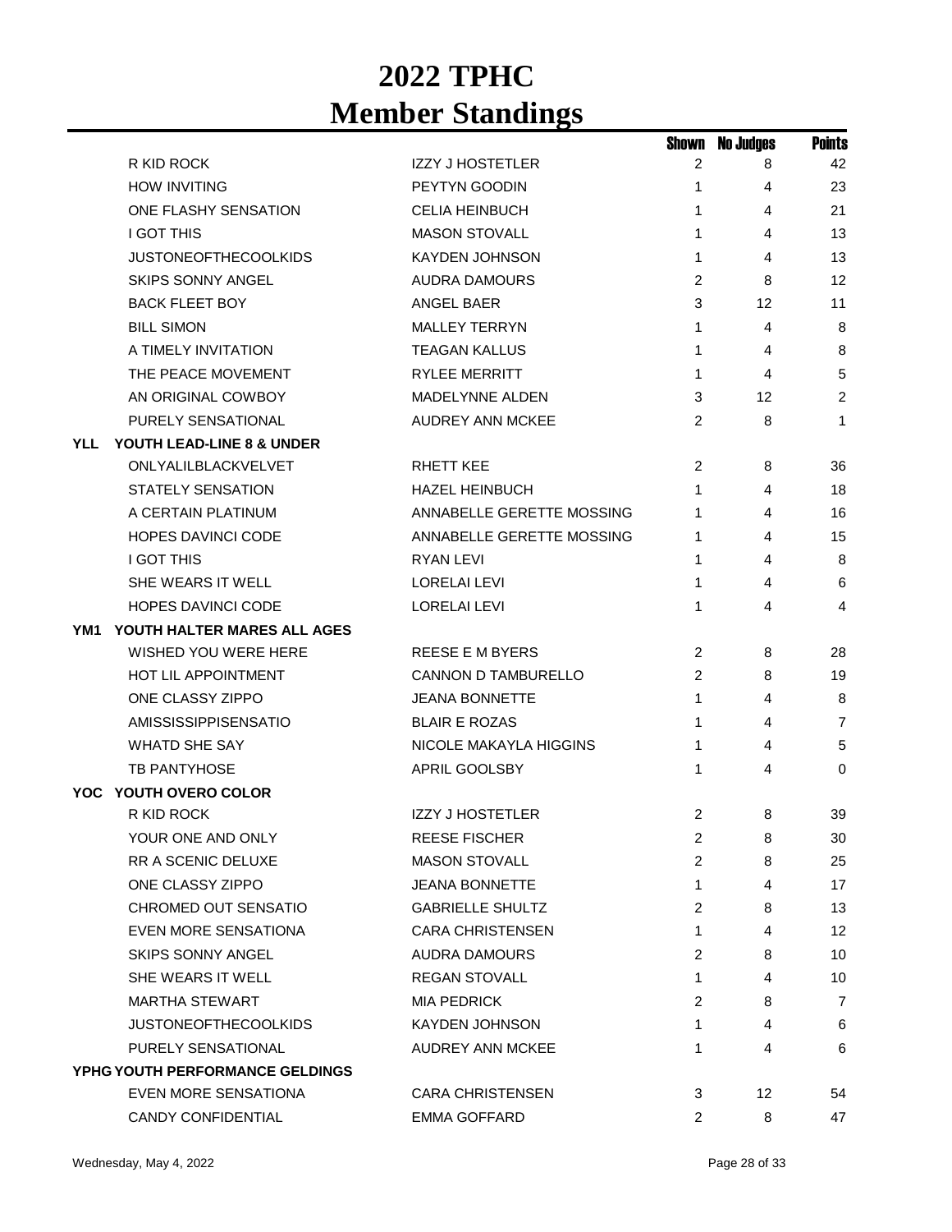|            |                                 |                            | Shown          | <b>No Judges</b> | <b>Points</b>  |
|------------|---------------------------------|----------------------------|----------------|------------------|----------------|
|            | R KID ROCK                      | <b>IZZY J HOSTETLER</b>    | 2              | 8                | 42             |
|            | <b>HOW INVITING</b>             | PEYTYN GOODIN              | 1              | 4                | 23             |
|            | ONE FLASHY SENSATION            | <b>CELIA HEINBUCH</b>      | 1              | 4                | 21             |
|            | <b>I GOT THIS</b>               | <b>MASON STOVALL</b>       | 1              | 4                | 13             |
|            | <b>JUSTONEOFTHECOOLKIDS</b>     | <b>KAYDEN JOHNSON</b>      | 1              | 4                | 13             |
|            | <b>SKIPS SONNY ANGEL</b>        | <b>AUDRA DAMOURS</b>       | 2              | 8                | 12             |
|            | <b>BACK FLEET BOY</b>           | ANGEL BAER                 | 3              | 12               | 11             |
|            | <b>BILL SIMON</b>               | <b>MALLEY TERRYN</b>       | 1              | 4                | 8              |
|            | A TIMELY INVITATION             | <b>TEAGAN KALLUS</b>       | 1              | 4                | 8              |
|            | THE PEACE MOVEMENT              | <b>RYLEE MERRITT</b>       | 1              | 4                | 5              |
|            | AN ORIGINAL COWBOY              | <b>MADELYNNE ALDEN</b>     | 3              | 12               | $\overline{2}$ |
|            | PURELY SENSATIONAL              | <b>AUDREY ANN MCKEE</b>    | $\overline{2}$ | 8                | 1              |
| <b>YLL</b> | YOUTH LEAD-LINE 8 & UNDER       |                            |                |                  |                |
|            | ONLYALILBLACKVELVET             | <b>RHETT KEE</b>           | 2              | 8                | 36             |
|            | STATELY SENSATION               | <b>HAZEL HEINBUCH</b>      | 1              | 4                | 18             |
|            | A CERTAIN PLATINUM              | ANNABELLE GERETTE MOSSING  | 1              | 4                | 16             |
|            | <b>HOPES DAVINCI CODE</b>       | ANNABELLE GERETTE MOSSING  | 1              | 4                | 15             |
|            | <b>I GOT THIS</b>               | <b>RYAN LEVI</b>           | 1              | 4                | 8              |
|            | SHE WEARS IT WELL               | <b>LORELAI LEVI</b>        | 1              | 4                | 6              |
|            | <b>HOPES DAVINCI CODE</b>       | <b>LORELAI LEVI</b>        | 1              | 4                | 4              |
| YM1        | YOUTH HALTER MARES ALL AGES     |                            |                |                  |                |
|            | WISHED YOU WERE HERE            | <b>REESE E M BYERS</b>     | 2              | 8                | 28             |
|            | <b>HOT LIL APPOINTMENT</b>      | <b>CANNON D TAMBURELLO</b> | 2              | 8                | 19             |
|            | ONE CLASSY ZIPPO                | <b>JEANA BONNETTE</b>      | 1              | 4                | 8              |
|            | <b>AMISSISSIPPISENSATIO</b>     | <b>BLAIR E ROZAS</b>       | 1              | 4                | 7              |
|            | <b>WHATD SHE SAY</b>            | NICOLE MAKAYLA HIGGINS     | 1              | 4                | 5              |
|            | TB PANTYHOSE                    | APRIL GOOLSBY              | 1              | 4                | 0              |
|            | YOC YOUTH OVERO COLOR           |                            |                |                  |                |
|            | R KID ROCK                      | <b>IZZY J HOSTETLER</b>    | 2              | 8                | 39             |
|            | YOUR ONE AND ONLY               | REESE FISCHER              | 2              | 8                | 30             |
|            | <b>RR A SCENIC DELUXE</b>       | <b>MASON STOVALL</b>       | 2              | 8                | 25             |
|            | ONE CLASSY ZIPPO                | <b>JEANA BONNETTE</b>      | 1              | 4                | 17             |
|            | CHROMED OUT SENSATIO            | <b>GABRIELLE SHULTZ</b>    | 2              | 8                | 13             |
|            | <b>EVEN MORE SENSATIONA</b>     | <b>CARA CHRISTENSEN</b>    | 1              | 4                | 12             |
|            | <b>SKIPS SONNY ANGEL</b>        | <b>AUDRA DAMOURS</b>       | 2              | 8                | 10             |
|            | SHE WEARS IT WELL               | <b>REGAN STOVALL</b>       | 1              | 4                | 10             |
|            | <b>MARTHA STEWART</b>           | <b>MIA PEDRICK</b>         | 2              | 8                | $\overline{7}$ |
|            | <b>JUSTONEOFTHECOOLKIDS</b>     | <b>KAYDEN JOHNSON</b>      | 1              | 4                | 6              |
|            | PURELY SENSATIONAL              | AUDREY ANN MCKEE           | 1              | 4                | 6              |
|            | YPHG YOUTH PERFORMANCE GELDINGS |                            |                |                  |                |
|            | EVEN MORE SENSATIONA            | <b>CARA CHRISTENSEN</b>    | 3              | 12               | 54             |
|            | CANDY CONFIDENTIAL              | <b>EMMA GOFFARD</b>        | 2              | 8                | 47             |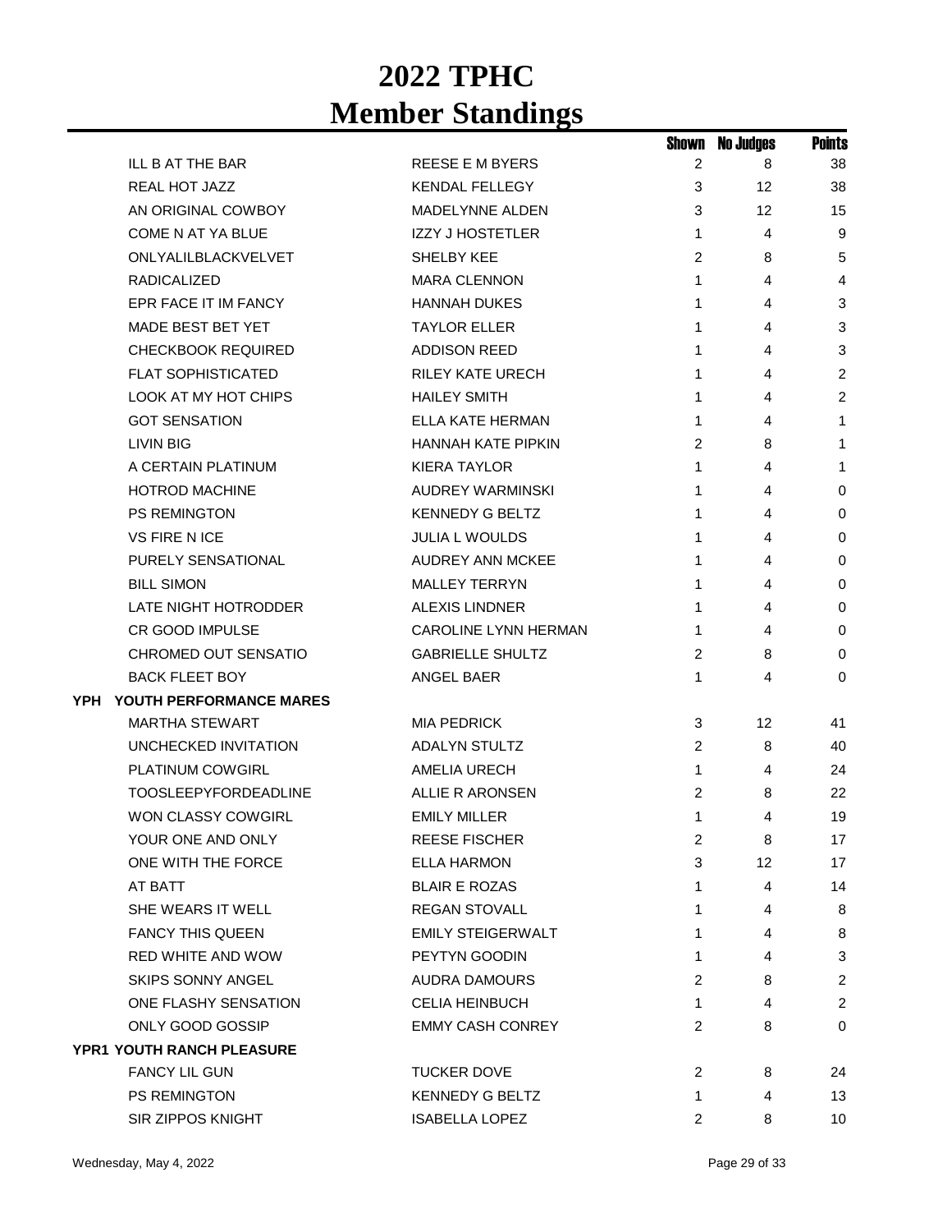|     |                                  |                          | Shown        | <b>No Judges</b> | <b>Points</b>  |
|-----|----------------------------------|--------------------------|--------------|------------------|----------------|
|     | ILL B AT THE BAR                 | REESE E M BYERS          | 2            | 8                | 38             |
|     | <b>REAL HOT JAZZ</b>             | <b>KENDAL FELLEGY</b>    | 3            | 12               | 38             |
|     | AN ORIGINAL COWBOY               | <b>MADELYNNE ALDEN</b>   | 3            | 12               | 15             |
|     | <b>COME N AT YA BLUE</b>         | <b>IZZY J HOSTETLER</b>  | $\mathbf{1}$ | 4                | 9              |
|     | ONLYALILBLACKVELVET              | SHELBY KEE               | 2            | 8                | 5              |
|     | <b>RADICALIZED</b>               | <b>MARA CLENNON</b>      | 1            | 4                | 4              |
|     | EPR FACE IT IM FANCY             | <b>HANNAH DUKES</b>      | 1            | 4                | 3              |
|     | <b>MADE BEST BET YET</b>         | <b>TAYLOR ELLER</b>      | 1            | 4                | 3              |
|     | <b>CHECKBOOK REQUIRED</b>        | <b>ADDISON REED</b>      | 1            | 4                | 3              |
|     | <b>FLAT SOPHISTICATED</b>        | <b>RILEY KATE URECH</b>  | 1            | 4                | $\overline{c}$ |
|     | LOOK AT MY HOT CHIPS             | <b>HAILEY SMITH</b>      | 1            | 4                | $\overline{c}$ |
|     | <b>GOT SENSATION</b>             | ELLA KATE HERMAN         | 1            | 4                | 1              |
|     | LIVIN BIG                        | HANNAH KATE PIPKIN       | 2            | 8                | 1              |
|     | A CERTAIN PLATINUM               | <b>KIERA TAYLOR</b>      | 1            | 4                | 1              |
|     | <b>HOTROD MACHINE</b>            | AUDREY WARMINSKI         | 1            | 4                | 0              |
|     | <b>PS REMINGTON</b>              | <b>KENNEDY G BELTZ</b>   | 1            | 4                | 0              |
|     | <b>VS FIRE N ICE</b>             | <b>JULIA L WOULDS</b>    | 1            | 4                | 0              |
|     | PURELY SENSATIONAL               | <b>AUDREY ANN MCKEE</b>  | 1            | 4                | 0              |
|     | <b>BILL SIMON</b>                | <b>MALLEY TERRYN</b>     | 1            | 4                | $\mathbf 0$    |
|     | LATE NIGHT HOTRODDER             | <b>ALEXIS LINDNER</b>    | 1            | 4                | 0              |
|     | <b>CR GOOD IMPULSE</b>           | CAROLINE LYNN HERMAN     | 1            | 4                | 0              |
|     | CHROMED OUT SENSATIO             | <b>GABRIELLE SHULTZ</b>  | 2            | 8                | 0              |
|     | <b>BACK FLEET BOY</b>            | ANGEL BAER               | 1            | 4                | 0              |
| YPH | YOUTH PERFORMANCE MARES          |                          |              |                  |                |
|     | <b>MARTHA STEWART</b>            | <b>MIA PEDRICK</b>       | 3            | 12               | 41             |
|     | <b>UNCHECKED INVITATION</b>      | <b>ADALYN STULTZ</b>     | 2            | 8                | 40             |
|     | <b>PLATINUM COWGIRL</b>          | AMELIA URECH             | $\mathbf{1}$ | 4                | 24             |
|     | <b>TOOSLEEPYFORDEADLINE</b>      | ALLIE R ARONSEN          | 2            | 8                | 22             |
|     | <b>WON CLASSY COWGIRL</b>        | <b>EMILY MILLER</b>      | 1            | 4                | 19             |
|     | YOUR ONE AND ONLY                | <b>REESE FISCHER</b>     | 2            | 8                | 17             |
|     | ONE WITH THE FORCE               | <b>ELLA HARMON</b>       | 3            | 12               | 17             |
|     | AT BATT                          | <b>BLAIR E ROZAS</b>     | 1.           | 4                | 14             |
|     | SHE WEARS IT WELL                | <b>REGAN STOVALL</b>     | 1            | 4                | 8              |
|     | <b>FANCY THIS QUEEN</b>          | <b>EMILY STEIGERWALT</b> | 1            | 4                | 8              |
|     | RED WHITE AND WOW                | PEYTYN GOODIN            | 1            | 4                | 3              |
|     | <b>SKIPS SONNY ANGEL</b>         | AUDRA DAMOURS            | 2            | 8                | $\overline{2}$ |
|     | ONE FLASHY SENSATION             | <b>CELIA HEINBUCH</b>    | 1            | 4                | $\overline{2}$ |
|     | ONLY GOOD GOSSIP                 | <b>EMMY CASH CONREY</b>  | 2            | 8                | 0              |
|     | <b>YPR1 YOUTH RANCH PLEASURE</b> |                          |              |                  |                |
|     | <b>FANCY LIL GUN</b>             | <b>TUCKER DOVE</b>       | 2            | 8                | 24             |
|     | <b>PS REMINGTON</b>              | <b>KENNEDY G BELTZ</b>   | 1            | 4                | 13             |
|     | SIR ZIPPOS KNIGHT                | <b>ISABELLA LOPEZ</b>    | 2            | 8                | 10             |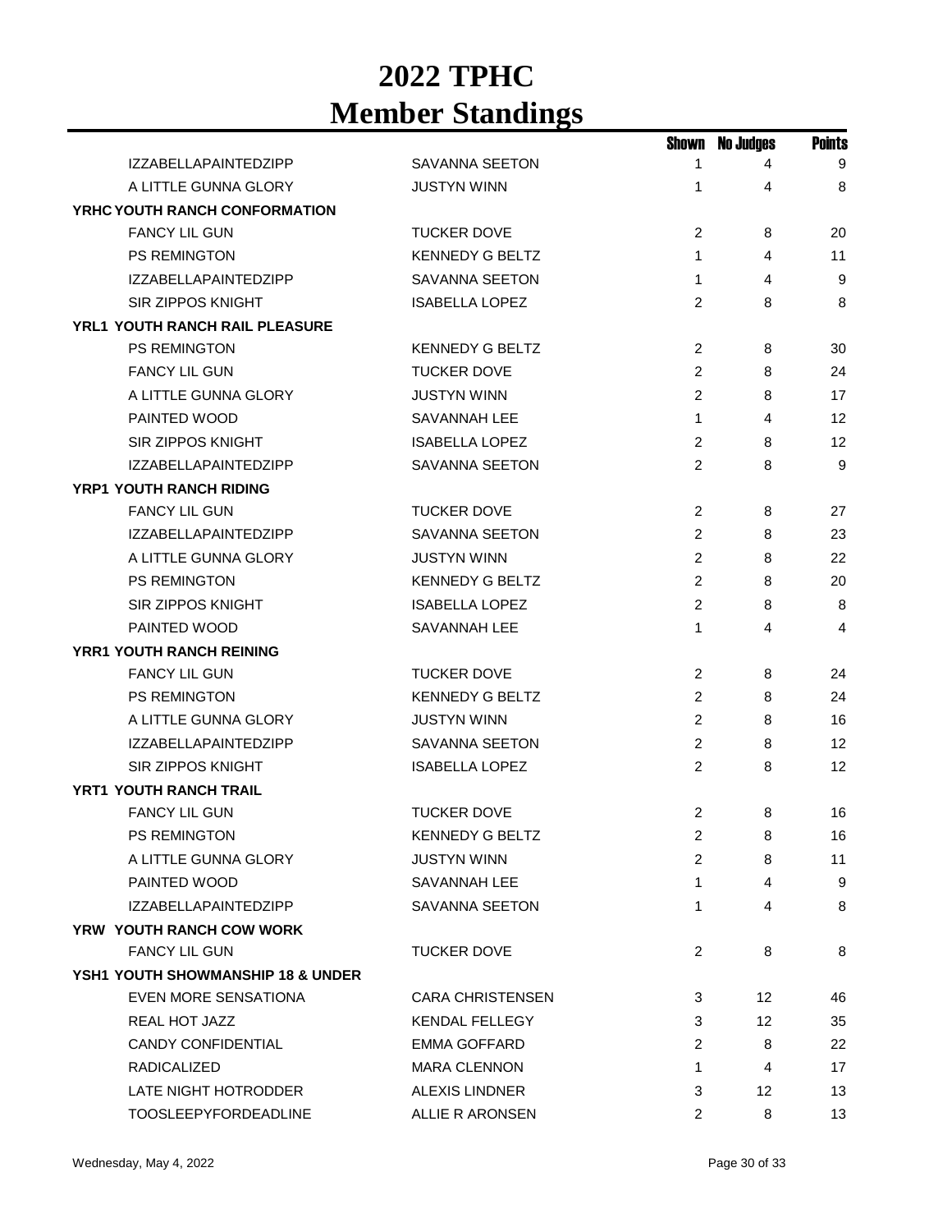|                                              |                         |                | <b>Shown No Judges</b> | <b>Points</b> |
|----------------------------------------------|-------------------------|----------------|------------------------|---------------|
| <b>IZZABELLAPAINTEDZIPP</b>                  | <b>SAVANNA SEETON</b>   | 1              | 4                      | 9             |
| A LITTLE GUNNA GLORY                         | <b>JUSTYN WINN</b>      | 1              | 4                      | 8             |
| YRHC YOUTH RANCH CONFORMATION                |                         |                |                        |               |
| <b>FANCY LIL GUN</b>                         | <b>TUCKER DOVE</b>      | 2              | 8                      | 20            |
| PS REMINGTON                                 | <b>KENNEDY G BELTZ</b>  | 1              | $\overline{4}$         | 11            |
| <b>IZZABELLAPAINTEDZIPP</b>                  | SAVANNA SEETON          | 1              | 4                      | 9             |
| <b>SIR ZIPPOS KNIGHT</b>                     | <b>ISABELLA LOPEZ</b>   | 2              | 8                      | 8             |
| YRL1 YOUTH RANCH RAIL PLEASURE               |                         |                |                        |               |
| <b>PS REMINGTON</b>                          | <b>KENNEDY G BELTZ</b>  | $\overline{2}$ | 8                      | 30            |
| <b>FANCY LIL GUN</b>                         | <b>TUCKER DOVE</b>      | 2              | 8                      | 24            |
| A LITTLE GUNNA GLORY                         | <b>JUSTYN WINN</b>      | $\overline{2}$ | 8                      | 17            |
| PAINTED WOOD                                 | SAVANNAH LEE            | $\mathbf{1}$   | 4                      | 12            |
| <b>SIR ZIPPOS KNIGHT</b>                     | <b>ISABELLA LOPEZ</b>   | $\overline{2}$ | 8                      | 12            |
| <b>IZZABELLAPAINTEDZIPP</b>                  | <b>SAVANNA SEETON</b>   | 2              | 8                      | 9             |
| <b>YRP1 YOUTH RANCH RIDING</b>               |                         |                |                        |               |
| <b>FANCY LIL GUN</b>                         | <b>TUCKER DOVE</b>      | 2              | 8                      | 27            |
| <b>IZZABELLAPAINTEDZIPP</b>                  | <b>SAVANNA SEETON</b>   | 2              | 8                      | 23            |
| A LITTLE GUNNA GLORY                         | <b>JUSTYN WINN</b>      | 2              | 8                      | 22            |
| PS REMINGTON                                 | <b>KENNEDY G BELTZ</b>  | $\overline{2}$ | 8                      | 20            |
| <b>SIR ZIPPOS KNIGHT</b>                     | <b>ISABELLA LOPEZ</b>   | 2              | 8                      | 8             |
| PAINTED WOOD                                 | SAVANNAH LEE            | 1              | 4                      | 4             |
| <b>YRR1 YOUTH RANCH REINING</b>              |                         |                |                        |               |
| <b>FANCY LIL GUN</b>                         | <b>TUCKER DOVE</b>      | 2              | 8                      | 24            |
| PS REMINGTON                                 | <b>KENNEDY G BELTZ</b>  | 2              | 8                      | 24            |
| A LITTLE GUNNA GLORY                         | <b>JUSTYN WINN</b>      | 2              | 8                      | 16            |
| <b>IZZABELLAPAINTEDZIPP</b>                  | <b>SAVANNA SEETON</b>   | 2              | 8                      | 12            |
| <b>SIR ZIPPOS KNIGHT</b>                     | <b>ISABELLA LOPEZ</b>   | 2              | 8                      | 12            |
| <b>YRT1 YOUTH RANCH TRAIL</b>                |                         |                |                        |               |
| <b>FANCY LIL GUN</b>                         | <b>TUCKER DOVE</b>      | 2              | 8                      | 16            |
| PS REMINGTON                                 | <b>KENNEDY G BELTZ</b>  | $2^{\circ}$    | 8                      | 16            |
| A LITTLE GUNNA GLORY                         | <b>JUSTYN WINN</b>      | 2              | 8                      | 11            |
| PAINTED WOOD                                 | SAVANNAH LEE            | 1              | 4                      | 9             |
| <b>IZZABELLAPAINTEDZIPP</b>                  | SAVANNA SEETON          | 1              | 4                      | 8             |
| YRW YOUTH RANCH COW WORK                     |                         |                |                        |               |
| <b>FANCY LIL GUN</b>                         | <b>TUCKER DOVE</b>      | $\overline{2}$ | 8                      | 8             |
| <b>YSH1 YOUTH SHOWMANSHIP 18 &amp; UNDER</b> |                         |                |                        |               |
| EVEN MORE SENSATIONA                         | <b>CARA CHRISTENSEN</b> | 3              | 12                     | 46            |
| REAL HOT JAZZ                                | <b>KENDAL FELLEGY</b>   | 3              | 12                     | 35            |
| <b>CANDY CONFIDENTIAL</b>                    | EMMA GOFFARD            | 2              | 8                      | 22            |
| <b>RADICALIZED</b>                           | <b>MARA CLENNON</b>     | 1              | 4                      | 17            |
| LATE NIGHT HOTRODDER                         | <b>ALEXIS LINDNER</b>   | 3              | 12                     | 13            |
| <b>TOOSLEEPYFORDEADLINE</b>                  | ALLIE R ARONSEN         | 2              | 8                      | 13            |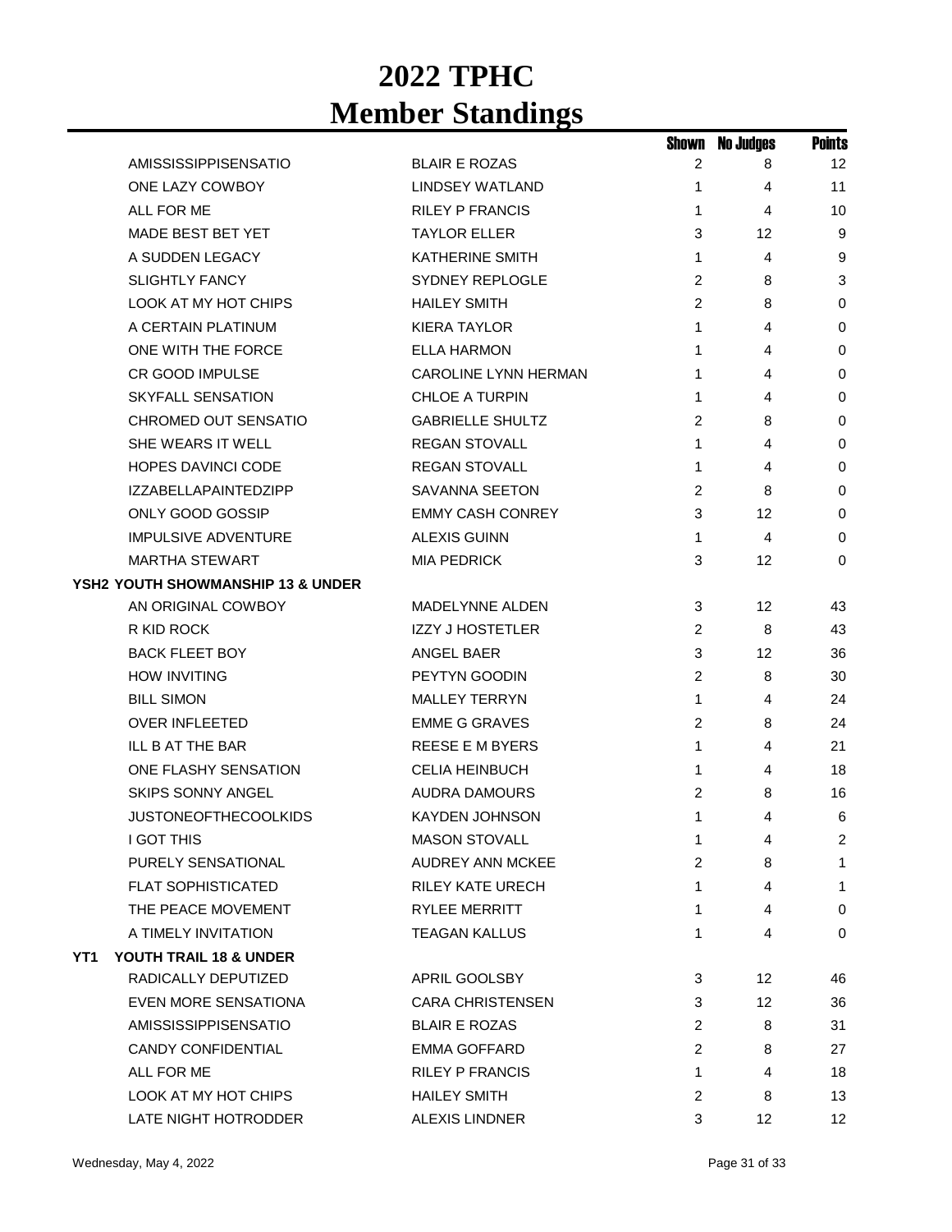|     |                                              |                         | Shown | <b>No Judges</b> | <b>Points</b> |
|-----|----------------------------------------------|-------------------------|-------|------------------|---------------|
|     | AMISSISSIPPISENSATIO                         | <b>BLAIR E ROZAS</b>    | 2     | 8                | 12            |
|     | ONE LAZY COWBOY                              | <b>LINDSEY WATLAND</b>  | 1     | 4                | 11            |
|     | ALL FOR ME                                   | <b>RILEY P FRANCIS</b>  | 1     | 4                | 10            |
|     | <b>MADE BEST BET YET</b>                     | <b>TAYLOR ELLER</b>     | 3     | 12               | 9             |
|     | A SUDDEN LEGACY                              | <b>KATHERINE SMITH</b>  | 1     | 4                | 9             |
|     | <b>SLIGHTLY FANCY</b>                        | <b>SYDNEY REPLOGLE</b>  | 2     | 8                | 3             |
|     | <b>LOOK AT MY HOT CHIPS</b>                  | <b>HAILEY SMITH</b>     | 2     | 8                | 0             |
|     | A CERTAIN PLATINUM                           | <b>KIERA TAYLOR</b>     | 1     | 4                | 0             |
|     | ONE WITH THE FORCE                           | ELLA HARMON             | 1     | 4                | 0             |
|     | <b>CR GOOD IMPULSE</b>                       | CAROLINE LYNN HERMAN    | 1     | 4                | 0             |
|     | <b>SKYFALL SENSATION</b>                     | <b>CHLOE A TURPIN</b>   | 1     | 4                | 0             |
|     | CHROMED OUT SENSATIO                         | <b>GABRIELLE SHULTZ</b> | 2     | 8                | 0             |
|     | SHE WEARS IT WELL                            | <b>REGAN STOVALL</b>    | 1     | 4                | 0             |
|     | <b>HOPES DAVINCI CODE</b>                    | <b>REGAN STOVALL</b>    | 1     | 4                | 0             |
|     | <b>IZZABELLAPAINTEDZIPP</b>                  | SAVANNA SEETON          | 2     | 8                | 0             |
|     | ONLY GOOD GOSSIP                             | <b>EMMY CASH CONREY</b> | 3     | 12               | 0             |
|     | <b>IMPULSIVE ADVENTURE</b>                   | ALEXIS GUINN            | 1     | 4                | 0             |
|     | <b>MARTHA STEWART</b>                        | <b>MIA PEDRICK</b>      | 3     | 12               | 0             |
|     | <b>YSH2 YOUTH SHOWMANSHIP 13 &amp; UNDER</b> |                         |       |                  |               |
|     | AN ORIGINAL COWBOY                           | <b>MADELYNNE ALDEN</b>  | 3     | 12               | 43            |
|     | R KID ROCK                                   | <b>IZZY J HOSTETLER</b> | 2     | 8                | 43            |
|     | <b>BACK FLEET BOY</b>                        | ANGEL BAER              | 3     | 12               | 36            |
|     | <b>HOW INVITING</b>                          | PEYTYN GOODIN           | 2     | 8                | 30            |
|     | <b>BILL SIMON</b>                            | <b>MALLEY TERRYN</b>    | 1     | 4                | 24            |
|     | <b>OVER INFLEETED</b>                        | <b>EMME G GRAVES</b>    | 2     | 8                | 24            |
|     | <b>ILL B AT THE BAR</b>                      | <b>REESE E M BYERS</b>  | 1     | 4                | 21            |
|     | ONE FLASHY SENSATION                         | <b>CELIA HEINBUCH</b>   | 1     | 4                | 18            |
|     | <b>SKIPS SONNY ANGEL</b>                     | AUDRA DAMOURS           | 2     | 8                | 16            |
|     | <b>JUSTONEOFTHECOOLKIDS</b>                  | <b>KAYDEN JOHNSON</b>   | 1     | 4                | 6             |
|     | <b>I GOT THIS</b>                            | <b>MASON STOVALL</b>    | 1     | 4                | 2             |
|     | PURELY SENSATIONAL                           | <b>AUDREY ANN MCKEE</b> | 2     | 8                | 1             |
|     | <b>FLAT SOPHISTICATED</b>                    | <b>RILEY KATE URECH</b> | 1     | 4                | 1             |
|     | THE PEACE MOVEMENT                           | <b>RYLEE MERRITT</b>    | 1     | 4                | 0             |
|     | A TIMELY INVITATION                          | <b>TEAGAN KALLUS</b>    | 1     | 4                | 0             |
| YT1 | YOUTH TRAIL 18 & UNDER                       |                         |       |                  |               |
|     | RADICALLY DEPUTIZED                          | APRIL GOOLSBY           | 3     | 12               | 46            |
|     | EVEN MORE SENSATIONA                         | <b>CARA CHRISTENSEN</b> | 3     | 12               | 36            |
|     | <b>AMISSISSIPPISENSATIO</b>                  | <b>BLAIR E ROZAS</b>    | 2     | 8                | 31            |
|     | <b>CANDY CONFIDENTIAL</b>                    | EMMA GOFFARD            | 2     | 8                | 27            |
|     | ALL FOR ME                                   | <b>RILEY P FRANCIS</b>  | 1     | 4                | 18            |
|     | LOOK AT MY HOT CHIPS                         | <b>HAILEY SMITH</b>     | 2     | 8                | 13            |
|     | LATE NIGHT HOTRODDER                         | <b>ALEXIS LINDNER</b>   | 3     | 12               | 12            |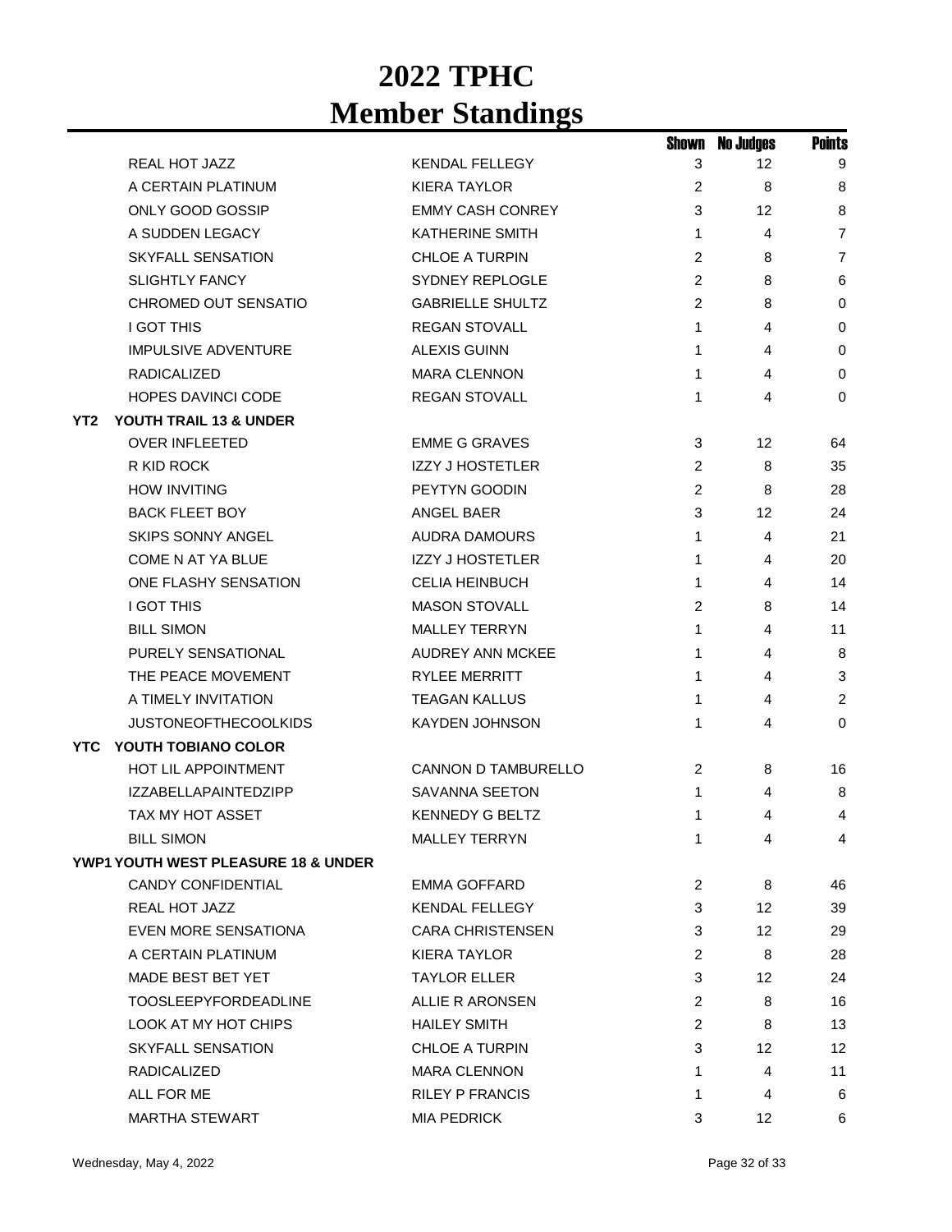|      |                                                |                         | Shown          | <b>No Judges</b> | <b>Points</b>  |
|------|------------------------------------------------|-------------------------|----------------|------------------|----------------|
|      | REAL HOT JAZZ                                  | <b>KENDAL FELLEGY</b>   | 3              | 12               | 9              |
|      | A CERTAIN PLATINUM                             | <b>KIERA TAYLOR</b>     | 2              | 8                | 8              |
|      | ONLY GOOD GOSSIP                               | <b>EMMY CASH CONREY</b> | 3              | 12               | 8              |
|      | A SUDDEN LEGACY                                | <b>KATHERINE SMITH</b>  | 1              | 4                | 7              |
|      | SKYFALL SENSATION                              | <b>CHLOE A TURPIN</b>   | 2              | 8                | $\overline{7}$ |
|      | <b>SLIGHTLY FANCY</b>                          | <b>SYDNEY REPLOGLE</b>  | 2              | 8                | 6              |
|      | CHROMED OUT SENSATIO                           | <b>GABRIELLE SHULTZ</b> | 2              | 8                | 0              |
|      | <b>I GOT THIS</b>                              | <b>REGAN STOVALL</b>    | 1              | 4                | 0              |
|      | <b>IMPULSIVE ADVENTURE</b>                     | <b>ALEXIS GUINN</b>     | 1              | 4                | $\mathbf 0$    |
|      | RADICALIZED                                    | <b>MARA CLENNON</b>     | 1              | 4                | $\mathbf 0$    |
|      | HOPES DAVINCI CODE                             | <b>REGAN STOVALL</b>    | 1              | 4                | $\mathbf 0$    |
| YT2  | YOUTH TRAIL 13 & UNDER                         |                         |                |                  |                |
|      | <b>OVER INFLEETED</b>                          | <b>EMME G GRAVES</b>    | 3              | 12               | 64             |
|      | R KID ROCK                                     | <b>IZZY J HOSTETLER</b> | 2              | 8                | 35             |
|      | <b>HOW INVITING</b>                            | PEYTYN GOODIN           | 2              | 8                | 28             |
|      | <b>BACK FLEET BOY</b>                          | <b>ANGEL BAER</b>       | 3              | 12               | 24             |
|      | <b>SKIPS SONNY ANGEL</b>                       | <b>AUDRA DAMOURS</b>    | 1              | 4                | 21             |
|      | <b>COME N AT YA BLUE</b>                       | <b>IZZY J HOSTETLER</b> | 1              | 4                | 20             |
|      | ONE FLASHY SENSATION                           | <b>CELIA HEINBUCH</b>   | 1              | 4                | 14             |
|      | <b>I GOT THIS</b>                              | <b>MASON STOVALL</b>    | 2              | 8                | 14             |
|      | <b>BILL SIMON</b>                              | <b>MALLEY TERRYN</b>    | 1              | 4                | 11             |
|      | <b>PURELY SENSATIONAL</b>                      | <b>AUDREY ANN MCKEE</b> | 1              | 4                | 8              |
|      | THE PEACE MOVEMENT                             | <b>RYLEE MERRITT</b>    | 1              | 4                | 3              |
|      | A TIMELY INVITATION                            | <b>TEAGAN KALLUS</b>    | 1              | 4                | $\overline{c}$ |
|      | <b>JUSTONEOFTHECOOLKIDS</b>                    | <b>KAYDEN JOHNSON</b>   | 1              | 4                | $\mathbf 0$    |
| YTC. | YOUTH TOBIANO COLOR                            |                         |                |                  |                |
|      | HOT LIL APPOINTMENT                            | CANNON D TAMBURELLO     | $\overline{c}$ | 8                | 16             |
|      | <b>IZZABELLAPAINTEDZIPP</b>                    | <b>SAVANNA SEETON</b>   | 1              | 4                | 8              |
|      | <b>TAX MY HOT ASSET</b>                        | <b>KENNEDY G BELTZ</b>  | 1              | 4                | 4              |
|      | <b>BILL SIMON</b>                              | <b>MALLEY TERRYN</b>    | 1              | 4                | 4              |
|      | <b>YWP1 YOUTH WEST PLEASURE 18 &amp; UNDER</b> |                         |                |                  |                |
|      | CANDY CONFIDENTIAL                             | EMMA GOFFARD            | 2              | 8                | 46             |
|      | REAL HOT JAZZ                                  | <b>KENDAL FELLEGY</b>   | 3              | 12               | 39             |
|      | <b>EVEN MORE SENSATIONA</b>                    | <b>CARA CHRISTENSEN</b> | 3              | 12               | 29             |
|      | A CERTAIN PLATINUM                             | KIERA TAYLOR            | $\overline{2}$ | 8                | 28             |
|      | MADE BEST BET YET                              | <b>TAYLOR ELLER</b>     | 3              | 12               | 24             |
|      | <b>TOOSLEEPYFORDEADLINE</b>                    | ALLIE R ARONSEN         | 2              | 8                | 16             |
|      | LOOK AT MY HOT CHIPS                           | <b>HAILEY SMITH</b>     | $\overline{2}$ | 8                | 13             |
|      | <b>SKYFALL SENSATION</b>                       | <b>CHLOE A TURPIN</b>   | 3              | 12               | 12             |
|      | <b>RADICALIZED</b>                             | <b>MARA CLENNON</b>     | 1              | 4                | 11             |
|      | ALL FOR ME                                     | <b>RILEY P FRANCIS</b>  | 1              | 4                | 6              |
|      | MARTHA STEWART                                 | <b>MIA PEDRICK</b>      | 3              | 12               | 6              |